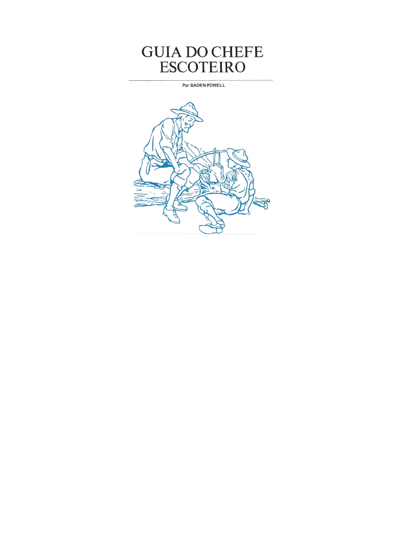# **GUIA DO CHEFE ESCOTEIRO**

**Por BADEN-POWELL** 

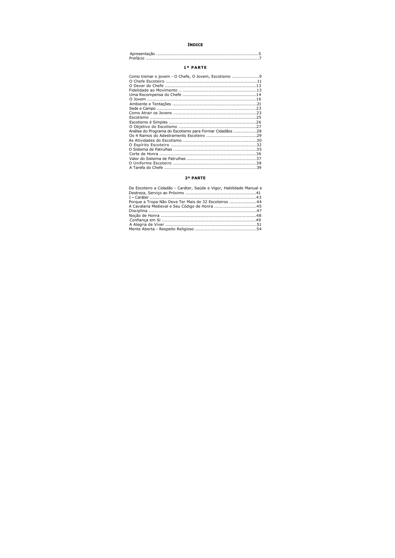# **ÍNDICE**

## 1ª PARTE

| Análise do Programa do Escotismo para Formar Cidadãos 28 | Como treinar o jovem - O Chefe, O Jovem, Escotismo 9 |  |
|----------------------------------------------------------|------------------------------------------------------|--|
|                                                          |                                                      |  |
|                                                          |                                                      |  |
|                                                          |                                                      |  |
|                                                          |                                                      |  |
|                                                          |                                                      |  |
|                                                          |                                                      |  |
|                                                          |                                                      |  |
|                                                          |                                                      |  |
|                                                          |                                                      |  |
|                                                          |                                                      |  |
|                                                          |                                                      |  |
|                                                          |                                                      |  |
|                                                          |                                                      |  |
|                                                          |                                                      |  |
|                                                          |                                                      |  |
|                                                          |                                                      |  |
|                                                          |                                                      |  |
|                                                          |                                                      |  |
|                                                          |                                                      |  |
|                                                          |                                                      |  |

## 2ª PARTE

| De Escoteiro a Cidadão - Caráter, Saúde e Vigor, Habilidade Manual e |  |
|----------------------------------------------------------------------|--|
|                                                                      |  |
|                                                                      |  |
| Porque a Tropa Não Deve Ter Mais de 32 Escoteiros 44                 |  |
| A Cavalaria Medieval e Seu Código de Honra 45                        |  |
|                                                                      |  |
|                                                                      |  |
|                                                                      |  |
|                                                                      |  |
|                                                                      |  |
|                                                                      |  |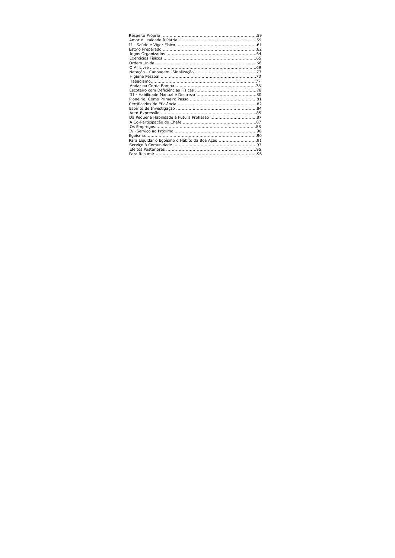| Para Liquidar o Egoísmo o Hábito da Boa Ação 91 |  |
|-------------------------------------------------|--|
|                                                 |  |
|                                                 |  |
|                                                 |  |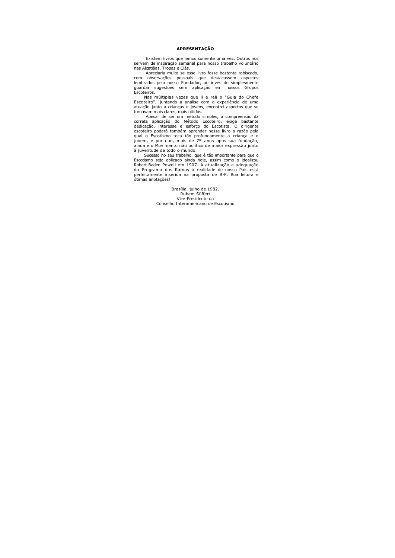## **APRESENTACÃO**

Existem livros que lemos somente uma vez. Outros nos servem de inspiração semanal para nosso trabalho voluntário nas Alcatéias, Tropas e Clãs.

Apreciaria muito se esse livro fosse bastante rabiscado, com observações pessoais que destacassem aspectos lembrados pelo nosso Fundador, ao invés de simplesmente quardar sugestões sem aplicação em nossos Grupos Escoteiros.

Nas múltiplas vezes que li e reli o "Guia do Chefe Escoteiro", juntando a análise com a experiência de uma atuação junto a crianças e jovens, encontrei aspectos que se tornavam mais claros, mais nítidos.

Apesar de ser um método simples, a compreensão da correta aplicação do Método Escoteiro, exige bastante dedicação, interesse e esforço do Escotista. O dirigente escoteiro poderá também aprender nesse livro a razão pela qual o Escotismo toca tão profundamente a criança e o jovem, e por que, mais de 75 anos após sua fundação, ainda é o Movimento não político de maior expressão junto à iuventude de todo o mundo.

Sucesso no seu trabalho, que é tão importante para que o Escotismo seja aplicado ainda hoje, assim como o idealizou Robert Baden-Powell em 1907. A atualização e adequação do Programa dos Ramos à realidade de nosso País está perfeitamente inserida na proposta de B-P. Boa leitura e ótimas anotações!

> Brasília, julho de 1982. Rubem Süffert Vice-Presidente do Conselho Interamericano de Escotismo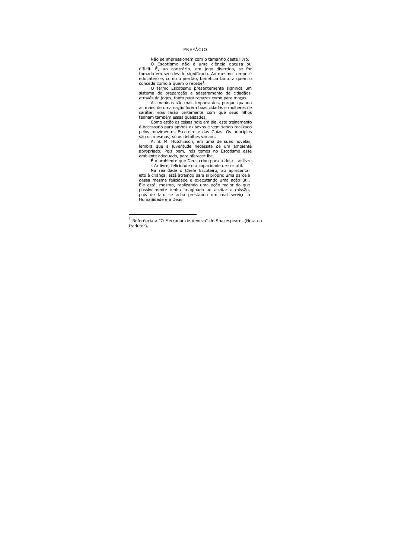## PREFÁCIO

Não se impressionem com o tamanho deste livro.

O Escotismo não é uma ciência obtusa ou difícil. É, ao contrário, um jogo divertido, se for tomado em seu devido significado. Ao mesmo tempo é educativo e, como o perdão, beneficia tanto a quem o concede como a quem o recebe<sup>1</sup>.

O termo Escotismo presentemente significa um sistema de preparação e adestramento de cidadãos, através de jogos, tanto para rapazes como para moças.

As meninas são mais importantes, porque quando as mães de uma nação forem boas cidadãs e mulheres de caráter, elas farão certamente com que seus filhos tenham também essas qualidades.

Como estão as coisas hoje em dia, este treinamento é necessário para ambos os sexos e vem sendo realizado pelos movimentos Escoteiro e das Guias. Os princípios são os mesmos: só os detalhes variam.

A. S. M. Hutchinson, em uma de suas novelas. lembra que a juventude necessita de um ambiente apropriado. Pois bem, nós temos no Escotismo esse ambiente adequado, para oferecer-lhe.

É o ambiente que Deus criou para todos: - ar livre.

- Ar livre, felicidade e a capacidade de ser útil.

Na realidade o Chefe Escoteiro, ao apresentar isto à crianca, está atraindo para si próprio uma parcela dessa mesma felicidade e executando uma ação útil. Ele está, mesmo, realizando uma ação maior do que possivelmente tenha imaginado ao aceitar a missão, pois de fato se acha prestando um real servico à Humanidade e a Deus.

 $1$  Referência a "O Mercador de Veneza" de Shakespeare. (Nota do tradutor).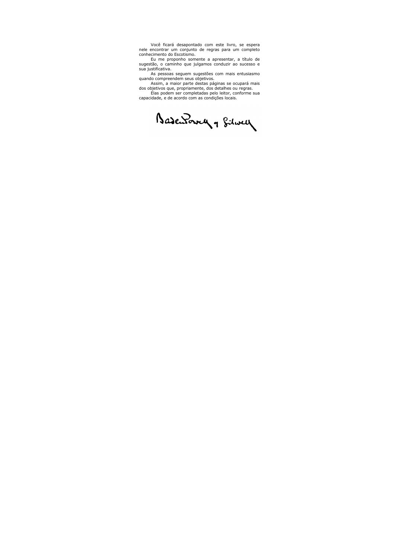Você ficará desapontado com este livro, se espera nele encontrar um conjunto de regras para um completo conhecimento do Escotismo.

Eu me proponho somente a apresentar, a título de sugestão, o caminho que julgamos conduzir ao sucesso e sua justificativa.

As pessoas seguem sugestões com mais entusiasmo quando compreendem seus objetivos.

Assim, a maior parte destas páginas se ocupará mais dos objetivos que, propriamente, dos detalhes ou regras.

Elas podem ser completadas pelo leitor, conforme sua capacidade, e de acordo com as condições locais.

Basewowy , filmey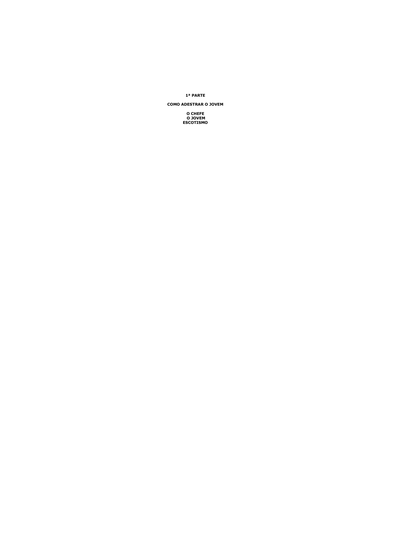## 1ª PARTE

## **COMO ADESTRAR O JOVEM**

**O CHEFE O JOVEM ESCOTISMO**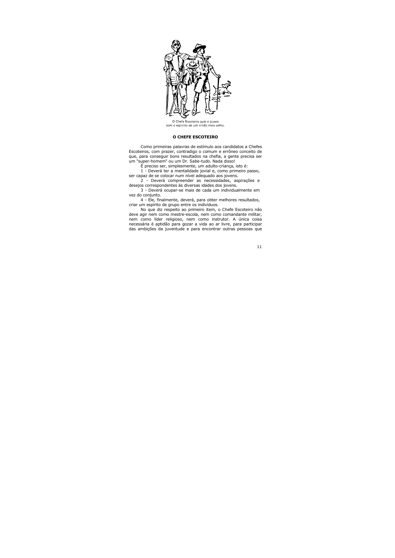

O Chefe Escoteiro guia o jovem com o espírito de um irmão mais velho.

## O CHEFE ESCOTETRO

Como primeiras palavras de estímulo aos candidatos a Chefes Escoteiros, com prazer, contradigo o comum e errôneo conceito de que, para conseguir bons resultados na chefia, a gente precisa ser um "super-homem" ou um Dr. Sabe-tudo. Nada disso!

É preciso ser, simplesmente, um adulto-criança, isto é:

1 - Deverá ter a mentalidade jovial e, como primeiro passo, ser capaz de se colocar num nível adequado aos jovens.

2 - Deverá compreender as necessidades, aspirações e desejos correspondentes às diversas idades dos jovens.

3 - Deverá ocupar-se mais de cada um individualmente em vez do conjunto.

4 - Ele, finalmente, deverá, para obter melhores resultados, criar um espírito de grupo entre os indivíduos.

No que diz respeito ao primeiro item, o Chefe Escoteiro não deve agir nem como mestre-escola, nem como comandante militar, nem como líder religioso, nem como instrutor. A única coisa necessária é aptidão para gozar a vida ao ar livre, para participar das ambições da juventude e para encontrar outras pessoas que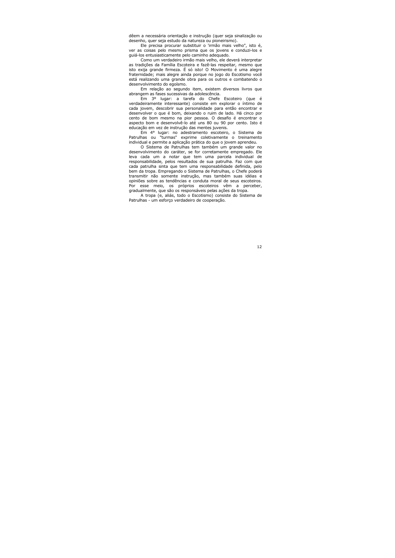dêem a necessária orientação e instrução (quer seja sinalização ou desenho, quer seja estudo da natureza ou pioneirismo).

Ele precisa procurar substituir o 'irmão mais velho", isto é, ver as coisas pelo mesmo prisma que os jovens e conduzi-los e quiá-los entusiasticamente pelo caminho adequado.

Como um verdadeiro irmão mais velho, ele deverá interpretar as tradições da Família Escoteira e fazê-las respeitar, mesmo que isto exija grande firmeza. É só isto! O Movimento é uma alegre fraternidade; mais alegre ainda porque no jogo do Escotismo você está realizando uma grande obra para os outros e combatendo o desenvolvimento do egoísmo.

Em relação ao segundo item, existem diversos livros que abrangem as fases sucessivas da adolescência.

Em 3º lugar: a tarefa do Chefe Escoteiro (que é verdadeiramente interessante) consiste em explorar o íntimo de cada jovem, descobrir sua personalidade para então encontrar e desenvolver o que é bom, deixando o ruim de lado. Há cinco por cento de bom mesmo na pior pessoa. O desafio é encontrar o aspecto bom e desenvolvê-lo até uns 80 ou 90 por cento. Isto é educação em vez de instrução das mentes juvenis.

Em 4° lugar: no adestramento escoteiro, o Sistema de Patrulhas ou "turmas" exprime coletivamente o treinamento individual e permite a aplicação prática do que o jovem aprendeu.

O Sistema de Patrulhas tem também um grande valor no desenvolvimento do caráter, se for corretamente empregado. Ele leva cada um a notar que tem uma parcela individual de responsabilidade, pelos resultados de sua patrulha. Faz com que cada patrulha sinta que tem uma responsabilidade definida, pelo bem da tropa. Empregando o Sistema de Patrulhas, o Chefe poderá transmitir não somente instrução, mas também suas idéias e opiniões sobre as tendências e conduta moral de seus escoteiros. Por esse meio, os próprios escoteiros vêm a perceber, gradualmente, que são os responsáveis pelas ações da tropa.

A tropa (e, aliás, todo o Escotismo) consiste do Sistema de Patrulhas - um esforço verdadeiro de cooperação.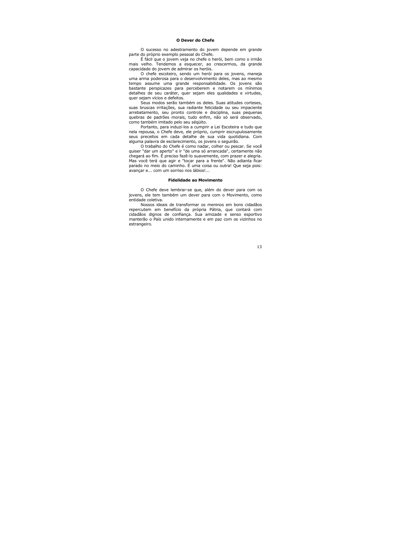## O Dever do Chefe

O sucesso no adestramento do jovem depende em grande parte do próprio exemplo pessoal do Chefe.

É fácil que o jovem veja no chefe o herói, bem como o irmão mais velho. Tendemos a esquecer, ao crescermos, da grande capacidade do jovem de admirar os heróis.

O chefe escoteiro, sendo um herói para os jovens, maneja uma arma poderosa para o desenvolvimento deles, mas ao mesmo tempo assume uma grande responsabilidade. Os jovens são bastante perspicazes para perceberem e notarem os mínimos detalhes de seu caráter, quer sejam eles qualidades e virtudes, quer sejam vícios e defeitos.

Seus modos serão também os deles. Suas atitudes corteses. suas bruscas irritações, sua radiante felicidade ou seu impaciente arrebatamento, seu pronto controle e disciplina, suas pequenas quebras de padrões morais, tudo enfim, não só será observado, como também imitado pelo seu ségüito.

Portanto, para induzi-los a cumprir a Lei Escoteira e tudo que nela repousa, o Chefe deve, ele próprio, cumprir escrupulosamente seus preceitos em cada detalhe de sua vida guotidiana. Com alguma palavra de esclarecimento, os jovens o seguirão.

O trabalho do Chefe é como nadar, colher ou pescar. Se você quiser "dar um aperto" e ir "de uma só arrancada", certamente não chegará ao fim. É preciso fazê-lo suavemente, com prazer e alegria. Mas você terá que agir e "tocar para a frente". Não adianta ficar parado no meio do caminho. É uma coisa ou outra! Que seja pois: avancar e... com um sorriso nos lábios!...

#### **Fidelidade ao Movimento**

O Chefe deve lembrar-se que, além do dever para com os jovens, ele tem também um dever para com o Movimento, como entidade coletiva.

Nossos ideais de transformar os meninos em bons cidadãos repercutem em benefício da própria Pátria, que contará com cidadãos dignos de confiança. Sua amizade e senso esportivo manterão o País unido internamente e em paz com os vizinhos no estrangeiro.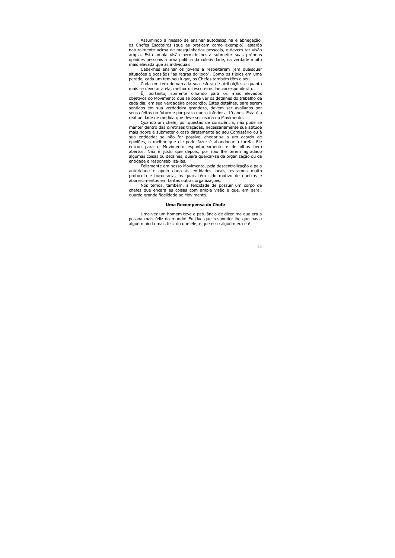Assumindo a missão de ensinar autodisciplina e abnegação, os Chefes Escoteiros (que as praticam como exemplo), estarão naturalmente acima de mesquinharias pessoais, e devem ter visão ampla. Esta ampla visão permitir-lhes-á submeter suas próprias opiniões pessoais a urna política da coletividade, na verdade muito mais elevada que as individuais.

Cabe-lhes ensinar os jovens a respeitarem (em quaisquer situações e ocasião) "as regras do jogo". Como os tijolos em uma parede, cada um tem seu lugar, os Chefes também têm o seu.

Cada um tem demarcada sua esfera de atribuições e quanto mais se devotar a ela, melhor os escoteiros lhe corresponderão.

Ë, portanto, somente olhando para os mais elevados objetivos do Movimento que se pode ver os detalhes do trabalho de cada dia, em sua verdadeira proporção. Estes detalhes, para serem sentidos em sua verdadeira grandeza, devem ser avaliados por seus efeitos no futuro e por prazo nunca inferior a 10 anos. Esta é a real unidade de medida que deve ser usada no Movimento.

Quando um chefe, por questão de consciência, não pode se manter dentro das diretrizes tracadas, necessariamente sua atitude mais nobre é submeter o caso diretamente ao seu Comissário ou à sua entidade; se não for possível chegar-se a um acordo de opiniões, o melhor que ele pode fazer é abandonar a tarefa. Ele entrou para o Movimento espontaneamente e de olhos bem abertos. Não é justo que depois, por não lhe terem agradado algumas coisas ou detalhes, queira queixar-se da organização ou da entidade e responsabilizá-las.

Felizmente em nosso Movimento, pela descentralização e pela autoridade e apoio dado às entidades locais, evitamos muito protocolo e burocracia, as quais têm sido motivo de queixas e aborrecimentos em tantas outras organizações.

Nós temos, também, a felicidade de possuir um corpo de chefes que encara as coisas com ampla visão e que, em geral, quarda grande fidelidade ao Movimento.

#### Uma Recompensa do Chefe

Uma vez um homem teve a petulância de dizer-me que era a pessoa mais feliz do mundo! Eu tive que responder-lhe que havia alquém ainda mais feliz do que ele, e que esse alquém era eu!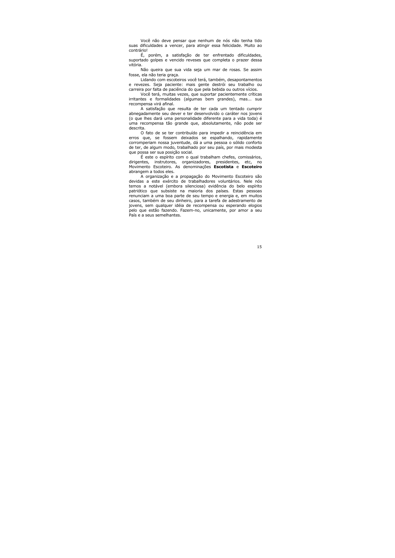Você não deve pensar que nenhum de nós não tenha tido suas dificuldades a vencer, para atingir essa felicidade. Muito ao contrário!

É, porém, a satisfação de ter enfrentado dificuldades, suportado golpes e vencido reveses que completa o prazer dessa vitória.

Não queira que sua vida seja um mar de rosas. Se assim fosse, ela não teria graca.

Lidando com escoteiros você terá, também, desapontamentos e revezes. Seja paciente: mais gente destrói seu trabalho ou carreira por falta de paciência do que pela bebida ou outros vícios.

Você terá, muitas vezes, que suportar pacientemente críticas irritantes e formalidades (algumas bem grandes), mas... sua recompensa virá afinal.

A satisfação que resulta de ter cada um tentado cumprir abnegadamente seu dever e ter desenvolvido o caráter nos jovens (o que lhes dará uma personalidade diferente para a vida toda) é uma recompensa tão grande que, absolutamente, não pode ser descrita.

O fato de se ter contribuído para impedir a reincidência em erros que, se fossem deixados se espalhando, rapidamente corromperiam nossa juventude, dá a uma pessoa o sólido conforto de ter, de algum modo, trabalhado por seu país, por mais modesta que possa ser sua posição social.

É este o espírito com o qual trabalham chefes, comissários, dirigentes, instrutores, organizadores, presidentes, etc, no Movimento Escoteiro. As denominações Escotista e Escoteiro abrangem a todos eles.

A organização e a propagação do Movimento Escoteiro são devidas a este exército de trabalhadores voluntários. Nele nós temos a notável (embora silenciosa) evidência do belo espírito patriótico que subsiste na maioria dos países. Estas pessoas renunciam a uma boa parte de seu tempo e energia e, em muitos casos, também de seu dinheiro, para a tarefa de adestramento de jovens, sem qualquer idéia de recompensa ou esperando elogios pelo que estão fazendo. Fazem-no, unicamente, por amor a seu País e a seus semelhantes.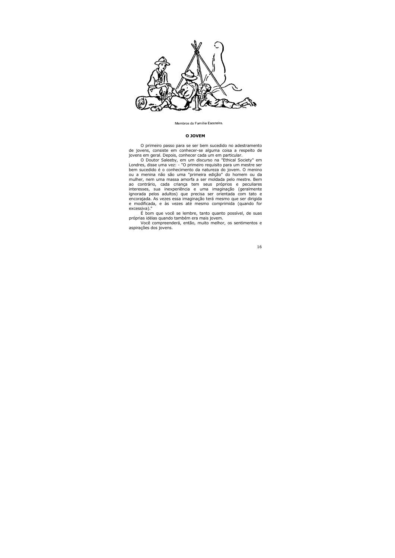

Membros da Família Escoteira.

#### O JOVEM

O primeiro passo para se ser bem sucedido no adestramento de jovens, consiste em conhecer-se alguma coisa a respeito de jovens em geral. Depois, conhecer cada um em particular.

O Doutor Saleeby, em um discurso na "Ethical Society" em Londres, disse uma vez: - "O primeiro requisito para um mestre ser bem sucedido é o conhecimento da natureza do jovem. O menino ou a menina não são uma "primeira edição" do homem ou da mulher, nem uma massa amorfa a ser moldada pelo mestre. Bem ao contrário, cada criança tem seus próprios e peculiares interesses, sua inexperiência e uma imaginação (geralmente ignorada pelos adultos) que precisa ser orientada com tato e encorajada. As vezes essa imaginação terá mesmo que ser dirigida e modificada, e às vezes até mesmo comprimida (quando for excessiva)."

É bom que você se lembre, tanto quanto possível, de suas próprias idéias quando também era mais jovem.

Você compreenderá, então, muito melhor, os sentimentos e aspirações dos jovens.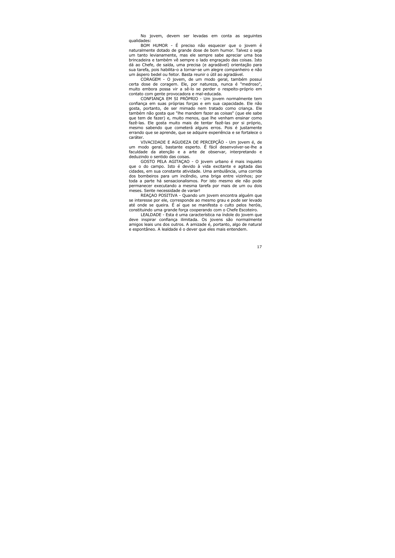No jovem, devem ser levadas em conta as seguintes qualidades:

BOM HUMOR - É preciso não esquecer que o jovem é naturalmente dotado de grande dose de bom humor. Talvez o seja um tanto levianamente, mas ele sempre sabe apreciar uma boa brincadeira e também vê sempre o lado engracado das coisas. Isto dá ao Chefe, de saída, uma precisa (e agradável) orientação para sua tarefa, pois habilita-o a tornar-se um alegre companheiro e não um áspero bedel ou feitor. Basta reunir o útil ao agradável.

CORAGEM - O jovem, de um modo geral, também possui certa dose de coragem. Ele, por natureza, nunca é "medroso", muito embora possa vir a sê-lo se perder o respeito-próprio em contato com gente provocadora e mal-educada.

CONFIANCA EM SI PRÓPRIO - Um jovem normalmente tem confiança em suas próprias forças e em sua capacidade. Ele não gosta, portanto, de ser mimado nem tratado como criança. Ele também não gosta que "lhe mandem fazer as coisas" (que ele sabe que tem de fazer) e, muito menos, que lhe venham ensinar como fazê-las. Ele gosta muito mais de tentar fazê-las por si próprio, mesmo sabendo que cometerá alguns erros. Pois é justamente errando que se aprende, que se adquire experiência e se fortalece o caráter.

VIVACIDADE E AGUDEZA DE PERCEPCÃO - Um jovem é, de um modo geral, bastante esperto. É fácil desenvolver-se-lhe a faculdade da atenção e a arte de observar, interpretando e deduzindo o sentido das coisas.

GOSTO PELA AGITACAO - O jovem urbano é mais inquieto que o do campo. Isto é devido à vida excitante e agitada das cidades, em sua constante atividade. Uma ambulância, uma corrida dos bombeiros para um incêndio, uma briga entre vizinhos; por toda a parte há sensacionalismos. Por isto mesmo ele não pode permanecer executando a mesma tarefa por mais de um ou dois meses. Sente necessidade de variar!

REAÇÃO POSITIVA - Quando um jovem encontra alguém que se interesse por ele, corresponde ao mesmo grau e pode ser levado até onde se queira. É aí que se manifesta o culto pelos heróis, constituindo uma grande força cooperando com o Chefe Escoteiro.

LEALDADE - Esta é uma característica na índole do jovem que deve inspirar confianca ilimitada. Os jovens são normalmente amigos leais uns dos outros. A amizade é, portanto, algo de natural e espontâneo. A lealdade é o dever que eles mais entendem.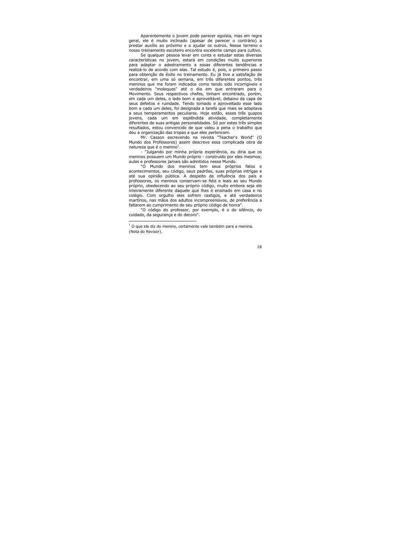Aparentemente o jovem pode parecer egoísta, mas em regra geral, ele é muito inclinado (apesar de parecer o contrário) a prestar auxílio ao próximo e a ajudar os outros. Nesse terreno o nosso treinamento escoteiro encontra excelente campo para cultivo.

Se qualquer pessoa levar em conta e estudar estas diversas características no jovem, estará em condições muito superiores para adaptar o adestramento a essas diferentes tendências e realizá-lo de acordo com elas. Tal estudo é, pois, o primeiro passo para obtenção de êxito no treinamento. Eu já tive a satisfação de encontrar, em uma só semana, em três diferentes pontos, três meninos que me foram indicados como tendo sido incorrigíveis e verdadeiros "moleques" até o dia em que entraram para o Movimento. Seus respectivos chefes, tinham encontrado, porém, em cada um deles, o lado bom e aproveitável, debaixo da capa de seus defeitos e ruindade. Tendo tomado e aproveitado esse lado bom a cada um deles, foi designada a tarefa que mais se adaptava a seus temperamentos peculiares. Hoje estão, esses três quapos jovens, cada um em esplêndida atividade, completamente diferentes de suas antigas personalidades. Só por estes três simples resultados, estou convencido de que valeu a pena o trabalho que deu a organização das tropas a que eles pertencem.

Mr. Casson escrevendo na revista "Teacher's World" (O Mundo dos Professores) assim descreve essa complicada obra da natureza que é o menino<sup>1</sup>.

- "Julgando por minha própria experiência, eu diria que os meninos possuem um Mundo próprio - construído por eles mesmos; aulas e professores jamais são admitidos nesse Mundo.

"O Mundo dos meninos tem seus próprios fatos e acontecimentos, seu código, seus padrões, suas próprias intrigas e até sua opinião pública. A despeito da influência dos país e professores, os meninos conservam-se fiéis e leais ao seu Mundo próprio, obedecendo ao seu próprio código, muito embora seja ele inteiramente diferente daquele que lhes é ensinado em casa e no colégio. Com orgulho eles sofrem castigos, e até verdadeiros martírios, nas mãos dos adultos incompreensivos, de preferência a faltarem ao cumprimento de seu próprio código de honra".

"O código do professor, por exemplo, é o do silêncio, do cuidado, da segurança e do decoro".

 $1$  O que ele diz do menino, certamente vale também para a menina. (Nota do Revisor).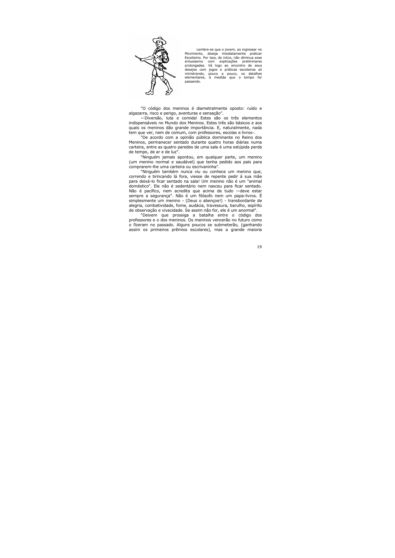

Lembre-se que o jovem, ao ingressar no Movimento, deseja imediatamente praticar Escotismo. Por isso, de início, não diminua esse entusiasmo com explicações preliminares prolongadas. Vá logo ao encontro de seus desejos com jogos e práticas escoteiras só ministrando, pouco a pouco, os detalhes elementares, à medida que o tempo for passando.

"O código dos meninos é diametralmente oposto: ruído e algazarra, risco e perigo, aventuras e sensação".

-Diversão, luta e comida! Estes são os três elementos indispensáveis no Mundo dos Meninos. Estes três são básicos e aos quais os meninos dão grande importância. E, naturalmente, nada tem que ver, nem de comum, com professores, escolas e livros-.

"De acordo com a opinião pública dominante no Reino dos Meninos, permanecer sentado durante quatro horas diárias numa carteira, entre as quatro paredes de uma sala é uma estúpida perda de tempo, de ar e de luz".

"Ninguém jamais apontou, em qualquer parte, um menino (um menino normal e saudável) que tenha pedido aos pais para comprarem-lhe uma carteira ou escrivaninha".

"Ninguém também nunca viu ou conhece um menino que, correndo e brincando lá fora, viesse de repente pedir à sua mãe para deixá-lo ficar sentado na sala! Um menino não é um "animal doméstico". Ele não é sedentário nem nasceu para ficar sentado. Não é pacífico, nem acredita que acima de tudo -deve estar sempre a segurança". Não é um filósofo nem um papa-livros. É simplesmente um menino - (Deus o abençoe!) - transbordante de alegria, combatividade, fome, audácia, travessura, barulho, espírito de observação e vivacidade. Se assim não for, ele é um anormal".

"Deixem que prossiga a batalha entre o código dos professores e o dos meninos. Os meninos vencerão no futuro como o fizeram no passado. Alguns poucos se submeterão, (ganhando assim os primeiros prêmios escolares), mas a grande maioria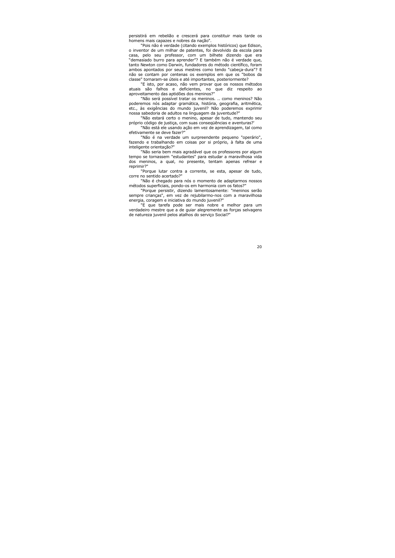persistirá em rebelião e crescerá para constituir mais tarde os homens mais capazes e nobres da nação".

"Pois não é verdade (citando exemplos históricos) que Edison, o inventor de um milhar de patentes, foi devolvido da escola para casa, pelo seu professor, com um bilhete dizendo que era "demasiado burro para aprender"? E também não é verdade que, tanto Newton como Darwin, fundadores do método científico, foram ambos apontados por seus mestres como tendo "cabeca-dura"? E não se contam por centenas os exemplos em que os "bobos da classe" tornaram-se úteis e até importantes, posteriormente?

"E isto, por acaso, não vem provar que os nossos métodos atuais são falhos e deficientes, no que diz respeito ao aproveitamento das aptidões dos meninos?"

"Não será possível tratar os meninos. .. como meninos? Não poderemos nós adaptar gramática, história, geografia, aritmética, etc., às exigências do mundo juvenil? Não poderemos exprimir nossa sabedoria de adultos na linguagem da juventude?"

"Não estará certo o menino, apesar de tudo, mantendo seu próprio código de justiça, com suas consequências e aventuras?'

"Não está ele usando ação em vez de aprendizagem, tal como efetivamente se deve fazer?"

"Não é na verdade um surpreendente pequeno "operário", fazendo e trabalhando em coisas por si próprio, à falta de uma inteligente orientação?"

"Não seria bem mais agradável que os professores por algum tempo se tornassem "estudantes" para estudar a maravilhosa vida dos meninos, a qual, no presente, tentam apenas refrear e reprimir?"

"Porque lutar contra a corrente, se esta, apesar de tudo, corre no sentido acertado?"

"Não é chegado para nós o momento de adaptarmos nossos métodos superficiais, pondo-os em harmonia com os fatos?"

"Porque persistir, dizendo lamentosamente: "meninos serão sempre crianças", em vez de rejubilarmo-nos com a maravilhosa energia, coragem e iniciativa do mundo juvenil?"

"E que tarefa pode ser mais nobre e melhor para um verdadeiro mestre que a de quiar alegremente as forças selvagens de natureza juvenil pelos atalhos do servico Social?"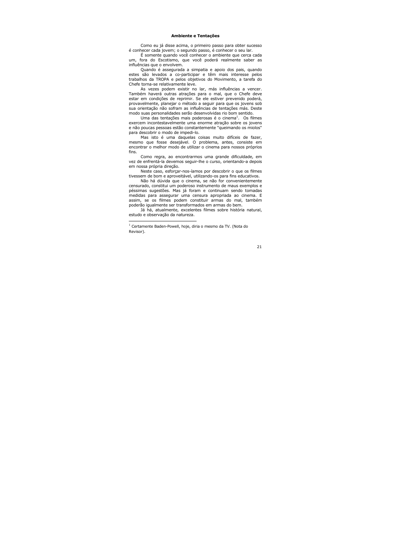## **Ambiente e Tentações**

Como eu já disse acima, o primeiro passo para obter sucesso é conhecer cada jovem; o segundo passo, é conhecer o seu lar.

É somente quando você conhecer o ambiente que cerca cada um, fora do Escotismo, que você poderá realmente saber as influências que o envolvem.

Quando é assegurada a simpatia e apoio dos pais, guando estes são levados a co-participar e têm mais interesse pelos trabalhos da TROPA e pelos objetivos do Movimento, a tarefa do Chefe torna-se relativamente leve.

As vezes podem existir no lar, más influências a vencer. Também haverá outras atrações para o mal, que o Chefe deve estar em condições de reprimir. Se ele estiver prevenido poderá, provavelmente, planejar o método a seguir para que os jovens sob sua orientação não sofram as influências de tentações más. Deste modo suas personalidades serão desenvolvidas rio bom sentido.

Uma das tentações mais poderosas é o cinema<sup>1</sup>. Os filmes exercem incontestavelmente uma enorme atração sobre os jovens e não poucas pessoas estão constantemente "gueimando os miolos" para descobrir o modo de impedi-lo.

Mas isto é uma daquelas coisas muito difíceis de fazer, mesmo que fosse desejável. O problema, antes, consiste em encontrar o melhor modo de utilizar o cinema para nossos próprios fins.

Como regra, ao encontrarmos uma grande dificuldade, em vez de enfrentá-la devemos seguir-lhe o curso, orientando-a depois em nossa própria direção.

Neste caso, esforçar-nos-íamos por descobrir o que os filmes tivessem de bom e aproveitável, utilizando-os para fins educativos.

Não há dúvida que o cinema, se não for convenientemente censurado, constitui um poderoso instrumento de maus exemplos e péssimas sugestões. Mas já foram e continuam sendo tomadas medidas para assegurar uma censura apropriada ao cinema. E assim, se os filmes podem constituir armas do mal, também poderão igualmente ser transformados em armas do bem.

Já há, atualmente, excelentes filmes sobre história natural, estudo e observação da natureza.

Certamente Baden-Powell, hoje, diria o mesmo da TV. (Nota do Revisor).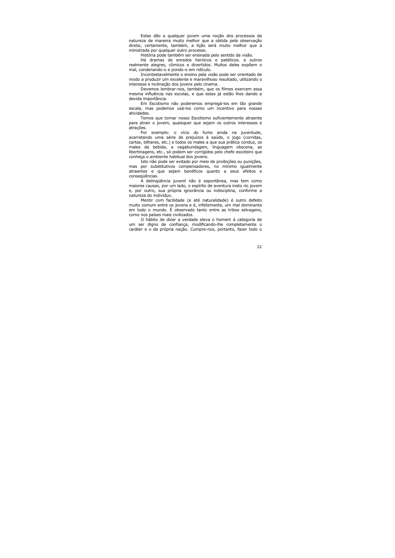Estes dão a qualquer jovem uma noção dos processos da natureza de maneira muito melhor que a obtida pela observação direta; certamente, também, a lição será muito melhor que a ministrada por qualquer outro processo.

História pode também ser ensinada pelo sentido da visão.

Há dramas de enredos heróicos e patéticos, e outros realmente alegres, cômicos e divertidos. Muitos deles expõem o mal, condenando-o e pondo-o em ridículo.

Incontestavelmente o ensino pela visão pode ser orientado de modo a produzir um excelente e maravilhoso resultado, utilizando o interesse e inclinação dos jovens pelo cinema.

Devemos lembrar-nos, também, que os filmes exercem essa mesma influência nas escolas, e que estas já estão lhes dando a devida importância.

Em Escotismo não poderemos empregá-los em tão grande escala, mas podemos usá-los como um incentivo para nossas atividades.

Temos que tornar nosso Escotismo suficientemente atraente para atrair o jovem, quaisquer que sejam os outros interesses e atrações.

Por exemplo: o vício do fumo ainda na juventude, acarretando uma série de prejuízos à saúde, o jogo (corridas, cartas, bilhares, etc.) e todos os males a que sua prática conduz, os males da bebida, a vagabundagem, linguagem obscena, as libertinagens, etc., só podem ser corrigidos pelo chefe escoteiro que conheca o ambiente habitual dos jovens.

Isto não pode ser evitado por meio de proibicões ou punicões. mas por substitutivos compensadores, no mínimo igualmente atraentes e que sejam benéficos quanto a seus efeitos e consegüências.

A delingüência juvenil não é espontânea, mas tem como maiores causas, por um lado, o espírito de aventura inato rio jovem e, por outro, sua própria ignorância ou indisciplina, conforme a natureza do indivíduo.

Mentir com facilidade (e até naturalidade) é outro defeito muito comum entre os jovens e é, infelizmente, um mal dominante em todo o mundo. É observado tanto entre as tribos selvagens, como nos países mais civilizados.

O hábito de dizer a verdade eleva o homem à categoria de um ser digno de confiança, modificando-lhe completamente o caráter e o da própria nação. Cumpre-nos, portanto, fazer todo o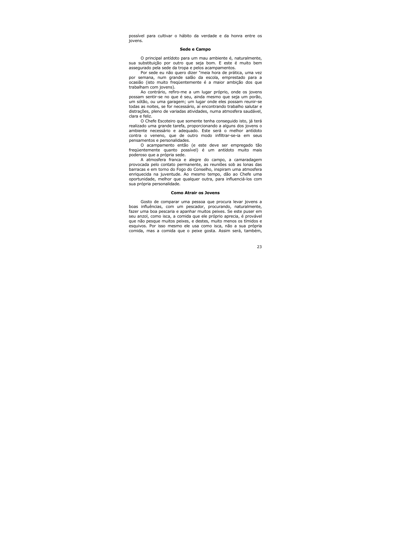possível para cultivar o hábito da verdade e da honra entre os iovens.

#### Sede e Campo

O principal antídoto para um mau ambiente é, naturalmente, sua substituição por outro que seja bom. E este é muito bem assegurado pela sede da tropa e pelos acampamentos.

Por sede eu não quero dizer "meia hora de prática, uma vez por semana, num grande salão da escola, emprestado para a ocasião (isto muito frequentemente é a maior ambição dos que trabalham com jovens).

Ao contrário, refiro-me a um lugar próprio, onde os jovens possam sentir-se no que é seu, ainda mesmo que seja um porão, um sótão, ou uma garagem; um lugar onde eles possam reunir-se todas as noites, se for necessário, aí encontrando trabalho salutar e distrações, pleno de variadas atividades, numa atmosfera saudável, clara e feliz.

O Chefe Escoteiro que somente tenha conseguido isto, já terá realizado uma grande tarefa, proporcionando a alguns dos jovens o ambiente necessário e adeguado. Este será o melhor antídoto contra o veneno, que de outro modo infiltrar-se-ia em seus pensamentos e personalidades.

O acampamento então (e este deve ser empregado tão frequentemente quanto possível) é um antídoto muito mais poderoso que a própria sede.

A atmosfera franca e alegre do campo, a camaradagem provocada pelo contato permanente, as reuniões sob as lonas das barracas e em torno do Fogo do Conselho, inspiram uma atmosfera enriquecida na juventude. Ao mesmo tempo, dão ao Chefe uma oportunidade, melhor que qualquer outra, para influenciá-los com sua própria personalidade.

## **Como Atrair os Jovens**

Gosto de comparar uma pessoa que procura levar jovens a boas influências, com um pescador, procurando, naturalmente, fazer uma boa pescaria e apanhar muitos peixes. Se este puser em seu anzol, como isca, a comida que ele próprio aprecia, é provável que não pesque muitos peixes, e destes, muito menos os tímidos e esquivos. Por isso mesmo ele usa como isca, não a sua própria comida, mas a comida que o peixe gosta. Assim será, também,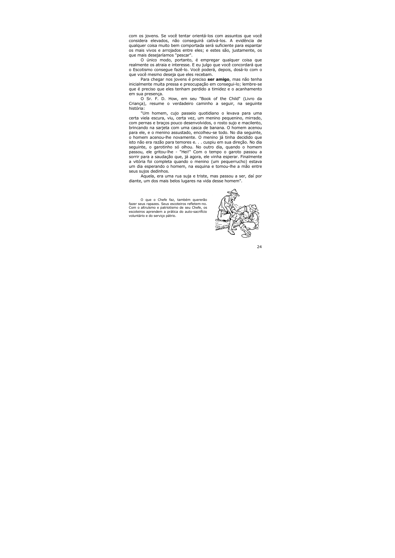com os jovens. Se você tentar orientá-los com assuntos que você considera elevados, não conseguirá cativá-los. A evidência de qualquer coisa muito bem comportada será suficiente para espantar os mais vivos e arrojados entre eles; e estes são, justamente, os que mais desejaríamos "pescar".

O único modo, portanto, é empregar qualquer coisa que realmente os atraia e interesse. E eu julgo que você concordará que o Escotismo consegue fazê-lo. Você poderá, depois, dosá-lo com o que você mesmo deseja que eles recebam.

Para chegar nos jovens é preciso ser amigo, mas não tenha inicialmente muita pressa e preocupação em consegui-lo: lembre-se que é preciso que eles tenham perdido a timidez e o acanhamento em sua presença.

O Sr. F. D. How, em seu "Book of the Child" (Livro da Criança), resume o verdadeiro caminho a seguir, na seguinte história:

"Um homem, cujo passeio quotidiano o levava para uma certa viela escura, viu, certa vez, um menino pequenino, mirrado, com pernas e braços pouco desenvolvidos, o rosto sujo e macilento, brincando na sarieta com uma casca de banana. O homem acenou para ele, e o menino assustado, encolheu-se todo. No dia seguinte, o homem acenou-lhe novamente. O menino já tinha decidido que isto não era razão para temores e. . . cuspiu em sua direção. No dia seguinte, o garotinho só olhou. No outro dia, quando o homem passou, ele gritou-lhe - "Hei!" Com o tempo o garoto passou a sorrir para a saudação que, já agora, ele vinha esperar. Finalmente a vitória foi completa quando o menino (um pequerrucho) estava um dia esperando o homem, na esquina e tomou-lhe a mão entre seus suios dedinhos.

Aquela, era uma rua suja e triste, mas passou a ser, daí por diante, um dos mais belos lugares na vida desse homem".

O que o Chefe faz, também quererão fazer seus rapazes. Seus escoteiros refletem-no. Com o altruísmo e patriotismo de seu Chefe, os escoteiros aprendem a prática do auto-sacrifício voluntário e do servico pátrio.

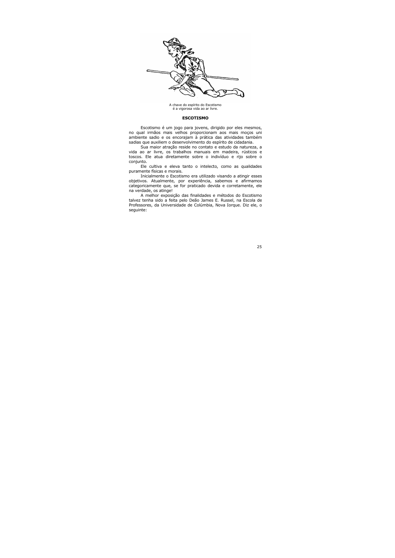

A chave do espírito do Escotismo é a vigorosa vida ao ar livre.

#### **ESCOTISMO**

Escotismo é um jogo para jovens, dirigido por eles mesmos, no qual irmãos mais velhos proporcionam aos mais moços uni ambiente sadio e os encorajam à prática das atividades também sadias que auxiliem o desenvolvimento do espírito de cidadania.

Sua maior atração reside no contato e estudo da natureza, a vida ao ar livre, os trabalhos manuais em madeira, rústicos e toscos. Ele atua diretamente sobre o indivíduo e rijo sobre o conjunto.

Ele cultiva e eleva tanto o intelecto, como as qualidades puramente físicas e morais.

Inicialmente o Escotismo era utilizado visando a atingir esses objetivos. Atualmente, por experiência, sabemos e afirmamos categoricamente que, se for praticado devida e corretamente, ele na verdade, os atinge!

A melhor exposição das finalidades e métodos do Escotismo talvez tenha sido a feita pelo Deão James E. Russel, na Escola de Professores, da Universidade de Colúmbia, Nova Iorque. Diz ele, o sequinte: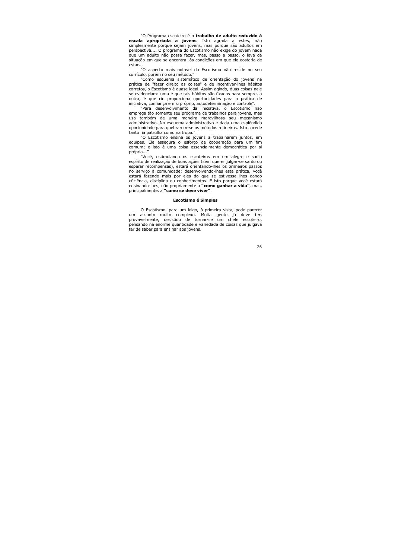"O Programa escoteiro é o trabalho de adulto reduzido à escala apropriada a jovens. Isto agrada a estes, não simplesmente porque sejam jovens, mas porque são adultos em perspectiva.... O programa do Escotismo não exige do jovem nada que um adulto não possa fazer, mas, passo a passo, o leva da situação em que se encontra às condições em que ele gostaria de estar...

"O aspecto mais notável do Escotismo não reside no seu currículo, porém no seu método."

"Como esquema sistemático de orientação do jovens na prática de "fazer direito as coisas" e de incentivar-lhes hábitos corretos, o Escotismo é quase ideal. Assim agindo, duas coisas nele se evidenciam: uma é que tais hábitos são fixados para sempre, a outra, é que cio proporciona oportunidades para a prática de iniciativa, confiança em si próprio, autodeterminação e controle".

"Para desenvolvimento da iniciativa, o Escotismo não emprega tão somente seu programa de trabalhos para jovens, mas usa também de uma maneira maravilhosa seu mecanismo administrativo. No esquema administrativo é dada uma esplêndida oportunidade para quebrarem-se os métodos rotineiros. Isto sucede tanto na patrulha como na tropa."

"O Escotismo ensina os jovens a trabalharem juntos, em equipes. Ele assegura o esforço de cooperação para um fim comum; e isto é uma coisa essencialmente democrática por si própria..."

"Você, estimulando os escoteiros em um alegre e sadio espírito de realização de boas ações (sem querer julgar-se santo ou esperar recompensas), estará orientando-lhes os primeiros passos no servico à comunidade; desenvolvendo-lhes esta prática, você estará fazendo mais por eles do que se estivesse lhes dando eficiência, disciplina ou conhecimentos. E isto porque você estará ensinando-lhes, não propriamente a "como ganhar a vida", mas, principalmente, a "como se deve viver".

## **Escotismo é Simples**

O Escotismo, para um leigo, à primeira vista, pode parecer assunto muito complexo. Muita gente já deve ter. um provavelmente, desistido de tornar-se um chefe escoteiro, pensando na enorme quantidade e variedade de coisas que julgava ter de saber para ensinar aos jovens.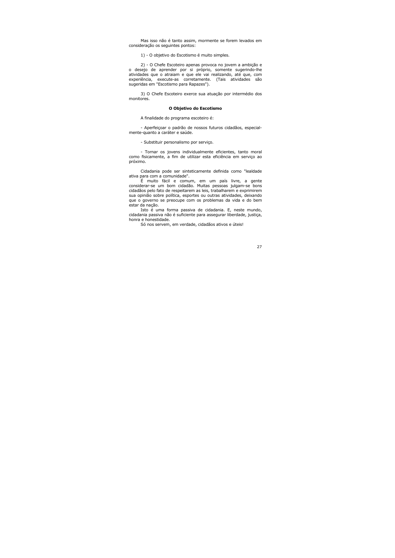Mas isso não é tanto assim, mormente se forem levados em consideração os seguintes pontos:

1) - O objetivo do Escotismo é muito simples.

2) - O Chefe Escoteiro apenas provoca no jovem a ambição e o desejo de aprender por si próprio, somente sugerindo-lhe atividades que o atraiam e que ele vai realizando, até que, com experiência, execute-as corretamente. (Tais atividades são sugeridas em "Escotismo para Rapazes").

3) O Chefe Escoteiro exerce sua atuação por intermédio dos monitores.

#### O Objetivo do Escotismo

A finalidade do programa escoteiro é:

- Aperfeiçoar o padrão de nossos futuros cidadãos, especialmente-quanto a caráter e saúde.

- Substituir personalismo por servico.

- Tornar os jovens individualmente eficientes, tanto moral como fisicamente, a fim de utilizar esta eficiência em serviço ao próximo.

Cidadania pode ser sinteticamente definida como "lealdade ativa para com a comunidade".

É muito fácil e comum, em um país livre, a gente considerar-se um bom cidadão. Muitas pessoas julgam-se bons cidadãos pelo fato de respeitarem as leis, trabalharem e exprimirem sua opinião sobre política, esportes ou outras atividades, deixando que o governo se preocupe com os problemas da vida e do bem estar da nacão.

Isto é uma forma passiva de cidadania. E, neste mundo, cidadania passiva não é suficiente para assegurar liberdade, justiça, honra e honestidade.

Só nos servem, em verdade, cidadãos ativos e úteis!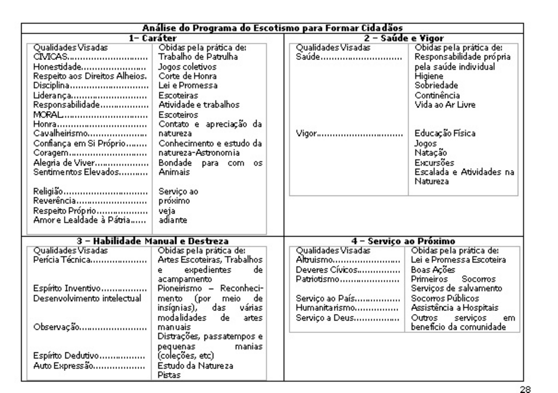| Análise do Programa do Escotismo para Formar Cidadãos                                                                                                                                          |                                                                                                                                                                                                                                |                                             |                                                                                                                                                                      |  |
|------------------------------------------------------------------------------------------------------------------------------------------------------------------------------------------------|--------------------------------------------------------------------------------------------------------------------------------------------------------------------------------------------------------------------------------|---------------------------------------------|----------------------------------------------------------------------------------------------------------------------------------------------------------------------|--|
| 1- Caráter                                                                                                                                                                                     |                                                                                                                                                                                                                                | 2 – Saúde e Vigor                           |                                                                                                                                                                      |  |
| Qualidades Visadas<br>CIVICAS<br>Honestidade<br>Respeito aos Direitos Alheios.<br>Disciplina<br>Liderança<br>Responsabilidade<br>MORAL<br>Honra<br>Cavalheirismo<br>Confiança em Si Próprio……… | Obidas pela prática de:<br>Trabalho de Patrulha<br>Jogos coletivos<br>Corte de Honra<br>Lei e Promessa<br>Escoteiras<br>Atividade e trabalhos<br>Escoteiros<br>Contato e apreciação da<br>natureza<br>Conhecimento e estudo da | Qualidades Visadas<br>Saúde<br>Vigor        | Obidas pela prática de:<br>Responsabilidade própria<br>pela saúde individual<br>Higiene<br>Sobriedade<br>Continência<br>Vida ao Ar Livre<br>Educação Física<br>Jogos |  |
| Coragem<br>Alegria de Viver<br>Sentimentos Elevados<br>Religião<br>Reverência<br>Respeito Próprio<br>Amore Lealdade à Pátria……<br>3 - Habilidade Manual e Destreza                             | natureza-Astronomia<br>Bondade para com os<br>Animais<br>Serviço ao<br>próximo<br>veia<br>adiante.                                                                                                                             |                                             | Natação<br>Excursões<br>Escalada e Atividades na<br>Natureza                                                                                                         |  |
| Qualidades Visadas                                                                                                                                                                             | Obidas pela prática de:                                                                                                                                                                                                        | Qualidades Visadas                          | 4 - Serviço ao Próximo<br>Obidas pela prática de:                                                                                                                    |  |
| Perícia Técnica                                                                                                                                                                                | Artes Escoteiras, Trabalhos<br>expedientes<br>del<br>e<br>acampamento                                                                                                                                                          | Altruismo<br>Deveres Cívicos<br>Patriotismo | Lei e Promessa Escoteira<br>Boas Ações<br>Socomos<br>Primeiros                                                                                                       |  |
| Espírito Inventivo<br>Desenvolvimento intelectual                                                                                                                                              | Pioneirismo – Reconheci-<br>mento (por<br>meio<br>de.<br>insígnias),<br>várias<br>das                                                                                                                                          | Serviço ao País<br>Humanita rismo           | Serviços de salvamento<br>Socorros Públicos<br>Assistência a Hospitais                                                                                               |  |
| Observação                                                                                                                                                                                     | modalidades<br>de.<br>artes<br>manuais<br>Distrações, passatempos e                                                                                                                                                            | Serviço a Deus                              | Outros<br>servicos<br>em.<br>benefício da comunidade                                                                                                                 |  |
| Espírito Dedutivo<br>Auto Expressão                                                                                                                                                            | manias<br>pequenas<br>(coleções, etc)<br>Estudo da Natureza<br>Pistas                                                                                                                                                          |                                             |                                                                                                                                                                      |  |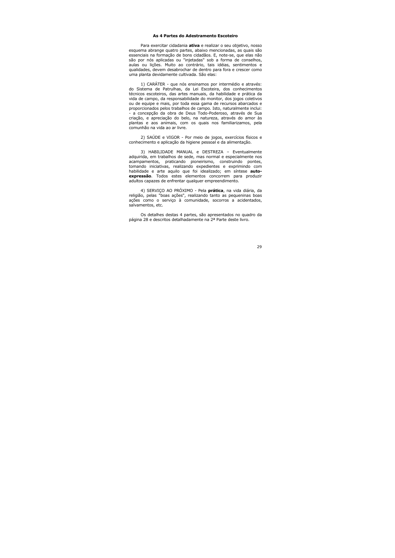#### As 4 Partes do Adestramento Escoteiro

Para exercitar cidadania ativa e realizar o seu objetivo, nosso esquema abrange quatro partes, abaixo mencionadas, as quais são essenciais na formação de bons cidadãos. E, note-se, que elas não são por nós aplicadas ou "injetadas" sob a forma de conselhos, aulas ou lições. Muito ao contrário, tais idéias, sentimentos e qualidades, devem desabrochar de dentro para fora e crescer como uma planta devidamente cultivada. São elas:

1) CARÁTER - que nós ensinamos por intermédio e através: do Sistema de Patrulhas, da Lei Escoteira, dos conhecimentos técnicos escoteiros, das artes manuais, da habilidade e prática da vida de campo, da responsabilidade do monitor, dos jogos coletivos ou de equipe e mais, por toda essa gama de recursos abarcados e proporcionados pelos trabalhos de campo. Isto, naturalmente inclui: - a concepção da obra de Deus Todo-Poderoso, através de Sua criação, e apreciação do belo, na natureza, através do amor às plantas e aos animais, com os quais nos familiarizamos, pela comunhão na vida ao ar livre.

2) SAÚDE e VIGOR - Por meio de jogos, exercícios físicos e conhecimento e aplicação da higiene pessoal e da alimentação.

3) HABILIDADE MANUAL e DESTREZA - Eventualmente adquirida, em trabalhos de sede, mas normal e especialmente nos acampamentos, praticando pioneirismo, construindo pontes, tomando iniciativas, realizando expedientes e exprimindo com habilidade e arte aguilo que foi idealizado; em síntese autoexpressão. Todos estes elementos concorrem para produzir adultos capazes de enfrentar qualquer empreendimento.

4) SERVICO AO PRÓXIMO - Pela **prática**, na vida diária, da religião, pelas "boas ações", realizando tanto as pequeninas boas ações como o serviço à comunidade, socorros a acidentados, salvamentos, etc.

Os detalhes destas 4 partes, são apresentados no quadro da página 28 e descritos detalhadamente na 2ª Parte deste livro.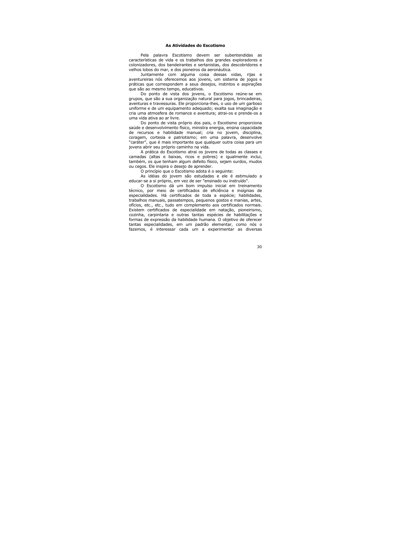## As Atividades do Escotismo

Pela palavra Escotismo devem ser subentendidas as características de vida e os trabalhos dos grandes exploradores e colonizadores, dos bandeirantes e sertanistas, dos descobridores e velhos lobos do mar, e dos pioneiros da aeronáutica.

Juntamente com alguma coisa dessas vidas, rijas e aventureiras nós oferecemos aos jovens, um sistema de jogos e práticas que correspondem a seus desejos, instintos e aspirações que são ao mesmo tempo, educativos.

Do ponto de vista dos jovens, o Escotismo reúne-se em grupos, que são a sua organização natural para jogos, brincadeiras, aventuras e travessuras. Ele proporciona-lhes, o uso de um garboso uniforme e de um equipamento adequado; exalta sua imaginação e cria uma atmosfera de romance e aventura; atrai-os e prende-os a uma vida ativa ao ar livre.

Do ponto de vista próprio dos pais, o Escotismo proporciona saúde e desenvolvimento físico, ministra energia, ensina capacidade de recursos e habilidade manual; cria no jovem, disciplina, coragem, cortesia e patriotismo; em uma palavra, desenvolve "caráter", que é mais importante que qualquer outra coisa para um jovens abrir seu próprio caminho na vida.

A prática do Escotismo atrai os jovens de todas as classes e camadas (altas e baixas, ricos e pobres) e igualmente inclui, também, os que tenham algum defeito físico, sejam surdos, mudos ou cegos. Ele inspira o desejo de aprender.

O princípio que o Escotismo adota é o seguinte:

As idéias do jovem são estudadas e ele é estimulado a educar-se a si próprio, em vez de ser "ensinado ou instruído".

O Escotismo dá um bom impulso inicial em treinamento técnico, por mejo de certificados de eficiência e insígnias de especialidades. Há certificados de toda a espécie; habilidades, trabalhos manuais, passatempos, pequenos gostos e manias, artes, ofícios, etc., etc., tudo em complemento aos certificados normais. Existem certificados de especialidade em natação, pioneirismo, cozinha, carpintaria e outras tantas espécies de habilitações e formas de expressão da habilidade humana. O objetivo de oferecer tantas especialidades, em um padrão elementar, como nós o fazemos, é interessar cada um a experimentar as diversas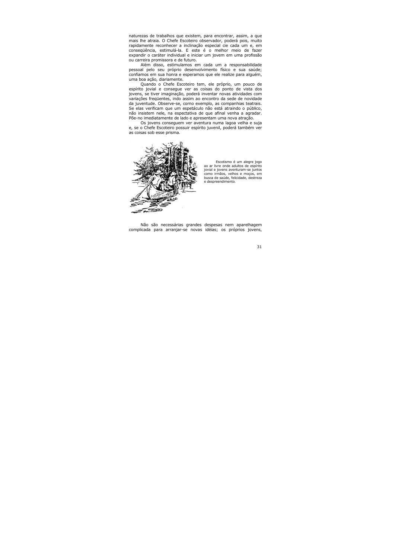naturezas de trabalhos que existem, para encontrar, assim, a que mais lhe atraia. O Chefe Escoteiro observador, poderá pois, muito rapidamente reconhecer a inclinação especial cie cada um e, em consegüência, estimulá-la. E este é o melhor meio de fazer expandir o caráter individual e iniciar um jovem em uma profissão ou carreira promissora e de futuro.

Além disso, estimulamos em cada um a responsabilidade pessoal pelo seu próprio desenvolvimento físico e sua saúde; confiamos em sua honra e esperamos que ele realize para alguém, uma boa ação, diariamente.

Quando o Chefe Escoteiro tem, ele próprio, um pouco de espírito jovial e consegue ver as coisas do ponto de vista dos jovens, se tiver imaginação, poderá inventar novas atividades com variações freqüentes, indo assim ao encontro da sede de novidade da juventude. Observe-se, corno exemplo, as companhias teatrais. Se elas verificam que um espetáculo não está atraindo o público, não insistem nele, na espectativa de que afinal venha a agradar. Põe-no imediatamente de lado e apresentam uma nova atração.

Os jovens consequem ver aventura numa lagoa velha e suja e, se o Chefe Escoteiro possuir espírito juvenil, poderá também ver as coisas sob esse prisma.



Escotismo é um alegre jogo ao ar livre onde adultos de espírito jovial e jovens aventuram-se juntos como irmãos, velhos e moços, em busca de saúde, felicidade, destreza e despreendimento.

Não são necessárias grandes despesas nem aparelhagem complicada para arranjar-se novas idéias; os próprios jovens,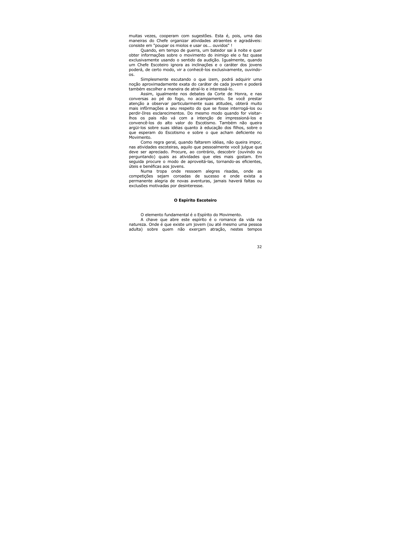muitas vezes, cooperam com sugestões. Esta é, pois, uma das maneiras do Chefe organizar atividades atraentes e agradáveis: consiste em "poupar os miolos e usar os... ouvidos" !

Quando, em tempo de querra, um batedor sai à noite e quer obter informações sobre o movimento do inimigo ele o faz quase exclusivamente usando o sentido da audição. Igualmente, guando um Chefe Escoteiro ignora as inclinações e o caráter dos jovens poderá, de certo modo, vir a conhecê-los exclusivamente, ouvindons.

Simplesmente escutando o que izem, podrá adquirir uma nocão aproximadamente exata do caráter de cada jovem e poderá também escolher a maneira de atraí-lo e interessá-lo.

Assim, iqualmente nos debates da Corte de Honra, e nas conversas ao pé do fogo, no acampamento. Se você prestar atenção a observar particularmente suas atitudes, obterá muito mais infôrmações a seu respeito do que se fosse interrogá-los ou perdir-Ilres esclarecimentos. Do mesmo modo quando for visitarlhos os pais não vá com a intenção de impressioná-los e convencê-los do alto valor do Escotismo. Também não queira argüi-los sobre suas idéias quanto à educação dos filhos, sobre o que esperam do Escotismo e sobre o que acham deficiente no Movimento.

Como regra geral, guando faltarem idéias, não queira impor, nas atividades escoteiras, aquilo que pessoalmente você julgue que deve ser apreciado. Procure, ao contrário, descobrir (ouvindo ou perguntando) quais as atividades que eles mais gostam. Em sequida procure o modo de aproveitá-las, tornando-as eficientes, úteis e benéficas aos jovens.

Numa tropa onde ressoem alegres risadas, onde as competições sejam coroadas de sucesso e onde exista a permanente alegria de novas aventuras, jamais haverá faltas ou exclusões motivadas por desinteresse.

## O Espírito Escoteiro

O elemento fundamental é o Espírito do Movimento.

A chave que abre este espírito é o romance da vida na natureza. Onde é que existe um jovem (ou até mesmo uma pessoa adulta) sobre quem não exercam atração, nestes tempos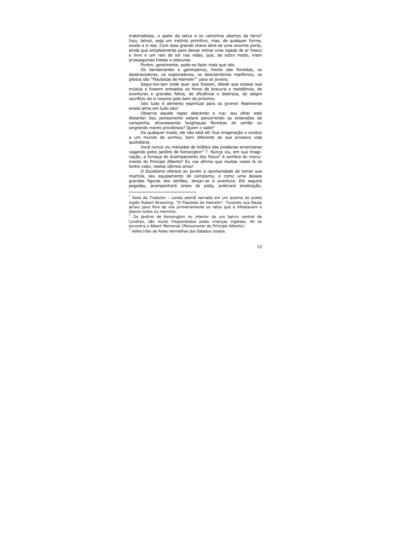materialistas, o apelo da selva e os caminhos abertos da terra? Isso, talvez, seja um instinto primitivo, mas, de qualquer forma, existe e é real. Com essa grande chave abre-se uma enorme porta, ainda que simplesmente para deixar entrar uma rajada de ar fresco e livre e um raio de sol nas vidas, que, de outro modo, iriam prossequindo tristes e obscuras.

Porém, geralmente, pode-se fazer mais que isto.

Os bandeirantes e garimpeiros, heróis das florestas, os desbravadores, os exploradores, os descobridores marítimos, os pilotos são "Flautistas de Hamelin"<sup>1</sup> para os jovens.

Segui-los-iam onde quer que fossem, desde que soasse sua música e fossem entoados os hinos de bravura e resistência, de aventuras e grandes feitos, de eficiência e destreza, do alegre sacrifício de si mesmo pelo bem do próximo.

Isto tudo é alimento espiritual para os jovens! Realmente existe alma em tudo isto!

Observa aquele rapaz descendo a rua: seu olhar está distante! Seu pensamento estará percorrendo as extensões da campanha, atravessando longínquas florestas do sertão ou singrando mares procelosos? Quem o sabe?

De qualquer modo, ele não está ali! Sua imaginação o conduz a um mundo de sonhos, bem diferente de sua prosaica vida quotidiana.

Você nunca viu manadas de búfalos das pradarias americanas vagando pelos jardins de Kensington<sup>2</sup> ?. Nunca viu, em sua imaginação, a fumaça do Acampamento dos Sioux<sup>3</sup> à sombra do monumento do Príncipe Alberto? Eu vos afirmo que muitas vezes lá os tenho visto, nestes últimos anos!

O Escotismo oferece ao jovem a oportunidade de tomar sua mochila, seu equipamento de campismo, e como uma dessas grandes figuras dos sertões, lançar-se à aventura. Ele seguirá pegadas, acompanhará sinais de pista, praticará sinalização,

<sup>&</sup>lt;sup>1</sup> Nota do Tradutor - Lenda alemã narrada em um poema do poeta inglês Robert Browning: "O Flautista de Hamelin". Tocando sua flauta atraiu para fora da vila primeiramente os ratos que a infestavam e depois todos os meninos.

<sup>&</sup>lt;sup>2</sup> Os jardins de Kensington no interior de um bairro central de Londres, são muito fregüentados pelas criancas inglesas. Ali se encontra o Albert Memorial (Monumento do Príncipe Alberto).

 $3$  Velha tribo de Peles Vermelhas dos Estados Unidos.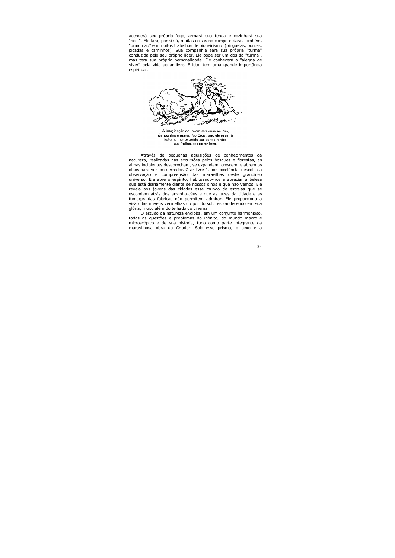acenderá seu próprio fogo, armará sua tenda e cozinhará sua "bóia". Ele fará, por si só, muitas coisas no campo e dará, também, "uma mão" em muitos trabalhos de pioneirismo (pinguelas, pontes, picadas e caminhos). Sua companhia será sua própria "turma" conduzida pelo seu próprio líder. Ele pode ser um dos da "turma", mas terá sua própria personalidade. Ele conhecerá a "alegria de viver" pela vida ao ar livre. E isto, tem uma grande importância espiritual.



A imaginação do jovem atravessa sertões, campanhas e mares. No Escotismo ele se sente fraternalmente unido aos bandeirantes aos índios, aos sertanistas.

Através de pequenas aquisições de conhecimentos da natureza, realizadas nas excursões pelos bosques e florestas, as almas incipientes desabrocham, se expandem, crescem, e abrem os olhos para ver em derredor. O ar livre é, por excelência a escola da observação e compreensão das maravilhas deste grandioso universo. Ele abre o espírito, habituando-nos a apreciar a beleza que está diariamente diante de nossos olhos e que não vemos. Ele revela aos jovens das cidades esse mundo de estrelas que se escondem atrás dos arranha-céus e que as luzes da cidade e as fumaças das fábricas não permitem admirar. Ele proporciona a visão das nuvens vermelhas do por do sol, resplandecendo em sua glória, muito além do telhado do cinema.

O estudo da natureza engloba, em um conjunto harmonioso, todas as questões e problemas do infinito, do mundo macro e microscópico e de sua história, tudo como parte integrante da maravilhosa obra do Criador. Sob esse prisma, o sexo e a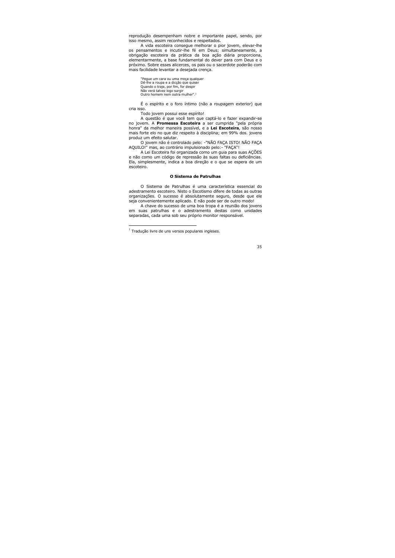reprodução desempenham nobre e importante papel, sendo, por isso mesmo, assim reconhecidos e respeitados.

A vida escoteira conseque melhorar o pior jovem, elevar-lhe os pensamentos e incutir-lhe fé em Deus; simultaneamente, a obrigação escoteira da prática da boa ação diária proporciona, elementarmente, a base fundamental do dever para com Deus e o próximo. Sobre esses alicerces, os pais ou o sacerdote poderão com mais facilidade levantar a desejada crença.

"Pegue um cara ou uma moça qualquer Dê-lhe a roupa e a diccão que quiser Quando o traje, por fim, for despir Não verá talvez logo surgir Outro homem nem outra mulher".<sup>1</sup>

É o espírito e o foro íntimo (não a roupagem exterior) que cria isso.

Todo jovem possui esse espírito!

A questão é que você tem que captá-lo e fazer expandir-se no jovem. A **Promessa Escoteira** a ser cumprida "pela própria honra" da melhor maneira possível, e a Lei Escoteira, são nosso mais forte elo no que diz respeito à disciplina; em 99% dos. jovens produz um efeito salutar.

O jovem não é controlado pelo: -"NÃO FAÇA ISTO! NÃO FAÇA AQUILO!" mas, ao contrário impulsionado pelo:- "FACA"!

A Lei Escoteira foi organizada como um quia para suas AÇÕES e não como um código de repressão às suas faltas ou deficiências. Ela, simplesmente, indica a boa direção e o que se espera de um escoteiro.

#### O Sistema de Patrulhas

O Sistema de Patrulhas é uma característica essencial do adestramento escoteiro. Nisto o Escotismo difere de todas as outras organizações. O sucesso é absolutamente seguro, desde que ele seja convenientemente aplicado. E não pode ser de outro modo!

A chave do sucesso de uma boa tropa é a reunião dos jovens em suas patrulhas e o adestramento destas como unidades separadas, cada uma sob seu próprio monitor responsável.

 $1$  Traducão livre de uns versos populares ingleses.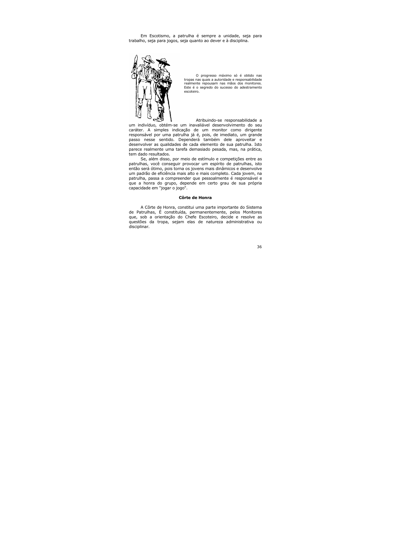Em Escotismo, a patrulha é sempre a unidade, seja para trabalho, seja para jogos, seja quanto ao dever e à disciplina.



O progresso máximo só é obtido nas tropas nas quais a autoridade e responsabilidade realmente repousam nas mãos dos monitores. Este é o segredo do sucesso do adestramento escoteiro.

Atribuindo-se responsabilidade a um indivíduo, obtém-se um inavaliável desenvolvimento do seu caráter. A simples indicação de um monitor como dirigente responsável por uma patrulha já é, pois, de imediato, um grande passo nesse sentido. Dependerá também dele aproveitar e desenvolver as qualidades de cada elemento de sua patrulha. Isto parece realmente uma tarefa demasiado pesada, mas, na prática, tem dado resultados.

Se, além disso, por meio de estímulo e competições entre as patrulhas, você conseguir provocar um espírito de patrulhas, isto então será ótimo, pois torna os jovens mais dinâmicos e desenvolve um padrão de eficiência mais alto e mais completo. Cada jovem, na patrulha, passa a compreender que pessoalmente é responsável e que a honra do grupo, depende em certo grau de sua própria capacidade em "jogar o jogo".

#### Côrte de Honra

A Côrte de Honra, constitui uma parte importante do Sistema de Patrulhas, É constituída, permanentemente, pelos Monitores que, sob a orientação do Chefe Escoteiro, decide e resolve as questões da tropa, sejam elas de natureza administrativa ou disciplinar.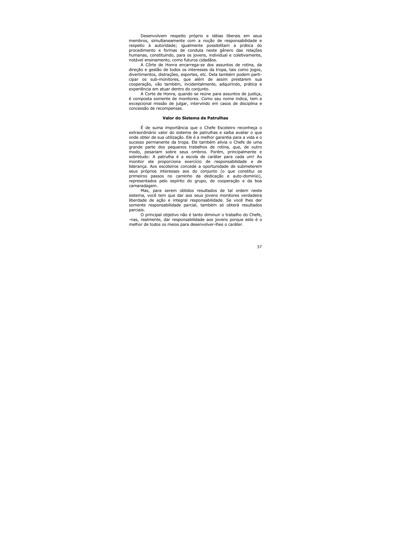Desenvolvem respeito próprio e idéias liberais em seus membros, simultaneamente com a noção de responsabilidade e respeito à autoridade; iqualmente possibilitam a prática do procedimento e formas de conduta neste gênero das relações humanas, constituindo, para os jovens, individual e coletivamente, notável ensinamento, como futuros cidadãos.

A Côrte de Honra encarrega-se dos assuntos de rotina, da direção e gestão de todos os interesses da tropa, tais como jogos, divertimentos, distrações, esportes, etc. Dela também podem participar os sub-monitores, que além de assim prestarem sua cooperação, vão também, incidentalmente, adquirindo, prática e experiência em atuar dentro do conjunto.

A Corte de Honra, quando se reúne para assuntos de justica, é composta somente de monitores. Como seu nome indica, tem a excepcional missão de julgar, intervindo em casos de disciplina e concessão de recompensas.

#### Valor do Sistema de Patrulhas

É de suma importância que o Chefe Escoteiro reconheca o extraordinário valor do sistema de patrulhas e saiba avaliar o que onde obter de sua utilização. Ele é a melhor garantia para a vida e o sucesso permanente da tropa. Ele também alivia o Chefe de uma grande parte dos pequenos trabalhos de rotina, que, de outro modo, pesariam sobre seus ombros. Porém, principalmente e sobretudo: A patrulha é a escola de caráter para cada um! Ao monitor ela proporciona exercício de responsabilidade e de liderança. Aos escoteiros concede a oportunidade de submeterem seus próprios interesses aos do conjunto (o que constitui os primeiros passos no caminho da dedicação e auto-domínio), representados pelo espírito do grupo, de cooperação e da boa camaradagem.

Mas, para serem obtidos resultados de tal ordem neste sistema, você tem que dar aos seus jovens monitores verdadeira liberdade de ação e integral responsabilidade. Se você lhes der somente responsabilidade parcial, também só obterá resultados parciais.

O principal objetivo não é tanto diminuir o trabalho do Chefe, -nas, realmente, dar responsabilidade aos jovens porque este é o melhor de todos os meios para desenvolver-lhes o caráter.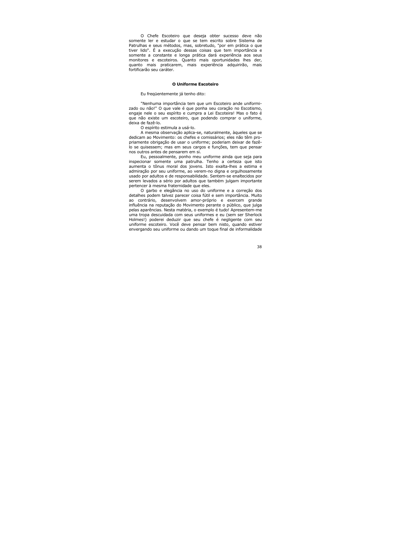O Chefe Escoteiro que deseja obter sucesso deve não somente ler e estudar o que se tem escrito sobre Sistema de Patrulhas e seus métodos, mas, sobretudo, "por em prática o que tiver lido". É a execução dessas coisas que tem importância e somente a constante e longa prática dará experiência aos seus monitores e escoteiros. Ouanto mais oportunidades lhes der. quanto mais praticarem, mais experiência adquirirão, mais fortificarão seu caráter.

#### O Uniforme Escoteiro

Eu freqüentemente já tenho dito:

"Nenhuma importância tem que um Escoteiro ande uniformizado ou não!" O que vale é que ponha seu coração no Escotismo, engaje nele o seu espírito e cumpra a Lei Escoteira! Mas o fato é que não existe um escoteiro, que podendo comprar o uniforme, deixa de fazê-lo.

O espírito estimula a usá-lo.

A mesma observação aplica-se, naturalmente, àqueles que se dedicam ao Movimento: os chefes e comissários; eles não têm propriamente obrigação de usar o uniforme; poderiam deixar de fazêlo se quisessem; mas em seus cargos e funções, tem que pensar nos outros antes de pensarem em si.

Eu, pessoalmente, ponho meu uniforme ainda que seja para inspecionar somente uma patrulha. Tenho a certeza que isto aumenta o tônus moral dos jovens. Isto exalta-lhes a estima e admiração por seu uniforme, ao verem-no digna e orgulhosamente usado por adultos e de responsabilidade. Sentem-se enaltecidos por serem levados a sério por adultos que também julgam importante pertencer à mesma fraternidade que eles.

O garbo e elegância no uso do uniforme e a correção dos detalhes podem talvez parecer coisa fútil e sem importância. Muito ao contrário, desenvolvem amor-próprio e exercem grande influência na reputação do Movimento perante o público, que julga pelas aparências. Nesta matéria, o exemplo é tudo! Apresentem-me uma tropa descuidada com seus uniformes e eu (sem ser Sherlock Holmes!) poderei deduzir que seu chefe é negligente com seu uniforme escoteiro. Você deve pensar bem nisto, quando estiver envergando seu uniforme ou dando um toque final de informalidade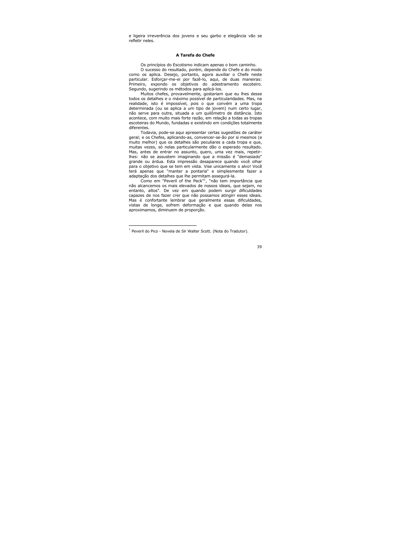e ligeira irreverência dos jovens e seu garbo e elegância vão se refletir neles.

## A Tarefa do Chefe

Os princípios do Escotismo indicam apenas o bom caminho.

O sucesso do resultado, porém, depende do Chefe e do modo como os aplica. Desejo, portanto, agora auxiliar o Chefe neste particular. Esforçar-me-ei por fazê-lo, aqui, de duas maneiras: Primeiro, expondo os objetivos do adestramento escoteiro. Segundo, sugerindo os métodos para aplicá-los.

Muitos chefes, provavelmente, gostariam que eu lhes desse todos os detalhes e o máximo possível de particularidades. Mas, na realidade, isto é impossível, pois o que convém a uma tropa determinada (ou se aplica a um tipo de jovem) num certo lugar, não serve para outra, situada a um quilômetro de distância. Isto acontece, com muito mais forte razão, em relação a todas as tropas escoteiras do Mundo, fundadas e existindo em condições totalmente diferentes.

Todavia, pode-se aqui apresentar certas sugestões de caráter geral; e os Chefes, aplicando-as, convencer-se-ão por si mesmos (e muito melhor) que os detalhes são peculiares a cada tropa e que, muitas vezes, só nelas particularmente dão o esperado resultado. Mas, antes de entrar no assunto, quero, uma vez mais, repetirlhes: não se assustem imaginando que a missão é "demasiado" grande ou árdua. Esta impressão desaparece quando você olhar para o objetivo que se tem em vista. Vise unicamente o alvo! Você terá apenas que "manter a pontaria" e simplesmente fazer a adaptação dos detalhes que lhe permitam assegurá-la.

Como em "Peveril of the Peck"<sup>1</sup>, "não tem importância que não alcancemos os mais elevados de nossos ideais, que sejam, no entanto, altos". De vez em quando podem surgir dificuldades capazes de nos fazer crer que não possamos atingirr esses ideais. Mas é confortante lembrar que geralmente essas dificuldades, vistas de longe, sofrem deformação e que quando delas nos aproximamos, diminuem de proporção.

<sup>&</sup>lt;sup>1</sup> Peveril do Pico - Novela de Sir Walter Scott. (Nota do Tradutor).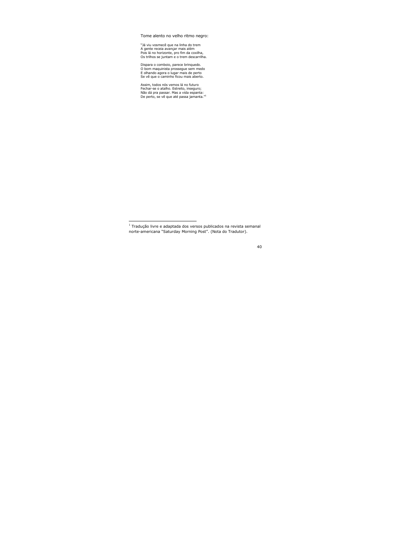Tome alento no velho ritmo negro:

"Já viu vosmecê que na linha do trem A gente receja avancar mais além Pois lá no horizonte, pro fim da coxilha, Os trilhos se juntam e o trem descarrilha.

Dispara o comboio, parece brinquedo. O bom maguinista prossegue sem medo E olhando agora o lugar mais de perto Se vê que o caminho ficou mais aberto.

Assim, todos nós vemos lá no futuro Fechar-se o atalho. Estreito, inseguro; Não dá pra passar. Mas a vida espanta: De perto, se vê que até passa jamanta."<sup>1</sup>

 $1$ Traducão livre e adaptada dos versos publicados na revista semanal norte-americana "Saturday Morning Post". (Nota do Tradutor).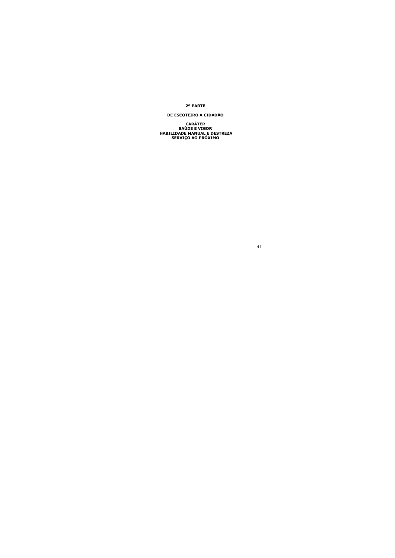### 2ª PARTE

# DE ESCOTEIRO A CIDADÃO

**CARÁTER SAÚDE E VIGOR** HABILIDADE MANUAL E DESTREZA SERVIÇO AO PRÓXIMO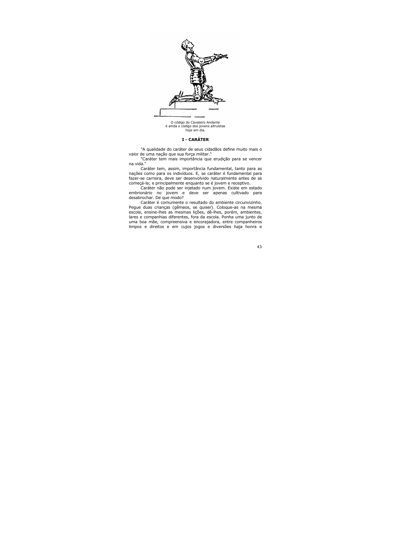

O código do Cavaleiro Andante é ainda o código dos jovens altruístas hoie em dia.

# I - CARÁTER

"A qualidade do caráter de seus cidadãos define muito mais o valor de uma nação que sua força militar."

"Caráter tem mais importância que erudição para se vencer na vida."

Caráter tem, assim, importância fundamental, tanto para as nações como para os indivíduos. E, se caráter é fundamental para fazer-se carreira, deve ser desenvolvido naturalmente antes de se começá-la; e principalmente enquanto se é jovem e receptivo.

Caráter não pode ser injetado num jovem. Existe em estado embrionário no jovem e deve ser apenas cultivado para desabrochar. De que modo?

Caráter é comumente o resultado do ambiente circunvizinho. Pegue duas crianças (gêmeos, se quiser). Coloque-as na mesma escola, ensine-lhes as mesmas lições, dê-lhes, porém, ambientes, lares e companhias diferentes, fora da escola. Ponha uma junto de uma boa mãe, compreensiva e encorajadora, entre companheiros limpos e direitos e em cujos jogos e diversões haja honra e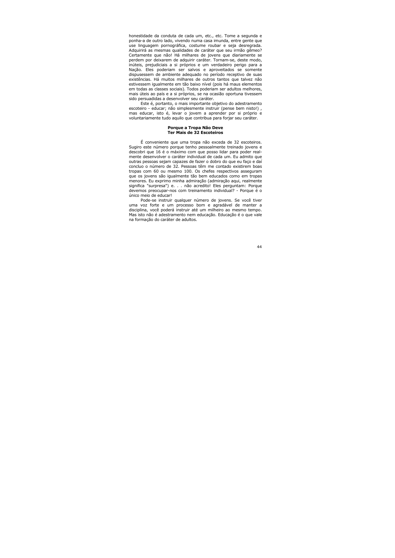honestidade da conduta de cada um, etc., etc. Tome a segunda e ponha-a de outro lado, vivendo numa casa imunda, entre gente que use linguagem pornográfica, costume roubar e seja desregrada. Adquirirá as mesmas qualidades de caráter que seu irmão gêmeo? Certamente que não! Há milhares de jovens que diariamente se perdem por deixarem de adquirir caráter. Tornam-se, deste modo, inúteis, prejudiciais a si próprios e um verdadeiro perigo para a Nação. Eles poderiam ser salvos e aproveitados se somente dispusessem de ambiente adequado no período receptivo de suas existências. Há muitos milhares de outros tantos que talvez não estivessem jqualmente em tão baixo nível (pois há maus elementos em todas as classes sociais). Todos poderiam ser adultos melhores, mais úteis ao país e a si próprios, se na ocasião oportuna tivessem sido persuadidas a desenvolver seu caráter.

Este é, portanto, o mais importante objetivo do adestramento escoteiro - educar; não simplesmente instruir (pense bem nisto!), mas educar, isto é, levar o jovem a aprender por si próprio e voluntariamente tudo aquilo que contribua para forjar seu caráter.

### Porque a Tropa Não Deve **Ter Mais de 32 Escoteiros**

É conveniente que uma tropa não exceda de 32 escoteiros. Sugiro este número porque tenho pessoalmente treinado jovens e descobri que 16 é o máximo com que posso lidar para poder realmente desenvolver o caráter individual de cada um. Eu admito que outras pessoas sejam capazes de fazer o dobro do que eu faço e daí concluo o número de 32. Pessoas têm me contado existirem boas tropas com 60 ou mesmo 100. Os chefes respectivos asseguram que os jovens são igualmente tão bem educados como em tropas menores. Eu exprimo minha admiração (admiração agui, realmente significa "surpresa") e. . . não acredito! Eles perguntam: Porque devemos preocupar-nos com treinamento individual? - Porque é o único mejo de educar!

Pode-se instruir qualquer número de jovens. Se você tiver uma voz forte e um processo bom e agradável de manter a disciplina, você poderá instruir até um milheiro ao mesmo tempo. Mas isto não é adestramento nem educação. Educação é o que vale na formação do caráter de adultos.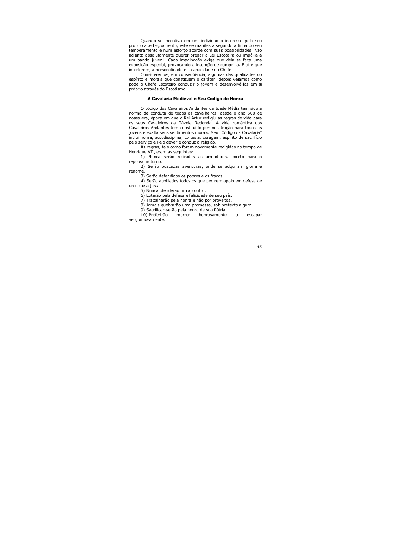Quando se incentiva em um indivíduo o interesse pelo seu próprio aperfeicoamento, este se manifesta segundo a linha do seu temperamento e num esforço acorde com suas possibilidades. Não adianta absolutamente querer pregar a Lei Escoteira ou impô-la a um bando juvenil. Cada imaginação exige que dela se faça uma exposição especial, provocando a intenção de cumpri-la. E aí é que interferem, a personalidade e a capacidade do Chefe.

Consideremos, em consegüência, algumas das gualidades do espírito e morais que constituem o caráter; depois vejamos como pode o Chefe Escoteiro conduzir o jovem e desenvolvê-las em si próprio através do Escotismo.

### A Cavalaria Medieval e Seu Código de Honra

O código dos Cavaleiros Andantes da Idade Média tem sido a norma de conduta de todos os cavalheiros, desde o ano 500 de nossa era, época em que o Rei Artur redigiu as regras de vida para os seus Cavaleiros da Távola Redonda. A vida romântica dos Cavaleiros Andantes tem constituído perene atração para todos os jovens e exalta seus sentimentos morais. Seu "Código da Cavalaria" inclui honra, autodisciplina, cortesia, coragem, espírito de sacrifício pelo servico e Pelo dever e conduz à religião.

As regras, tais como foram novamente redigidas no tempo de Henrique VII, eram as sequintes:

1) Nunca serão retiradas as armaduras, exceto para o repouso noturno.

2) Serão buscadas aventuras, onde se adquiram glória e renome.

3) Serão defendidos os pobres e os fracos.

4) Serão auxiliados todos os que pedirem apoio em defesa de una causa justa.

5) Nunca ofenderão um ao outro.

6) Lutarão pela defesa e felicidade de seu país.

7) Trabalharão pela honra e não por proveitos.

8) Jamais quebrarão uma promessa, sob pretexto algum.

9) Sacrificar-se-ão pela honra de sua Pátria.

10) Preferirão morrer honrosamente a escapar vergonhosamente.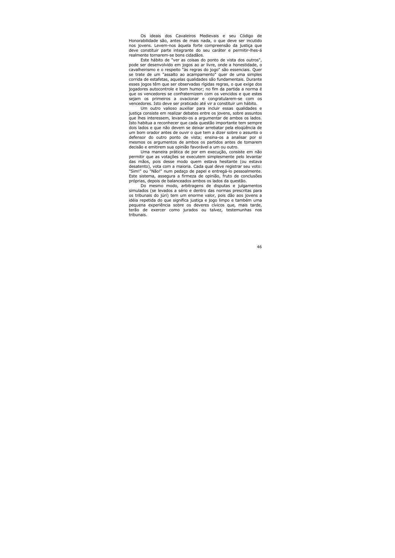Os ideais dos Cavaleiros Medievais e seu Código de Honorabilidade são, antes de mais nada, o que deve ser incutido nos jovens. Levem-nos àquela forte compreensão da justica que deve constituir parte integrante do seu caráter e permitir-lhes-á realmente tornarem-se bons cidadãos.

Este hábito de "ver as coisas do ponto de vista dos outros", pode ser desenvolvido em jogos ao ar livre, onde a honestidade, o cavalheirismo e o respeito "às regras do jogo" são essenciais. Quer se trate de um "assalto ao acampamento" quer de uma simples corrida de estafetas, aquelas qualidades são fundamentais. Durante esses jogos têm que ser observadas rígidas regras, o que exige dos jogadores autocontrole e bom humor; no fim da partida a norma é que os vencedores se confraternizem com os vencidos e que estes sejam os primeiros a ovacionar e congratularem-se com os vencedores. Isto deve ser praticado até vir a constituir um hábito.

Um outro valioso auxiliar para incluir essas qualidades e justica consiste em realizar debates entre os jovens, sobre assuntos que lhes interessem, levando-os a argumentar de ambos os lados. Isto habitua a reconhecer que cada questão importante tem sempre dois lados e que não devem se deixar arrebatar pela elogüência de um bom orador antes de ouvir o que tem a dizer sobre o assunto o defensor do outro ponto de vista; ensina-os a analisar por si mesmos os argumentos de ambos os partidos antes de tomarem decisão e emitirem sua opinião favorável a um ou outro.

Uma maneira prática de por em execução, consiste em não permitir que as votações se executem simplesmente pelo levantar das mãos, pois desse modo quem estava hesitante (ou estava desatento), vota com a maioria. Cada qual deve registrar seu voto: "Sim!" ou "Não!" num pedaço de papel e entregá-lo pessoalmente. Este sistema, assegura a firmeza de opinião, fruto de conclusões próprias, depois de balanceados ambos os lados da questão.

Do mesmo modo, arbitragens de disputas e julgamentos simulados (se levados a sério e dentro das normas prescritas para os tribunais do júri) tem um enorme valor, pois dão aos jovens a idéia repetida do que significa justiça e jogo limpo e também uma pequena experiência sobre os deveres cívicos que, mais tarde, terão de exercer como jurados ou talvez, testemunhas nos tribunais.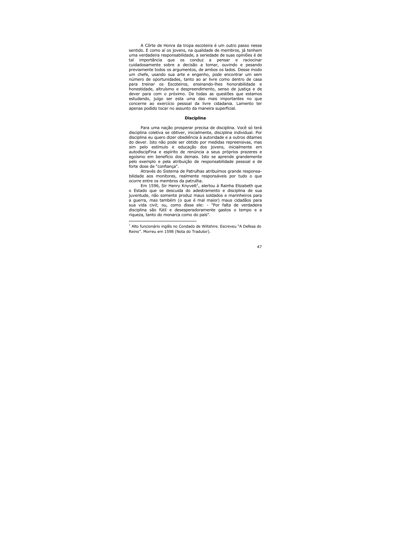A Côrte de Honra da tropa escoteira é um outro passo nesse sentido. E como aí os jovens, na qualidade de membros, já tenham uma verdadeira responsabilidade, a seriedade de suas opiniões é de importância que os conduz a pensar e raciocinar tal cuidadosamente sobre a decisão a tomar, ouvindo e pesando previamente todos os argumentos, de ambos os lados. Desse modo um chefe, usando sua arte e engenho, pode encontrar um sem número de oportunidades, tanto ao ar livre como dentro de casa para treinar os Escoteiros, ensinando-lhes honorabilidade e honestidade, altruísmo e despreendimento, senso de justica e de dever para com o próximo. De todas as questões que estamos estudando, iulgo ser esta uma das mais importantes no que concerne ao exercício pessoal da livre cidadania. Lamento ter apenas podido tocar no assunto da maneira superficial.

### **Disciplina**

Para uma nação prosperar precisa de disciplina. Você só terá disciplina coletiva se obtiver, inicialmente, disciplina individual. Por disciplina eu quero dizer obediência à autoridade e a outros ditames do dever. Isto não pode ser obtido por medidas repreensivas, mas sim pelo estímulo e educação dos jovens, inicialmente em autodiscipFina e espírito de renúncia a seus próprios prazeres e egoísmo em benefício dos demais. Isto se aprende grandemente pelo exemplo e pela atribuição de responsabilidade pessoal e de forte dose de "confiança".

Através do Sistema de Patrulhas atribuímos grande responsabilidade aos monitores, realmente responsáveis por tudo o que ocorre entre os membros da patrulha.

Em 1596, Sir Henry Knyvett<sup>1</sup>, alertou à Rainha Elizabeth que o Estado que se descuida do adestramento e disciplina de sua juventude, não somente produz maus soldados e marinheiros para a querra, mas também (o que é mal maior) maus cidadãos para sua vida civil; ou, como disse ele: - "Por falta de verdadeira disciplina são fútil e desesperadoramente gastos o tempo e a rigueza, tanto do monarca como do país".

Alto funcionário inglês no Condado de Wiltshire. Escreveu "A Defesa do Reino". Morreu em 1598 (Nota do Tradutor).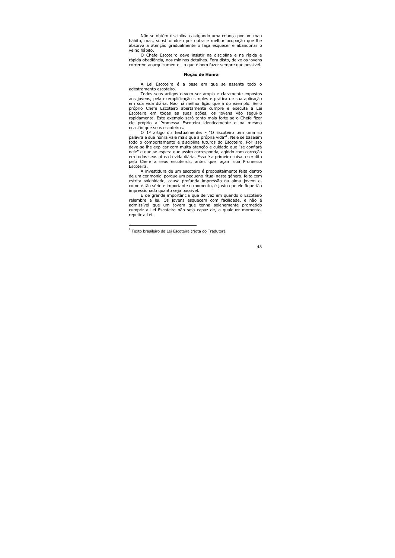Não se obtém disciplina castigando uma criança por um mau hábito, mas, substituindo-o por outra e melhor ocupação que lhe absorva a atenção gradualmente o faça esquecer e abandonar o velho hábito.

O Chefe Escoteiro deve insistir na disciplina e na rígida e rápida obediência, nos míninos detalhes. Fora disto, deixe os jovens correrem anarquicamente - o que é bom fazer sempre que possível.

### Noção de Honra

A Lei Escoteira é a base em que se assenta todo o adestramento escoteiro.

Todos seus artigos devem ser ampla e claramente expostos aos jovens, pela exemplificação simples e prática de sua aplicação em sua vida diária. Não há melhor lição que a do exemplo. Se o próprio Chefe Escoteiro abertamente cumpre e executa a Lei Escoteira em todas as suas ações, os jovens vão segui-lo rapidamente. Este exemplo será tanto mais forte se o Chefe fizer ele próprio a Promessa Escoteira identicamente e na mesma ocasião que seus escoteiros.

O 1º artigo diz textualmente: - "O Escoteiro tem uma só palavra e sua honra vale mais que a própria vida"<sup>1</sup>. Nele se baseiam todo o comportamento e disciplina futuros do Escoteiro. Por isso deve-se-lhe explicar com muita atenção e cuidado que "se confiará nele" e que se espera que assim corresponda, agindo com correção em todos seus atos da vida diária. Essa é a primeira coisa a ser dita pelo Chefe a seus escoteiros, antes que façam sua Promessa Escoteira.

A investidura de um escoteiro é propositalmente feita dentro de um cerimonial porque um pequeno ritual neste gênero, feito com estrita solenidade, causa profunda impressão na alma jovem e, como é tão sério e importante o momento, é justo que ele fique tão impressionado quanto seja possível.

É de grande importância que de vez em quando o Escoteiro relembre a lei. Os jovens esquecem com facilidade, e não é admissível que um jovem que tenha solenemente prometido cumprir a Lei Escoteira não seja capaz de, a qualquer momento, repetir a Lei.

 $1$  Texto brasileiro da Lei Escoteira (Nota do Tradutor).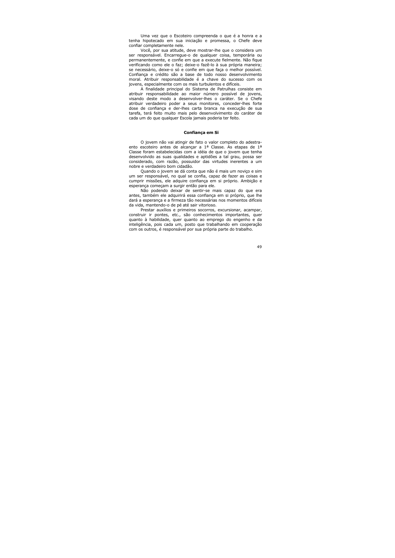Uma vez que o Escoteiro compreenda o que é a honra e a tenha hipotecado em sua iniciação e promessa, o Chefe deve confiar completamente nele.

Você, por sua atitude, deve mostrar-lhe que o considera um ser responsável. Encarregue-o de qualquer coisa, temporária ou permanentemente, e confie em que a execute fielmente. Não figue verificando como ele o faz; deixe-o fazê-lo à sua própria maneira; se necessário, deixe-o só e confie em que faça o melhor possível. Confianca e crédito são a base de todo nosso desenvolvimento moral. Atribuir responsabilidade é a chave do sucesso com os jovens, especialmente com os mais turbulentos e difíceis.

A finalidade principal do Sistema de Patrulhas consiste em atribuir responsabilidade ao maior número possível de jovens, visando deste modo a desenvolver-lhes o caráter. Se o Chefe atribuir verdadeiro poder a seus monitores, conceder-lhes forte dose de confianca e der-lhes carta branca na execução de sua tarefa, terá feito muito mais pelo desenvolvimento do caráter de cada um do que qualquer Escola jamais poderia ter feito.

### Confiança em Si

O jovem não vai atingir de fato o valor completo do adestraento escoteiro antes de alcançar a 1ª Classe. As etapas de 1ª Classe foram estabelecidas com a idéia de que o jovem que tenha desenvolvido as suas qualidades e aptidões a tal grau, possa ser considerado, com razão, possuidor das virtudes inerentes a um nobre e verdadeiro bom cidadão.

Quando o jovem se dá conta que não é mais um novico e sim um ser responsável, no qual se confia, capaz de fazer as coisas e cumprir missões, ele adquire confiança em si próprio. Ambição e esperança começam a surgir então para ele.

Não podendo deixar de sentir-se mais capaz do que era antes, também ele adquirirá essa confiança em si próprio, que lhe dará a esperança e a firmeza tão necessárias nos momentos difíceis da vida, mantendo-o de pé até sair vitorioso.

Prestar auxílios e primeiros socorros, excursionar, acampar, construir ir pontes, etc., são conhecimentos importantes, quer quanto à habilidade, quer quanto ao emprego do engenho e da inteligência, pois cada um, posto que trabalhando em cooperação com os outros, é responsável por sua própria parte do trabalho.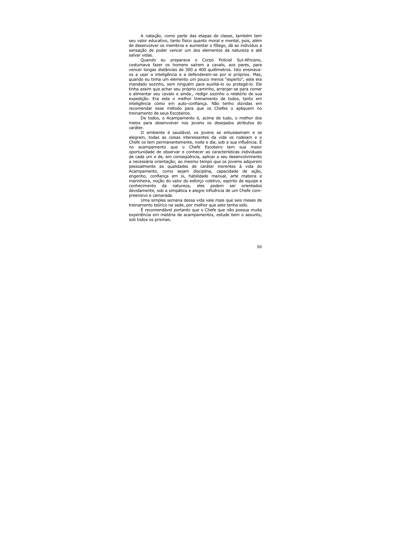A natação, como parte das etapas de classe, também tem seu valor educativo, tanto físico quanto moral e mental, pois, além de desenvolver os membros e aumentar o fôlego, dá ao indivíduo a sensação de poder vencer um dos elementos da natureza e até salvar vidas.

Quando eu preparava o Corpo Policial Sul-Africano, costumava fazer os homens saírem a cavalo, aos pares, para vencer longas distâncias de 300 a 400 quilômetros. Isto ensinavaos a usar a inteligência e a defenderem-se por si próprios. Mas, guando eu tinha um elemento um pouco menos "esperto", este era mandado sozinho, sem ninguém para auxiliá-lo ou protegê-lo. Ele tinha assim que achar seu próprio caminho, arranjar-se para comer e alimentar seu cavalo e ainda., redigir sozinho o relatório de sua expedição. Era este o melhor treinamento de todos, tanto em inteligência como em auto-confiança. Não tenho dúvidas em recomendar esse método para que os Chefes o apliquem no treinamento de seus Escoteiros.

De todos, o Acampamento é, acima de tudo, o melhor dos meios para desenvolver nos jovens os desejados atributos do caráter.

O ambiente é saudável, os jovens se entusiasmam e se alegram, todas as coisas interessantes da vida os rodeiam e o Chefe os tem permanentemente, noite e dia, sob a sua influência. É acampamento que o Chefe Escoteiro tem sua maior no oportunidade de observar e conhecer as características individuais de cada um e de, em consequência, aplicar a seu desenvolvimento a necessária orientação; ao mesmo tempo que os jovems adquirem pessoalmente as qualidades de caráter inerentes à vida do Acampamento, como sejam disciplina, capacidade de ação, engenho, confiança em si, habilidade manual, arte mateira e marinheira, noção do valor do esforço coletivo, espírito de equipe e conhecimento da natureza, eles podem ser orientados devidamente, sob a simpática e alegre influência de um Chefe compreensivo e camarada.

Uma simples semana dessa vida vale mais que seis meses de treinamento teórico na sede, por melhor que este tenha sido.

É recomendável portanto que o Chefe que não possua muita experiência em matéria de acampamentos, estude bem o assunto, sob todos os prismas.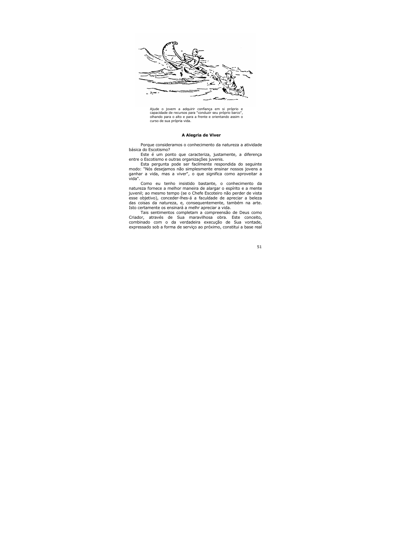

Ajude o jovem a adquirir confiança em si próprio e capacidade de recursos para "conduzir seu próprio barco", olhando para o alto e para a frente e orientando assim o curso de sua própria vida.

### A Alegria de Viver

Porque consideramos o conhecimento da natureza a atividade básica do Escotismo?

Este é um ponto que caracteriza, justamente, a diferença entre o Escotismo e outras organizações juvenis.

Esta pergunta pode ser facilmente respondida do seguinte modo: "Nós desejamos não simplesmente ensinar nossos jovens a ganhar a vida, mas a viver", o que significa como aproveitar a vida".

Como eu tenho insistido bastante, o conhecimento da natureza fornece a melhor maneira de alargar o espírito e a mente juvenil; ao mesmo tempo (se o Chefe Escoteiro não perder de vista esse objetivo), conceder-lhes-á a faculdade de apreciar a beleza das coisas da natureza, e, consequentemente, também na arte. Isto certamente os ensinará a melhr apreciar a vida.

Tais sentimentos completam a compreensão de Deus como Criador, através de Sua maravilhosa obra. Este conceito, combinado com o da verdadeira execução de Sua vontade, expressado sob a forma de servico ao próximo, constitui a base real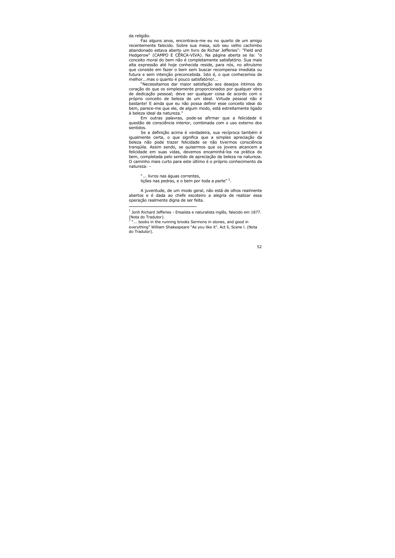da religião.

Faz alguns anos, encontrava-me eu no quarto de um amigo recentemente falecido. Sobre sua mesa, sob seu velho cachimbo abandonado estava aberto um livro de Richar Jefferies<sup>1</sup>: "Field and Hedgerow" (CAMPO E CÊRCA-VIVA). Na página aberta se lia: "o conceito moral do bem não é completamente satisfatório. Sua mais alta expressão até hoje conhecida reside, para nós, no altruísmo que consiste em fazer o bem sem buscar recompensa imediata ou futura e sem intenção preconcebida. Isto é, o que conhecemos de melhor...mas o quanto é pouco satisfatório!...

"Necessitamos dar maior satisfação aos desejos íntimos do coração do que os simplesmente proporcionados por qualquer obra de dedicação pessoal; deve ser qualquer coisa de acordo com o próprio conceito de beleza de um ideal. Virtude pessoal não é bastante! E ainda que eu não possa definir esse conceito ideai do bem, parece-me que ele, de algum modo, está estreitamente ligado à beleza ideal da natureza."

Em outras palavras, pode-se afirmar que a felicidade é questão de consciência interior, combinada com o uso externo dos sentidos.

Se a definição acima é verdadeira, sua recíproca também é igualmente certa, o que significa que a simples apreciação da beleza não pode trazer felicidade se não tivermos consciência trangüila. Assim sendo, se quisermos que os jovens alcancem a felicidade em suas vidas, devemos encaminhá-los na prática do bem, completada pelo sentido de apreciação da beleza na natureza. O caminho mais curto para este último é o próprio conhecimento da natureza: -

"... livros nas águas correntes, lições nas pedras, e o bem por toda a parte"<sup>2</sup>.

A juventude, de um modo geral, não está de olhos realmente abertos e é dada ao chefe escoteiro a alegria de realizar essa operação realmente digna de ser feita.

 $^{-1}$  Jonh Richard Jefferies - Ensaísta e naturalista inglês, falecido em 1877. (Nota do Tradutor).

<sup>&</sup>lt;sup>2</sup> ... books in the running brooks Sermons in stones, and good in everything" William Shakespeare "As you like it". Act II, Scene I. (Nota do Tradutor).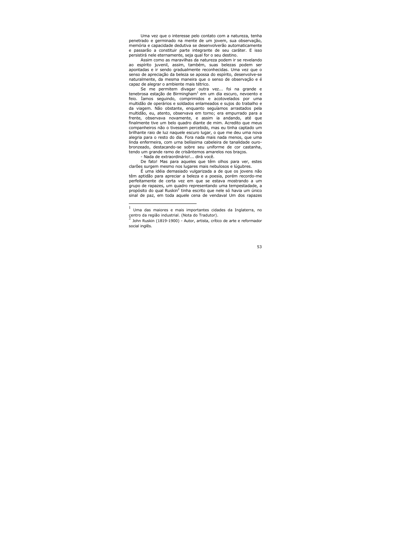Uma vez que o interesse pelo contato com a natureza, tenha penetrado e germinado na mente de um jovem, sua observação, memória e capacidade dedutiva se desenvolverão automaticamente e passarão a constituir parte integrante de seu caráter. E isso persistirá nele eternamente, seja qual for o seu destino.

Assim como as maravilhas da natureza podem ir se revelando ao espírito juvenil, assim, também, suas belezas podem ser apontadas e ir sendo gradualmente reconhecidas. Uma vez que o senso de apreciação da beleza se apossa do espírito, desenvolve-se naturalmente, da mesma maneira que o senso de observação e é capaz de alegrar o ambiente mais tétrico.

Se me permitem divagar outra vez... foi na grande e tenebrosa estação de Birmingham<sup>1</sup> em um dia escuro, nevoento e feio. Iamos seguindo, comprimidos e acotovelados por uma multidão de operários e soldados enlameados e sujos do trabalho e da viagem. Não obstante, enquanto seguíamos arrastados pela multidão, eu, atento, observava em torno; era empurrado para a frente, observava novamente, e assim ia andando, até que finalmente tive um belo quadro diante de mim. Acredito que meus companheiros não o tivessem percebido, mas eu tinha captado um brilhante raio de luz naquele escuro lugar, o que me deu uma nova alegria para o resto do dia. Fora nada mais nada menos, que uma linda enfermeira, com urna belíssima cabeleira de tanalidade ourobronzeado, destacando-se sobre seu uniforme de cor castanha, tendo um grande ramo de crisântemos amarelos nos bracos.

- Nada de extraordinário!... dirá você.

De fato! Mas para aqueles que têm olhos para ver, estes clarões surgem mesmo nos lugares mais nebulosos e lúgubres.

É uma idéia demasiado vulgarizada a de que os jovens não têm aptidão para apreciar a beleza e a poesia, porém recordo-me perfeitamente de certa vez em que se estava mostrando a um grupo de rapazes, um quadro representando uma tempestadade, a propósito do qual Ruskin<sup>2</sup> tinha escrito que nele só havia um único sinal de paz, em toda aquele cena de vendaval Um dos rapazes

<sup>1</sup> Uma das maiores e mais importantes cidades da Inglaterra, no centro da região industrial. (Nota do Tradutor).

John Ruskin (1819-1900) - Autor, artista, crítico de arte e reformador social inglês.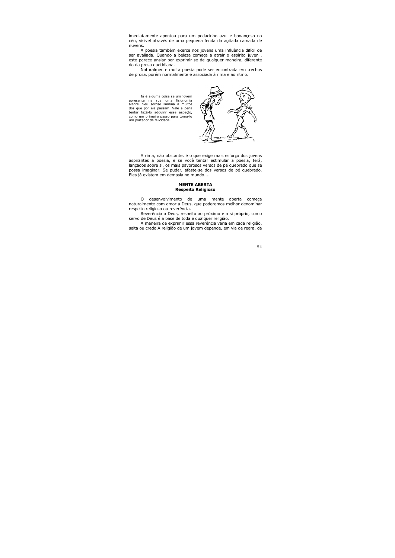imediatamente apontou para um pedacinho azul e bonançoso no céu, visível através de uma pequena fenda da agitada camada de nuvens.

A poesia também exerce nos jovens uma influência difícil de ser avaliada. Quando a beleza começa a atrair o espírito juvenil, este parece ansiar por exprimir-se de qualquer maneira, diferente do da prosa quotidiana.

Naturalmente muita poesia pode ser encontrada ern trechos de prosa, porém normalmente é associada à rima e ao ritmo.

Já é alguma coisa se um jovem apresenta na rua uma fisionomia alegre. Seu sorriso ilumina a muitos dos que por ele passam. Vale a pena tentar fazê-lo adquirir esse aspeçto, como um primeiro passo para torná-lo um portador de felicidade.



A rima, não obstante, é o que exige mais esforço dos jovens aspirantes a poesia, e se você tentar estimular a poesia, terá, lançados sobre si, os mais pavorosos versos de pé quebrado que se possa imaginar. Se puder, afaste-se dos versos de pé quebrado. Eles já existem em demasia no mundo....

### **MENTE ABERTA Respeito Religioso**

desenvolvimento de  $\Omega$  $uma$ mente aberta comeca naturalmente com amor a Deus, que poderemos melhor denominar respeito religioso ou reverência.

Reverência a Deus, respeito ao próximo e a si próprio. como servo de Deus é a base de toda e qualquer religião.

A maneira de exprimir essa reverência varia em cada religião, seita ou credo. A religião de um jovem depende, em via de regra, da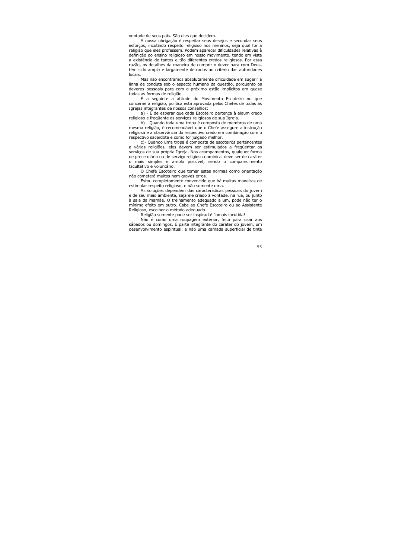vontade de seus pais. São eles que decidem.

A nossa obrigação é respeitar seus desejos e secundar seus esforcos, incutindo respeito religioso nos meninos, seja qual for a religião que eles professem. Podem aparecer dificuldades relativas à definição do ensino religioso em nosso movimento, tendo em vista a existência de tantos e tão diferentes credos religiosos. Por essa razão, os detalhes da maneira de cumprir o dever para com Deus, têm sido ampla e largamente deixados ao critério das autoridades locais.

Mas não encontramos absolutamente dificuldade em sugerir a linha de conduta sob o aspecto humano da questão, porquanto os deveres pessoais para com o próximo estão implícitos em quase todas as formas de religião.

É a sequinte a atitude do Movimento Escoteiro no que concerne à religião, política esta aprovada pelos Chefes de todas as Igreias integrantes de nossos conselhos:

a) - É de esperar que cada Escoteiro pertença à algum credo religioso e fregüente os servicos religiosos de sua Igreja.

b) - Quando toda uma tropa é composta de membros de uma mesma religião, é recomendável que o Chefe assegure a instrução religiosa e a observância do respectivo credo em combinação com o respectivo sacerdote e como for julgado melhor.

c) - Quando uma tropa é composta de escoteiros pertencentes a várias religiões, eles devem ser estimulados a freqüentar os servicos de sua própria Igreja. Nos acampamentos, qualquer forma de prece diária ou de serviço religioso dominical deve ser de caráter o mais simples e amplo possível, sendo o comparecimento facultativo e voluntário.

O Chefe Escoteiro que tomar estas normas como orientação não cometerá muitos nem graves erros.

Estou completamente convencido que há muitas maneiras de estimular respeito religioso, e não somente uma.

As soluções dependem das características pessoais do jovem e de seu meio ambiente, seja ele criado à vontade, na rua, ou junto à saia da mamãe. O treinamento adeguado a um, pode não ter o mínimo efeito em outro. Cabe ao Chefe Escoteiro ou ao Assistente Religioso, escolher o método adequado.

Religião somente pode ser inspirada! Jamais incutida!

Não é como uma roupagem exterior, feita para usar aos sábados ou domingos. É parte integrante do caráter do jovem, um desenvolvimento espiritual, e não uma camada superficial de tinta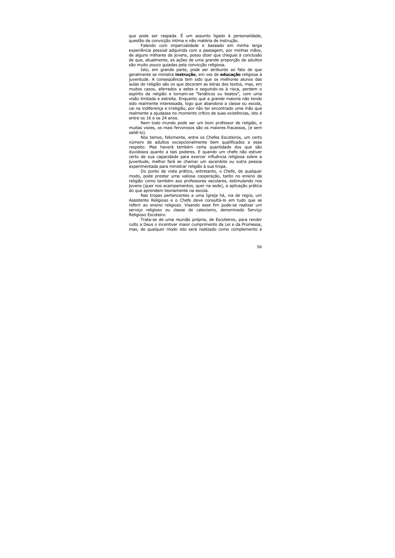que pode ser raspada. É um assunto ligado à personalidade, questão de convicção íntima e não matéria de instrução.

Falando com imparcialidade e baseado em minha larga experiência pessoal adquirida com a passagem, por minhas mãos, de alguns milhares de jovens, posso dizer que chequei à conclusão de que, atualmente, as ações de uma grande proporção de adultos são muito pouco guiadas pela convicção religiosa.

Isto, em grande parte, pode ser atriburdo ao fato de que geralmente se ministra *instrução*, em vez de educação religiosa à juventude. A consequência tem sido que os melhores alunos das aulas de religião são os que decoram as letras dos textos, mas, em muitos casos, aferrados a estes e seguindo-os à risca, perdem o espírito da religião e tornam-se "fanáticos ou beatos", com uma visão limitada e estreita. Enguanto que a grande maioria não tendo sido realmente interessada, logo que abandona a classe ou escola, cai na indiferença e irreligião, por não ter encontrado uma mão que realmente a ajudasse no momento crítico de suas existências, isto é entre os 16 e os 24 anos.

Nem todo mundo pode ser um bom professor de religião, e muitas vezes, os mais fervorosos são os majores fraçassos, (e sem sabê-lo).

Nós temos, felizmente, entre os Chefes Escoteiros, um certo número de adultos excepcionalmente bem qualificados a esse respeito. Mas haverá também certa quantidade dos que são duvidosos quanto a tais poderes. E quando um chefe não estiver certo de sua capacidade para exercer influência religiosa sobre a juventude, melhor fará se chamar um sacerdote ou outra pessoa experimentada para ministrar religião à sua tropa.

Do ponto de vista prático, entretanto, o Chefe, de qualquer modo, pode prestar uma valiosa cooperação, tanto no ensino da religião como também aos professores escolares, estimulando nos jovens (quer nos acampamentos, quer na sede), a aplicação prática do que aprendem teoriamente na escola.

Nas tropas pertencentes a uma Igreja há, via de regra, um Assistente Religioso e o Chefe deve consultá-lo em tudo que se referir ao ensino religioso. Visando esse fim pode-se realizar um serviço religioso ou classe de catecismo, denominado Serviço Religioso Escoteiro.

Trata-se de uma reunião própria, de Escoteiros, para render culto a Deus o incentivar maior cumprimento da Lei e da Promessa, mas, de qualquer modo isto será realizado como complemento e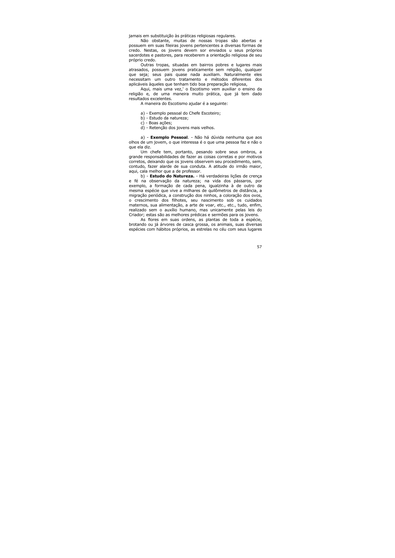jamais em substituição às práticas religiosas regulares.

Não obstante, muitas de nossas tropas são abertas e possuem em suas fileiras jovens pertencentes a diversas formas de credo. Nestas, os jovens devem sor enviados u seus próprios sacerdotes e pastores, para receberem a orientação religiosa de seu próprio credo.

Outras tropas, situadas em bairros pobres e lugares mais atrasados, possuem jovens praticamente sem religião, qualquer que seja; seus pais quase nada auxiliam. Naturalmente eles necessitam um outro tratamento e métodos diferentes dos aplicáveis àqueles que tenham tido boa preparação religiosa,

Aqui, mais uma vez,' o Escotismo vem auxiliar o ensino da religião e, de uma maneira muito prática, que já tem dado resultados excelentes.

A maneira do Escotismo ajudar é a seguinte:

- a) Exemplo pessoal do Chefe Escoteiro;
- b) Estudo da natureza;
- c) Boas acões:
- d) Retenção dos jovens mais velhos.

a) - **Exemplo Pessoal**. - Não há dúvida nenhuma que aos olhos de um jovem, o que interessa é o que uma pessoa faz e não o que ela diz.

Um chefe tem, portanto, pesando sobre seus ombros, a grande responsabilidades de fazer as coisas corretas e por motivos corretos, deixando que os jovens observem seu procedimento, sem, contudo, fazer alarde de sua conduta. A atitude do irmão maior, aqui, cala melhor que a de professor.

b) - Estudo do Natureza. - Há verdadeiras lições de crença e fé na observação da natureza; na vida dos pássaros, por exemplo, a formação de cada pena, igualzinha à de outro da mesma espécie que vive a milhares de quilômetros de distância, a migração periódica, a construção dos ninhos, a coloração dos ovos, o crescimento dos filhotes, seu nascimento sob os cuidados maternos, sua alimentação, a arte de voar, etc., etc., tudo, enfim, realizado sem o auxílio humano, mas unicamente pelas leis do Criador; estas são as melhores prédicas e sermões para os jovens.

As flores em suas ordens, as plantas de toda a espécie, brotando ou já árvores de casca grossa, os animais, suas diversas espécies com hábitos próprios, as estrelas no céu com seus lugares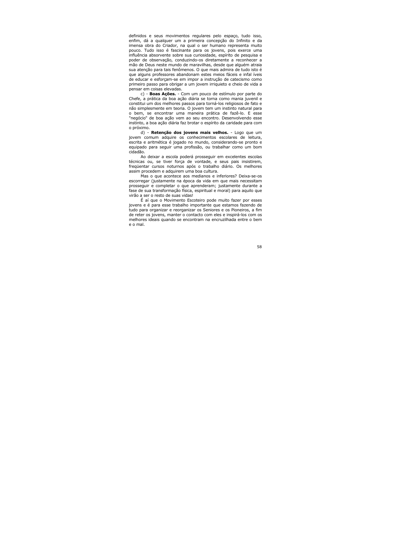definidos e seus movimentos regulares pelo espaço, tudo isso, enfim, dá a qualquer um a primeira concepção do Infinito e da imensa obra do Criador, na qual o ser humano representa muito pouco. Tudo isso é fascinante para os jovens, pois exerce uma influência absorvente sobre sua curiosidade, espírito de pesquisa e poder de observação, conduzindo-os diretamente a reconhecer a mão de Deus neste mundo de maravilhas, desde que alguém atraia sua atenção para tais fenômenos. O que mais admira de tudo isto é que alguns professores abandonam estes meios fáceis e infal íveis de educar e esforçam-se em impor a instrução de catecismo como primeiro passo para obrigar a um jovem irriquieto e chejo de vida a pensar em coisas elevadas.

c) - Boas Ações. - Com um pouco de estímulo por parte do Chefe, a prática da boa ação diária se torna como mania juvenil e constitui um dos melhores passos para torná-los religiosos de fato e não simplesmente em teoria. O jovem tem um instinto natural para o bem, se encontrar uma maneira prática de fazê-lo. E esse "negócio" de boa ação vem ao seu encontro. Desenvolvendo esse instinto, a boa ação diária faz brotar o espírito da caridade para com o próximo.

d) - Retenção dos jovens mais velhos. - Logo que um jovem comum adquire os conhecimentos escolares de leitura, escrita e aritmética é jogado no mundo, considerando-se pronto e equipado para seguir uma profissão, ou trabalhar como um bom cidadão.

Ao deixar a escola poderá prosseguir em excelentes escolas técnicas ou, se tiver força de vontade, e seus pais insistirem, freqüentar cursos noturnos após o trabalho diário. Os melhores assim procedem e adquirem uma boa cultura.

Mas o que acontece aos medianos e inferiores? Deixa-se-os escorregar (justamente na época da vida em que mais necessitam prosseguir e completar o que aprenderam; justamente durante a fase de sua transformação física, espiritual e moral) para aquilo que virão a ser o resto de suas vidas!

É aí que o Movimento Escoteiro pode muito fazer por esses jovens e é para esse trabalho importante que estamos fazendo de tudo para organizar e reorganizar os Seniores e os Pioneiros, a fim de reter os jovens, manter o contacto com eles e inspirá-los com os melhores ideais quando se encontram na encruzilhada entre o bem e o mal.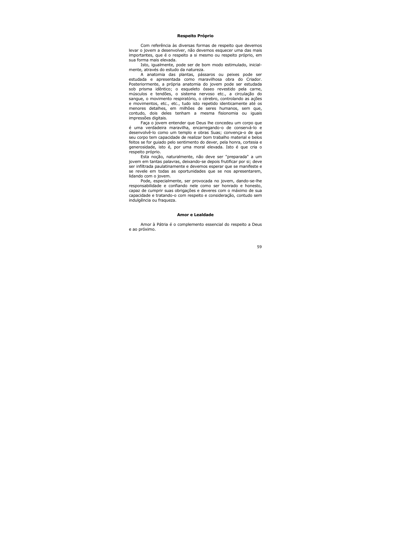# Respeito Próprio

Com referência às diversas formas de respeito que devemos levar o jovem a desenvolver, não devemos esquecer uma das mais importantes, que é o respeito a si mesmo ou respeito próprio, em sua forma mais elevada.

Isto, igualmente, pode ser de bom modo estimulado, inicialmente, através do estudo da natureza.

A anatomia das plantas, pássaros ou peixes pode ser estudada e apresentada como maravilhosa obra do Criador. Posteriormente, a própria anatomia do jovem pode ser estudada sob prisma idêntico; o esqueleto ósseo revestido pela carne, músculos e tendões, o sistema nervoso etc., a circulação do sangue, o movimento respiratório, o cérebro, controlando as ações e movimentos, etc., etc., tudo isto repetido identicamente até os menores detalhes, em milhões de seres humanos, sem que, contudo, dois deles tenham a mesma fisionomia ou iquais impressões digitais.

Faça o jovem entender que Deus lhe concedeu um corpo que é uma verdadeira maravilha, encarregando-o de conservá-lo e desenvolvê-lo como um templo e obras Suas; convença-o de que seu corpo tem capacidade de realizar bom trabalho material e belos feitos se for quiado pelo sentimento do dever, pela honra, cortesia e generosidade, isto é, por uma moral elevada. Isto é que cria o respeito próprio.

Esta noção, naturalmente, não deve ser "preparada" a um jovem em tantas palavras, deixando-se depois frutificar por si; deve ser infiltrada paulatinamente e devemos esperar que se manifeste e se revele em todas as oportunidades que se nos apresentarem, lidando com o jovem.

Pode, especialmente, ser provocada no jovem, dando-se-lhe responsabilidade e confiando nele como ser honrado e honesto, capaz de cumprir suas obrigações e deveres com o máximo de sua capacidade e tratando-o com respeito e consideração, contudo sem indulgência ou fragueza.

### Amor e Lealdade

Amor à Pátria é o complemento essencial do respeito a Deus e ao próximo.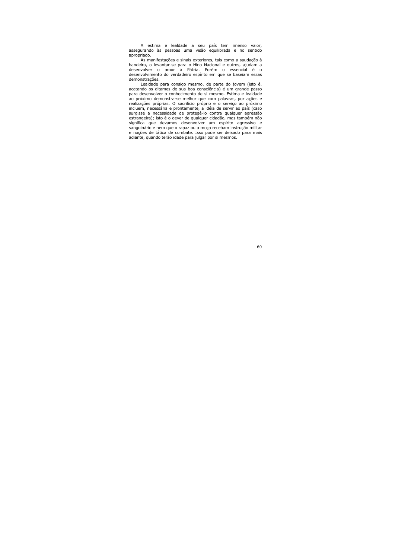A estima e lealdade a seu país tem imenso valor, assegurando às pessoas uma visão eguilibrada e no sentido apropriado.

As manifestações e sinais exteriores, tais como a saudação à bandeira, o levantar-se para o Hino Nacional e outros, ajudam a desenvolver o amor à Pátria. Porém o essencial é o desenvolvimento do verdadeiro espírito em que se baseiam essas demonstrações.

Lealdade para consigo mesmo, de parte do jovem (isto é, acatando os ditames de sua boa consciência) é um grande passo para desenvolver o conhecimento de si mesmo. Estima e lealdade ao próximo demonstra-se melhor que com palavras, por ações e realizações próprias. O sacrifício próprio e o serviço ao próximo incluem, necessária e prontamente, a idéia de servir ao país (caso surgisse a necessidade de protegê-lo contra qualquer agressão estrangeira); isto é o dever de qualquer cidadão, mas também não significa que devamos desenvolver um espírito agressivo e sanguinário e nem que o rapaz ou a moca recebam instrucão militar e noções de tática de combate. Isso pode ser deixado para mais adiante, quando terão idade para julgar por si mesmos.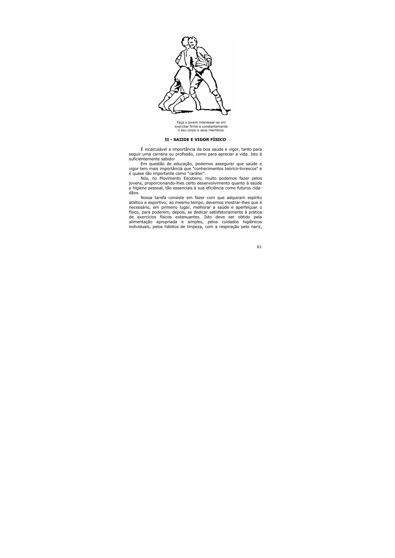

Faça o jovem interessar-se em exercitar firme e constantemente o seu corpo e seus membros.

# II - SAIIDE E VIGOR FÍSICO

É incalculável a importância da boa saúde e vigor, tanto para seguir uma carreira ou profissão, como para apreciar a vida. Isto é suficientemente sabido!

Em questão de educação, podemos assegurar que saúde e vigor tem mais importância que "conhecimentos teórico-livrescos" e é quase tão importante como "caráter".

Nós, no Movimento Escoteiro, muito podemos fazer pelos jovens, proporcionando-lhes certo desenvolvimento quanto à saúde e higiene pessoal, tão essenciais à sua eficiência como futuros cidadãos.

Nossa tarefa consiste em fazer com que adquiram espírito atlético e esportivo; ao mesmo tempo, devemos mostrar-lhes que é necessário, em primeiro lugar, melhorar a saúde e aperfeiçoar o físico, para poderem, depois, se dedicar satisfatoriamente à prática de exercícios físicos extenuantes. Isto deve ser obtido pela alimentação apropriada e simples, pelos cuidados higiênicos individuais, pelos hábitos de limpeza, com a respiração pelo nariz,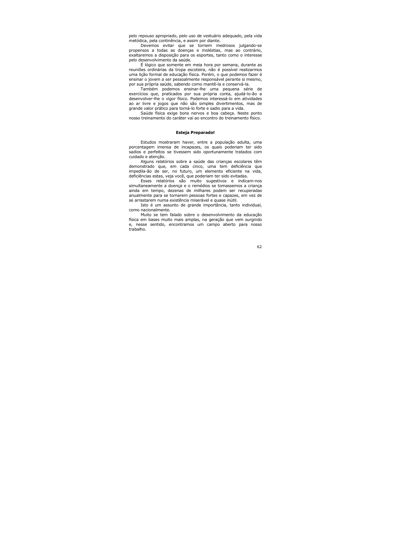pelo repouso apropriado, pelo uso de vestuário adequado, pela vida metódica, pela continência, e assim por diante.

Devemos evitar que se tornem medrosos julgando-se propensos a todas as doenças e moléstias, mas ao contrário, exaltaremos a disposição para os esportes, tanto como o interesse pelo desenvolvimento da saúde.

É lógico que somente em meia hora por semana, durante as reuniões ordinárias da tropa escoteira, não é possível realizarmos uma lição formal de educação física. Porém, o que podemos fazer é ensinar o jovem a ser pessoalmente responsável perante si mesmo, por sua própria saúde, sabendo como mantê-la e conservá-la.

Também podemos ensinar-lhe uma pequena série de exercícios que, praticados por sua própria conta, ajudá-lo-ão a desenvolver-lhe o vigor físico. Podemos interessá-lo em atividades ao ar livre e jogos que não são simples divertimentos, mas de grande valor prático para torná-lo forte e sadio para a vida.

Saúde física exige bons nervos e boa cabeça. Neste ponto nosso treinamento do caráter vai ao encontro do treinamento físico.

# **Esteja Preparado!**

Estudos mostraram haver, entre a população adulta, uma porcentagem imensa de incapazes, os quais poderiam ter sido sadios e perfeitos se tivessem sido oportunamente tratados com cuidado e atenção.

Alguns relatórios sobre a saúde das crianças escolares têm demonstrado que, em cada cinco, uma tem deficiência que impedila-ão de ser, no futuro, um elemento eficiente na vida, deficiências estas, veja você, que poderiam ter sido evitadas.

Esses relatórios são muito sugestivos e indicam-nos simultaneamente a doença e o remédios se tomassemos a criança ainda em tempo, dezenas de milhares podem ser recuperadas anualmente para se tornarem pessoas fortes e capazes, em vez de se arrastarem numa existência miserável e quase inútil.

Isto é um assunto de grande importância, tanto individual, como nacionalmente.

Muito se tem falado sobre o desenvolvimento da educação física em bases muito mais amplas, na geração que vem surgindo e, nesse sentido, encontramos um campo aberto para nosso trabalho.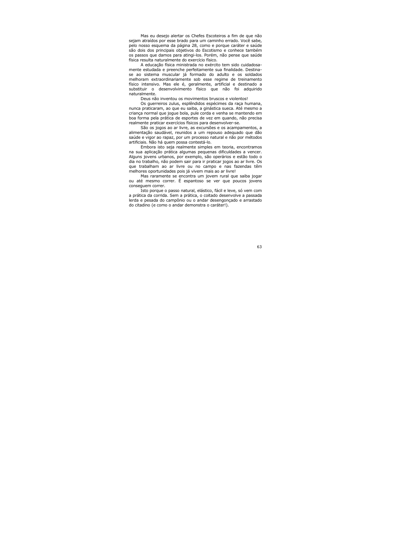Mas eu desejo alertar os Chefes Escoteiros a fim de que não sejam atraídos por esse brado para um caminho errado. Você sabe, pelo nosso esquema da página 28, como e porque caráter e saúde são dois dos principais objetivos do Escotismo e conhece também os passos que damos para atingi-los. Porém, não pense que saúde física resulta naturalmente do exercício físico.

A educação física ministrada no exército tem sido cuidadosamente estudada e preenche perfeitamente sua finalidade. Destinase ao sistema muscular já formado do adulto e os soldados melhoram extraordinariamente sob esse regime de treinamento físico intensivo. Mas ele é, geralmente, artificial e destinado a substituir o desenvolvimento físico que não foi adquirido naturalmente.

Deus não inventou os movimentos bruscos e violentos!

Os querreiros zulus, esplêndidos espécimes da raça humana, nunca praticaram, ao que eu saiba, a ginástica sueca. Até mesmo a criança normal que joque bola, pule corda e venha se mantendo em boa forma pela prática de esportes de vez em quando, não precisa realmente praticar exercícios físicos para desenvolver-se.

São os jogos ao ar livre, as excursões e os acampamentos, a alimentação saudável, reunidos a um repouso adequado que dão saúde e vigor ao rapaz, por um processo natural e não por métodos artificiais. Não há quem possa contestá-lo.

Embora isto seja realmente simples em teoria, encontramos na sua aplicação prática algumas pequenas dificuldades a vencer. Alguns jovens urbanos, por exemplo, são operários e estão todo o dia no trabalho, não podem sair para ir praticar jogos ao ar livre. Os que trabalham ao ar livre ou no campo e nas fazendas têm melhores oportunidades pois já vivem mais ao ar livre!

Mas raramente se encontra um jovem rural que saiba jogar ou até mesmo correr. É espantoso se ver que poucos jovens consequem correr.

Isto porque o passo natural, elástico, fácil e leve, só vem com a prática da corrida. Sem a prática, o coitado desenvolve a passada lerda e pesada do campônio ou o andar desengonçado e arrastado do citadino (e como o andar demonstra o caráter!).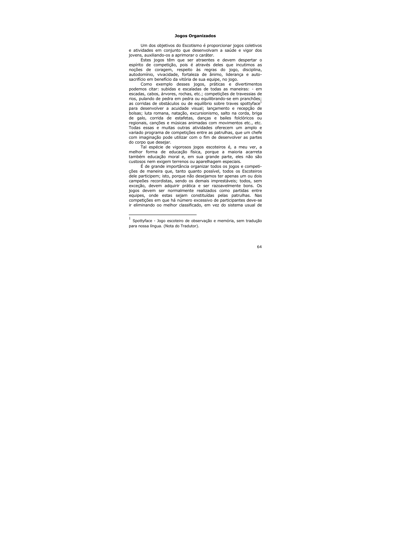# **Jogos Organizados**

Um dos objetivos do Escotismo é proporcionar jogos coletivos e atividades em conjunto que desenvolvam a saúde e vigor dos jovens, auxiliando-os a aprimorar o caráter.

Estes jogos têm que ser atraentes e devem despertar o espírito de competição, pois é através deles que incutimos as noções de coragem, respeito às regras do jogo, disciplina, autodomínio, vivacidade, fortaleza de ânimo, liderança e autosacrifício em benefício da vitória de sua equipe, no jogo.

Como exemplo desses jogos, práticas e divertimentos podemos citar: subidas e escaladas de todas as maneiras: - em escadas, cabos, árvores, rochas, etc.; competições de travessias de rios, pulando de pedra em pedra ou equilibrando-se em pranchões; as corridas de obstáculos ou de equilíbrio sobre traves spottyface<sup>1</sup> para desenvolver a acuidade visual; lançamento e recepção de bolsas; luta romana, natação, excursionismo, salto na corda, briga de galo, corrida de estafetas, danças e bailes folclóricos ou regionais, canções e músicas animadas com movimentos etc., etc. Todas essas e muitas outras atividades oferecem um amplo e variado programa de competições entre as patrulhas, que um chefe com imaginação pode utilizar com o fim de desenvolver as partes do corpo que desejar.

Tal espécie de vigorosos jogos escoteiros é, a meu ver, a melhor forma de educação física, porque a maioria acarreta também educação moral e, em sua grande parte, eles não são custosos nem exigem terrenos ou aparelhagem especiais.

É de grande importância organizar todos os jogos e competições de maneira que, tanto quanto possível, todos os Escoteiros dele participem; isto, porque não desejamos ter apenas um ou dois campeões recordistas, sendo os demais imprestáveis; todos, sem exceção, devem adquirir prática e ser razoavelmente bons. Os jogos devem ser normalmente realizados como partidas entre equipes, onde estas sejam constituídas pelas patrulhas. Nas competições em que há número excessivo de participantes deve-se ir eliminando oo melhor classificado, em vez do sistema usual de

Spottyface - Jogo escoteiro de observação e memória, sem tradução para nossa língua. (Nota do Tradutor).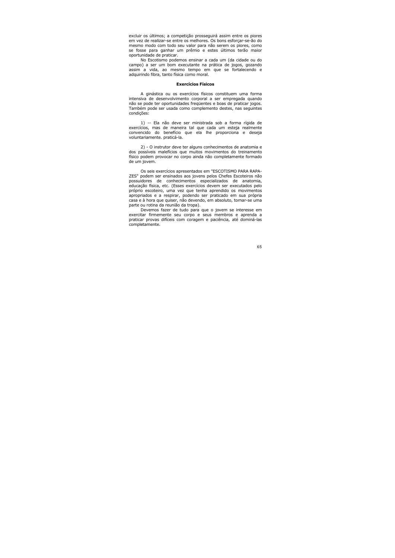excluir os últimos; a competição prosseguirá assim entre os piores em vez de realizar-se entre os melhores. Os bons esforcar-se-ão do mesmo modo com todo seu valor para não serem os piores, como se fosse para ganhar um prêmio e estes últimos terão maior oportunidade de praticar.

No Escotismo podemos ensinar a cada um (da cidade ou do campo) a ser um bom executante na prática de jogos, gozando assim a vida, ao mesmo tempo em que se fortalecendo e adquirindo fibra, tanto física como moral.

### **Exercícios Físicos**

A ginástica ou os exercícios físicos constituem uma forma intensiva de desenvolvimento corporal a ser empregada guando não se pode ter oportunidades freqüentes e boas de praticar jogos. Também pode ser usada como complemento destes, nas seguintes condições:

1) -- Ela não deve ser ministrada sob a forma rígida de exercícios, mas de maneira tal que cada um esteja realmente convencido do benefício que ela lhe proporciona e deseja voluntariamente. praticá-la.

2) - O instrutor deve ter alguns conhecimentos de anatomia e dos possíveis malefícios que muitos movimentos do treinamento físico podem provocar no corpo ainda não completamente formado de um jovem.

Os seis exercícios apresentados em "ESCOTISMO PARA RAPA-ZES" podem ser ensinados aos jovens pelos Chefes Escoteiros não possuidores de conhecimentos especializados de anatomia, educação física, etc. (Esses exercícios devem ser executados pelo próprio escoteiro, uma vez que tenha aprendido os movimentos apropriados e a respirar, podendo ser praticado em sua própria casa e à hora que quiser, não devendo, em absoluto, tornar-se uma parte ou rotina da reunião da tropa).

Devemos fazer de tudo para que o jovem se interesse em exercitar firmemente seu corpo e seus membros e aprenda a praticar provas difíceis com coragem e paciência, até dominá-las completamente.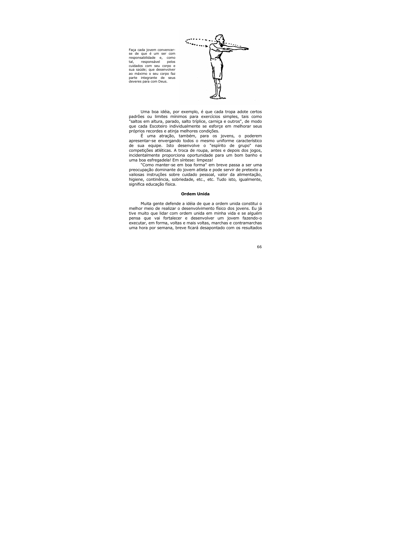

Faça cada jovem convencerse de que é um ser com responsabilidade e, como responsável tal. pelos cuidados com seu corpo e sua saúde: que desenvolver ao máximo o seu corpo faz parte integrante de seus deveres para com Deus.

Uma boa idéia, por exemplo, é que cada tropa adote certos padrões ou limites mínimos para exercícios simples, tais como "saltos em altura, parado, salto tríplice, carniça e outros", de modo que cada Escoteiro individualmente se esforce em melhorar seus próprios recordes e atinja melhores condições.

É uma atração, também, para os jovens, o poderem apresentar-se envergando todos o mesmo uniforme característico de sua equipe. Isto desenvolve o "espírito de grupo" nas competições atléticas. A troca de roupa, antes e depois dos jogos, incidentalmente proporciona oportunidade para um bom banho e uma boa esfregadela! Em síntese: limpeza!

"Como manter-se em boa forma" em breve passa a ser uma preocupação dominante do jovem atleta e pode servir de pretexto a valiosas instruções sobre cuidado pessoal, valor da alimentação, higiene, continência, sobriedade, etc., etc. Tudo isto, igualmente, significa educação física.

### **Ordem Unida**

Muita gente defende a idéia de que a ordem unida constitui o melhor meio de realizar o desenvolvimento físico dos jovens. Eu já tive muito que lidar com ordem unida em minha vida e se alguém pensa que vai fortalecer e desenvolver um jovem fazendo-o executar, em forma, voltas e mais voltas, marchas e contramarchas uma hora por semana, breve ficará desapontado com os resultados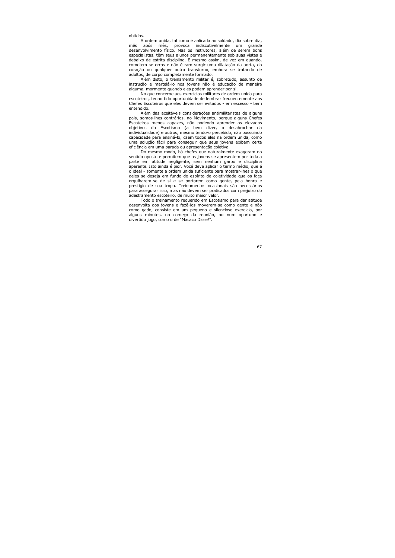obtidos.

A ordem unida, tal como é aplicada ao soldado, dia sobre dia, mês, provoca indiscutivelmente um mês após grande desenvolvimento físico. Mas os instrutores, além de serem bons especialistas, têm seus alunos permanentemente sob suas vistas e debaixo de estrita disciplina. E mesmo assim, de vez em quando, cometem-se erros e não é raro surgir uma dilatação da aorta, do coração ou qualquer outro transtorno, embora se tratando de adultos, de corpo completamente formado.

Além disto, o treinamento militar é, sobretudo, assunto de instrução e martelá-lo nos jovens não é educação de maneira alguma, mormente quando eles podem aprender por si.

No que concerne aos exercícios militares de ordem unida para escoteiros, tenho tido oportunidade de lembrar frequentemente aos Chefes Escoteiros que eles devem ser evitados - em excesso - bem entendido.

Além das aceitáveis considerações antimilitaristas de alguns pais, somos-lhes contrários, no Movimento, porque alguns Chefes Escoteiros menos capazes, não podendo aprender os elevados objetivos do Escotismo (a bem dizer, o desabrochar da individualidade) e outros, mesmo tendo-o percebido, não possuindo capacidade para ensiná-lo, caem todos eles na ordem unida, como uma solução fácil para conseguir que seus jovens exibam certa eficiência em uma parada ou apresentação coletiva.

Do mesmo modo, há chefes que naturalmente exageram no sentido oposto e permitem que os jovens se apresentem por toda a parte em atitude negligente, sem nenhum garbo e disciplina aparente. Isto ainda é pior. Você deve aplicar o termo médio, que é o ideal - somente a ordem unida suficiente para mostrar-lhes o que deles se deseja em fundo de espírito de coletividade que os faça orgulharem-se de si e se portarem como gente, pela honra e prestígio de sua tropa. Treinamentos ocasionais são necessários para assegurar isso, mas não devem ser praticados com prejuízo do adestramento escoteiro, de muito maior valor.

Todo o treinamento requerido em Escotismo para dar atitude desenvolta aos jovens e fazê-los moverem-se como gente e não como gado, consiste em um pequeno e silencioso exercício, por alguns minutos, no começo da reunião, ou num oportuno e divertido jogo, como o de "Macaco Disse!".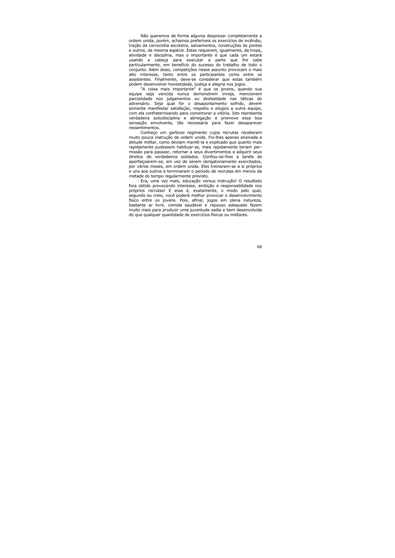Não queremos de forma alguma desprezar completamente a ordem unida, porém, achamos preferíveis os exercícios de incêndio, tração da carrocinha escoteira, salvamentos, construções de pontes e outros, da mesma espécie. Estes requerem, igualmente, da tropa, atividade e disciplina, mas o importante é que cada um estará usando a cabeça para executar a parte que lhe cabe particularmente, em benefício do sucesso do trabalho de todo o conjunto. Além disso, competições nesse assunto provocam o mais alto interesse, tanto entre os participantes como entre os assistentes. Finalmente, deve-se considerar que estas também podem desenvolver honestidade, justiça e alegria nos jogos.

"A coisa mais importante" é que os jovens, quando sua equipe seja vencida nunca demonstrem inveja, mencionem parcialidade nos julgamentos ou deslealdade nas táticas do adversário. Seja qual for o desapontamento sofrido, devem somente manifestar satisfação, respeito e elogios a outra equipe, com ela confraternizando para comemorar a vitória. Isto representa verdadeira autodisciplina e abnegação e promove essa boa sensação envolvente, tão necessária para fazer desaparecer ressentimentos.

Conheco um garboso regimento cujos recrutas receberam muito pouca instrução de ordem unida. Foi-lhes apenas ensinada a atitude militar, como deviam mantê-la e explicado que quanto mais rapidamente pudessem habituar-se, mais rapidamente teriam permissão para passear, retornar a seus divertimentos e adquirir seus direitos de verdadeiros soldados. Confiou-se-lhes a tarefa de aperfeicoarem-se, em vez de serem obrigatoriamente exercitados, por vários meses, em ordem unida. Eles treinaram-se a si próprios e uns aos outros e terminaram o período de recrutas em menos da metade do tempo regularmente previsto.

Era, uma vez mais, educação versus instrução! O resultado fora obtido provocando interesse, ambição e responsabilidade nos próprios recrutas! E esse é, exatamente, o modo pelo qual, segundo eu creio, você poderá melhor provocar o desenvolvimento físico entre os jovens. Pois, afinal, jogos em plena natureza, bastante ar livre, comida saudável e repouso adequado fazem muito mais para produzir uma juventude sadia e bem desenvolvida do que qualquer quantidade de exercícios físicos ou militares.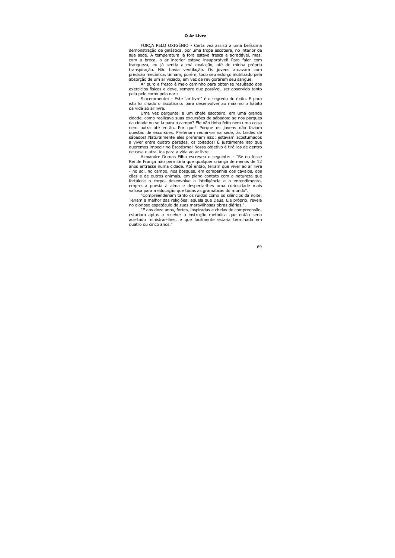# **O** Ar Livre

FORCA PELO OXIGÊNIO - Certa vez assisti a uma belíssima demonstração de ginástica, por uma tropa escoteira, no interior de sua sede. A temperatura lá fora estava fresca e agradável, mas, com a breca, o ar interior estava insuportável! Para falar com franqueza, eu já sentia a má exalação, até de minha própria transpiração. Não havia ventilação. Os jovens atuavam com precisão mecânica, tinham, porém, todo seu esforço inutilizado pela absorção de um ar viciado, em vez de revigorarem seu sangue.

Ar puro e fresco é meio caminho para obter-se resultado dos exercícios físicos e deve, sempre que possível, ser absorvido tanto pela pele como pelo nariz.

Sinceramente: - Este "ar livre" é o segredo do êxito. E para isto foi criado o Escotismo: para desenvolver ao máximo o hábito da vida ao ar livre.

Uma vez perguntei a um chefe escoteiro, em uma grande cidade, como realizava suas excursões de sábados: se nos parques da cidade ou se ja para o campo? Ele não tinha feito nem uma coisa nem outra até então. Por que? Porque os jovens não faziam questão de excursões. Preferiam reunir-se na sede, às tardes de sábados! Naturalmente eles preferiam isso: estavam acostumados a viver entre quatro paredes, os coitados! É justamente isto que queremos impedir no Escotismo! Nosso objetivo é tirá-los de dentro de casa e atraí-los para a vida ao ar livre.

Alexandre Dumas Filho escreveu o sequinte: - "Se eu fosse Rei de França não permitiria que qualquer criança de menos de 12 anos entrasse numa cidade. Até então, teriam que viver ao ar livre - no sol, no campo, nos bosques, em companhia dos cavalos, dos cães e de outros animais, em pleno contato com a natureza que fortalece o corpo, desenvolve a inteligência e o entendimento, empresta poesia à alma e desperta-lhes uma curiosidade mais valiosa para a educação que todas as gramáticas do mundo".

"Compreenderiam tanto os ruídos como os silêncios da noite. Teriam a melhor das religiões: aguela que Deus, Ele próprio, revela no glorioso espetáculo de suas maravilhosas obras diárias.".

"E aos doze anos, fortes, inspiradas e cheias de compreensão, estariam aptas a receber a instrução metódica que então seria acertado ministrar-lhes, e que facilmente estaria terminada em quatro ou cinco anos."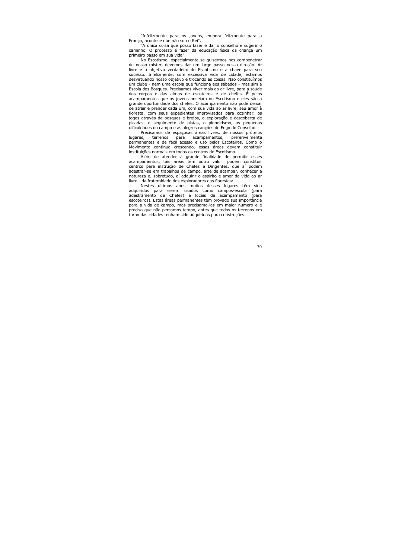"Infelizmente para os jovens, embora felizmente para a França, acontece que não sou o Rei".

"A única coisa que posso fazer é dar o conselho e sugerir o caminho. O processo é fazer da educação física da criança um primeiro passo em sua vida".

No Escotismo, especialmente se quisermos nos compenetrar de nosso mister, devemos dar um largo passo nessa direção. Ar livre é o objetivo verdadeiro do Escotismo e a chave para seu sucesso. Infelizmente, com excessiva vida de cidade, estamos desvirtuando nosso objetivo e trocando as coisas. Não constituímos um clube - nem uma escola que funciona aos sábados - mas sim a Escola dos Bosques. Precisamos viver mais ao ar livre, para a saúde dos corpos e das almas de escoteiros e de chefes. É pelos acampamentos que os jovens ansejam no Escotismo e eles são a grande oportunidade dos chefes. O acampamento não pode deixar de atrair e prender cada um, com sua vida ao ar livre, seu amor à floresta, com seus expedientes improvisados para cozinhar, os jogos através de bosques e brejos, a exploração e descoberta de picadas, o seguimento de pistas, o pioneirismo, as pequenas dificuldades do campo e as alegres canções do Fogo do Conselho.

Precisamos de espaçosas áreas livres, de nossos próprios acampamentos, preferivelmente lugares, terrenos para permanentes e de fácil acesso e uso pelos Escoteiros. Como o Movimento continua crescendo, essas áreas devem constituir instituições normais em todos os centros de Escotismo.

Além de atender à grande finalidade de permitir esses acampamentos, tais áreas têm outro valor: podem constituir centros para instrução de Chefes e Dirigentes, que aí podem adestrar-se em trabalhos de campo, arte de acampar, conhecer a natureza e, sobretudo, aí adquirir o espírito e amor da vida ao ar livre - da fraternidade dos exploradores das florestas:

Nestes últimos anos muitos desses lugares têm sido adquiridos para serem usados como campos-escola (para adestramento de Chefes) e locais de acampamento (para escoteiros). Estas áreas permanentes têm provado sua importância para a vida de campo, mas precisamo-las em maior número e é preciso que não percamos tempo, antes que todos os terrenos em torno das cidades tenham sido adquiridos para construções.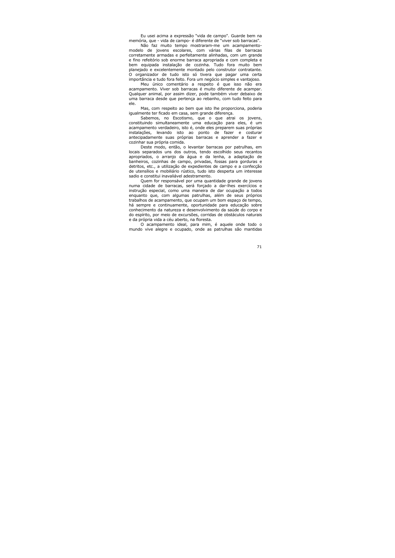Eu usei acima a expressão "vida de campo". Guarde bem na memória, que - vida de campo- é diferente de "viver sob barracas".

Não faz muito tempo mostraram-me um acampamentomodelo de jovens escolares, com várias filas de barracas corretamente armadas e perfeitamente alinhadas, com um grande e fino refeitório sob enorme barraca apropriada e com completa e bem equipada instalação de cozinha. Tudo fora muito bem planejado e excelentemente montado pelo construtor contratante. O organizador de tudo isto só tivera que pagar uma certa importância e tudo fora feito. Fora um negócio simples e vantajoso.

Meu único comentário a respeito é que isso não era acampamento. Viver sob barracas é muito diferente de acampar. Qualquer animal, por assim dizer, pode também viver debaixo de uma barraca desde que pertença ao rebanho, com tudo feito para ele.

Mas, com respeito ao bem que isto lhe proporciona, poderia iqualmente ter ficado em casa, sem grande diferença.

Sabemos, no Escotismo, que o que atrai os jovens, constituindo simultaneamente uma educação para eles, é um acampamento verdadeiro, isto é, onde eles preparem suas próprias instalações, levando isto ao ponto de fazer e costurar antecipadamente suas próprias barracas e aprender a fazer e cozinhar sua própria comida.

Deste modo, então, o levantar barracas por patrulhas, em locais separados uns dos outros, tendo escolhido seus recantos apropriados, o arranjo da água e da lenha, a adaptação de banheiros, cozinhas de campo, privadas, fossas para gorduras e detritos, etc., a utilização de expedientes de campo e a confecção de utensílios e mobiliário rústico, tudo isto desperta um interesse sadio e constitui inavaliável adestramento.

Quem for responsável por uma quantidade grande de jovens numa cidade de barracas, será forçado a dar-lhes exercícios e instrução especial, como uma maneira de dar ocupação a todos enquanto que, com algumas patrulhas, além de seus próprios trabalhos de acampamento, que ocupam um bom espaço de tempo, há sempre e continuamente, oportunidade para educação sobre conhecimento da natureza e desenvolvimento da saúde do corpo e do espírito, por meio de excursões, corridas de obstáculos naturais e da própria vida a céu aberto, na floresta.

O acampamento ideal, para mim, é aquele onde todo o mundo vive alegre e ocupado, onde as patrulhas são mantidas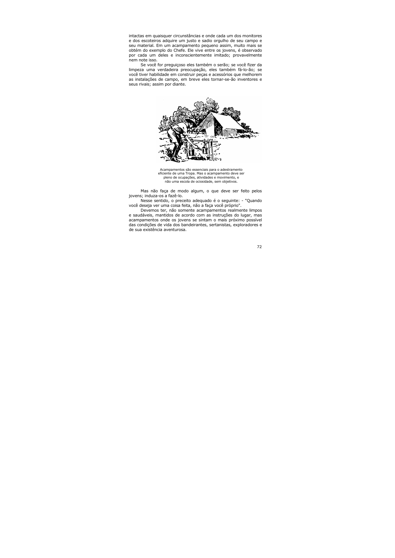intactas em quaisquer circunstâncias e onde cada um dos monitores e dos escoteiros adquire um justo e sadio orgulho de seu campo e seu material. Em um acampamento pequeno assim, muito mais se obtém do exemplo do Chefe. Ele vive entre os jovens, é observado por cada um deles e inconscientemente imitado; provavelmente nem note isso.

Se você for preguiçoso eles também o serão; se você fizer da limpeza uma verdadeira preocupação, eles também fá-lo-ão; se você tiver habilidade em construir pecas e acessórios que melhorem as instalações de campo, em breve eles tornar-se-ão inventores e seus rivais: assim por diante.



Acampamentos são essenciais para o adestramento eficiente de uma Tropa. Mas o acampamento deve ser pleno de ocupações, atividades e movimento, e não uma escola de ociosidade, sem objetivos.

Mas não faça de modo algum, o que deve ser feito pelos jovens; induza-os a fazê-lo.

Nesse sentido, o preceito adeguado é o seguinte: - "Quando você deseja ver uma coisa feita, não a faça você próprio".

Devemos ter, não somente acampamentos realmente limpos e saudáveis, mantidos de acordo com as instruções do lugar, mas acampamentos onde os jovens se sintam o mais próximo possível das condições de vida dos bandeirantes, sertanistas, exploradores e de sua existência aventurosa.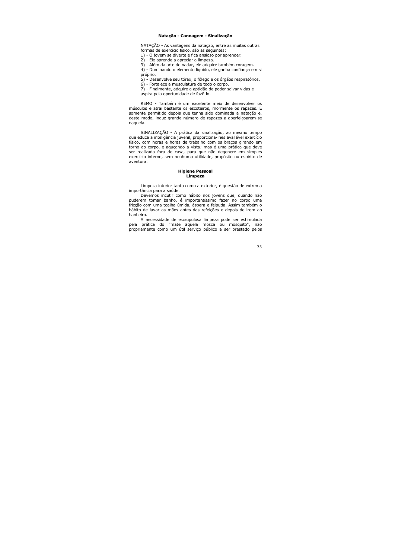## Natação - Canoagem - Sinalização

NATAÇÃO - As vantagens da natação, entre as muitas outras formas de exercício físico, são as sequintes:

1) - O jovem se diverte e fica ansioso por aprender.

2) - Ele aprende a apreciar a limpeza.

3) - Além da arte de nadar, ele adquire também coragem.

4) - Dominando o elemento líguido, ele ganha confiança em si próprio.

5) - Desenvolve seu tórax, o fôlego e os órgãos respiratórios.

6) - Fortalece a musculatura de todo o corpo.

7) - Finalmente, adquire a aptidão de poder salvar vidas e aspira pela oportunidade de fazê-lo.

REMO - Também é um excelente meio de desenvolver os músculos e atrai bastante os escoteiros, mormente os rapazes. É somente permitido depois que tenha sido dominada a natação e, deste modo, induz grande número de rapazes a aperfeicoarem-se naguela.

SINALIZAÇÃO - A prática da sinalização, ao mesmo tempo que educa a inteligência juvenil, proporciona-lhes avaliável exercício físico, com horas e horas de trabalho com os bracos girando em torno do corpo, e aguçando a vista; mas é uma prática que deve ser realizada fora de casa, para que não degenere em simples exercício interno, sem nenhuma utilidade, propósito ou espírito de aventura.

### **Higiene Pessoal** Limpeza

Limpeza interior tanto como a exterior, é questão de extrema importância para a saúde.

Devemos incutir como hábito nos jovens que, quando não puderem tomar banho, é importantíssimo fazer no corpo uma fricção com uma toalha úmida, áspera e felpuda. Assim também o hábito de lavar as mãos antes das refeições e depois de irem ao hanheiro.

A necessidade de escrupulosa limpeza pode ser estimulada pela prática do "mate aquela mosca ou mosquito", não propriamente como um útil servico público a ser prestado pelos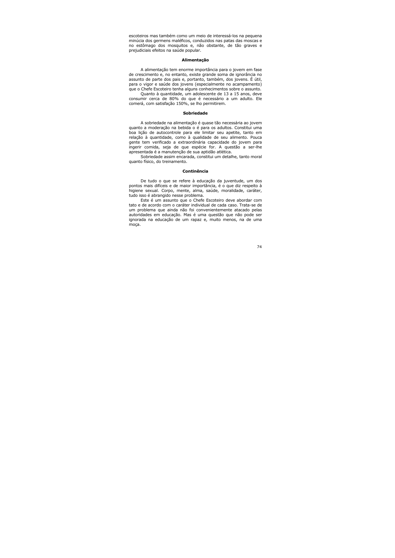escoteiros mas também como um meio de interessá-los na pequena minúcia dos germens maléficos, conduzidos nas patas das moscas e no estômago dos mosquitos e, não obstante, de tão graves e prejudiciais efeitos na saúde popular.

#### Alimentacão

A alimentação tem enorme importância para o jovem em fase de crescimento e, no entanto, existe grande soma de ignorância no assunto de parte dos pais e, portanto, também, dos jovens. É útil, para o vigor e saúde dos jovens (especialmente no acampamento) que o Chefe Escoteiro tenha alguns conhecimentos sobre o assunto.

Quanto à quantidade, um adolescente de 13 a 15 anos, deve consumir cerca de 80% do que é necessário a um adulto. Ele comerá, com satisfação 150%, se lho permitirem.

### **Sobriedade**

A sobriedade na alimentação é quase tão necessária ao jovem quanto a moderação na bebida o é para os adultos. Constitui uma boa licão de autocontrole para ele limitar seu apetite, tanto em relação à quantidade, como à qualidade de seu alimento. Pouca gente tem verificado a extraordinária capacidade do jovem para ingerir comida, seja de que espécie for. A questão a ser-lhe apresentada é a manutenção de sua aptidão atlética.

Sobriedade assim encarada, constitui um detalhe, tanto moral quanto físico, do treinamento.

#### Continência

De tudo o que se refere à educação da juventude, um dos pontos mais difíceis e de maior importância, é o que diz respeito à higiene sexual. Corpo, mente, alma, saúde, moralidade, caráter, tudo isso é abrangido nesse problema.

Este é um assunto que o Chefe Escoteiro deve abordar com tato e de acordo com o caráter individual de cada caso. Trata-se de um problema que ainda não foi convenientemente atacado pelas autoridades em educação. Mas é uma questão que não pode ser janorada na educação de um rapaz e, muito menos, na de uma moça.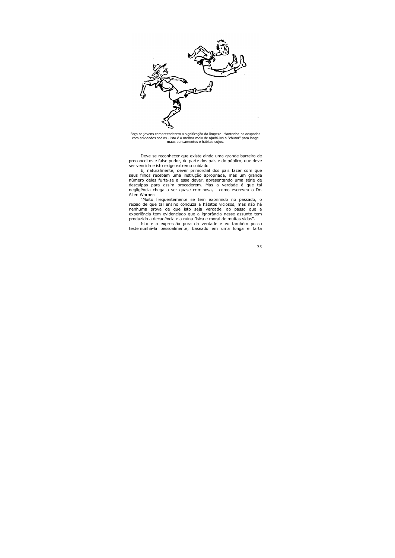

Faça os jovens compreenderem a significação da limpeza. Mantenha-os ocupados com atividades sadias - isto é o melhor meio de ajudá-los a "chutar" para longe maus pensamentos e hábitos sujos.

Deve-se reconhecer que existe ainda uma grande barreira de preconceitos e falso pudor, de parte dos pais e do público, que deve ser vencida e isto exige extremo cuidado.

É, naturalmente, dever primordial dos pais fazer com que seus filhos recebam uma instrução apropriada, mas um grande número deles furta-se a esse dever, apresentando uma série de desculpas para assim procederem. Mas a verdade é que tal nealiaência chega a ser quase criminosa, - como escreveu o Dr. Allen Warner:

"Muito frequentemente se tem exprimido no passado, o receio de que tal ensino conduza a hábitos viciosos, mas não há nenhuma prova de que isto seja verdade, ao passo que a experiência tem evidenciado que a ignorância nesse assunto tem produzido a decadência e a ruína física e moral de muitas vidas".

Isto é a expressão pura da verdade e eu também posso testemunhá-la pessoalmente, baseado em uma longa e farta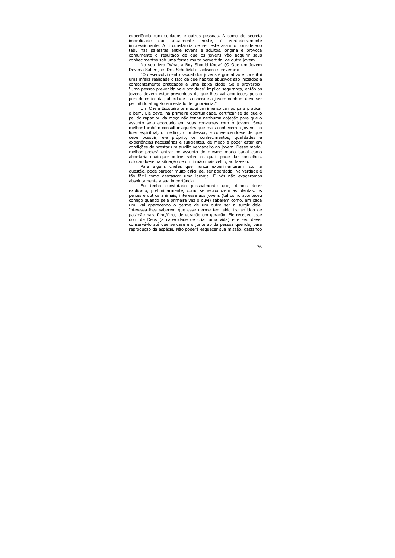experiência com soldados e outras pessoas. A soma de secreta existe, é imoralidade que atualmente verdadeiramente impressionante. A circunstância de ser este assunto considerado tabu nas palestras entre jovens e adultos, origina e provoca comumente o resultado de que os jovens vão adquirir seus conhecimentos sob uma forma muito pervertida, de outro jovem.

No seu livro "What a Boy Should Know" (O Que um Jovem Deveria Saber!) os Drs. Schofield e Jackson escreveram:

"O desenvolvimento sexual dos jovens é gradativo e constitui uma infeliz realidade o fato de que hábitos abusivos são iniciados e constantemente praticados a uma baixa idade. Se o provérbio: "Uma pessoa prevenida vale por duas" implica segurança, então os jovens devem estar prevenidos do que lhes vai acontecer, pois o período crítico da puberdade os espera e a jovem nenhum deve ser permitido atingi-lo em estado de ignorância."

Um Chefe Escoteiro tem aqui um imenso campo para praticar o bem. Ele deve, na primeira oportunidade, certificar-se de que o pai do rapaz ou da moça não tenha nenhuma objeção para que o assunto seja abordado em suas conversas com o jovem. Será melhor também consultar aqueles que mais conhecem o jovem - o líder espiritual, o médico, o professor, e convencendo-se de que deve possuir, ele próprio, os conhecimentos, qualidades e experiências necessárias e suficientes, de modo a poder estar em condições de prestar um auxílio verdadeiro ao jovem. Desse modo, melhor poderá entrar no assunto do mesmo modo banal como abordaria quaisquer outros sobre os quais pode dar conselhos, colocando-se na situação de um irmão mais velho, ao fazê-lo.

Para alguns chefes que nunca experimentaram isto, a questão. pode parecer muito difícil de, ser abordada. Na verdade é tão fácil como descascar uma laranja. E nós não exageramos absolutamente a sua importância.

Eu tenho constatado pessoalmente que, depois deter explicado, preliminarmente, como se reproduzem as plantas, os peixes e outros animais, interessa aos jovens (tal como aconteceu comigo quando pela primeira vez o ouvi) saberem como, em cada um, vai aparecendo o germe de um outro ser a surgir dele. Interessa-lhes saberem que esse germe tem sido transmitido de pai/mãe para filho/filha, de geração em geração. Ele recebeu esse dom de Deus (a capacidade de criar uma vida) e é seu dever conservá-lo até que se case e o junte ao da pessoa querida, para reprodução da espécie. Não poderá esquecer sua missão, gastando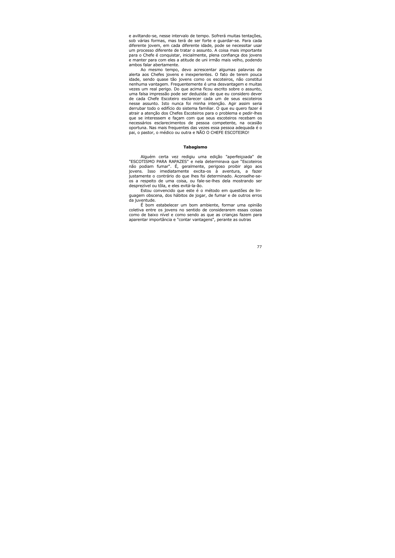e aviltando-se, nesse intervalo de tempo. Sofrerá muitas tentações, sob várias formas, mas terá de ser forte e quardar-se. Para cada diferente jovem, em cada diferente idade, pode se necessitar usar um processo diferente de tratar o assunto. A coisa mais importante para o Chefe é conquistar, inicialmente, plena confiança dos jovens e manter para com eles a atitude de uni irmão mais velho, podendo ambos falar abertamente.

Ao mesmo tempo, devo acrescentar algumas palavras de alerta aos Chefes jovens e inexperientes. O fato de terem pouca idade, sendo quase tão jovens como os escoteiros, não constitui nenhuma vantagem. Frequentemente é uma desvantagem e muitas vezes um real perigo. Do que acima ficou escrito sobre o assunto, uma falsa impressão pode ser deduzida: de que eu considero dever de cada Chefe Escoteiro esclarecer cada um de seus escoteiros nesse assunto. Isto nunca foi minha intenção. Agir assim seria derrubar todo o edifício do sistema familiar. O que eu quero fazer é atrair a atenção dos Chefes Escoteiros para o problema e pedir-lhes que se interessem e façam com que seus escoteiros recebam os necessários esclarecimentos de pessoa competente, na ocasião oportuna. Nas mais frequentes das vezes essa pessoa adequada é o pai, o pastor, o médico ou outra e NÃO O CHEFE ESCOTEIRO!

### Tabagismo

Alguém certa vez redigiu uma edição "aperfeicoada" de "ESCOTISMO PARA RAPAZES" e nela determinava que "Escoteiros não podiam fumar". É, geralmente, perigoso proibir algo aos jovens. Isso imediatamente excita-os à aventura, a fazer justamente o contrário do que lhes foi determinado. Aconselhe-seos a respeito de uma coisa, ou fale-se-lhes dela mostrando ser desprezível ou tôla, e eles evitá-la-ão.

Estou convencido que este é o método em questões de linquagem obscena, dos hábitos de jogar, de fumar e de outros erros da juventude.

É bom estabelecer um bom ambiente, formar uma opinião coletiva entre os jovens no sentido de considerarem essas coisas como de baixo nível e como sendo as que as criancas fazem para aparentar importância e "contar vantagens", perante as outras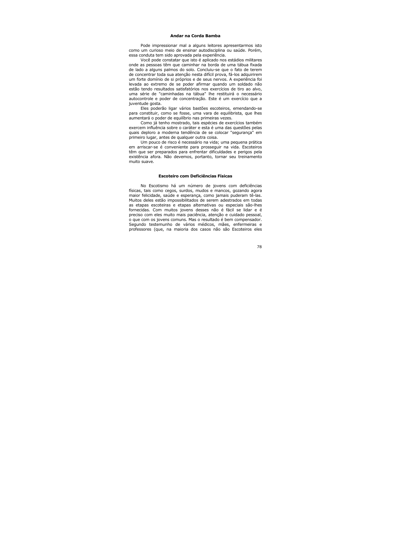# Andar na Corda Bamba

Pode impressionar mal a alguns leitores apresentarmos isto como um curioso meio de ensinar autodisciplina ou saúde. Porém, essa conduta tem sido aprovada pela experiência.

Você pode constatar que isto é aplicado nos estádios militares onde as pessoas têm que caminhar na borda de uma tábua fixada de lado a alguns palmos do solo. Concluiu-se que o fato de terem de concentrar toda sua atenção nesta difícil prova, fá-los adquirirem um forte domínio de si próprios e de seus nervos. A experiência foi levada ao extremo de se poder afirmar quando um soldado não estão tendo resultados satisfatórios nos exercícios de tiro ao alvo, uma série de "caminhadas na tábua" lhe restituirá o necessário autocontrole e poder de concentração. Este é um exercício que a juventude gosta.

Eles poderão ligar vários bastões escoteiros, emendando-se para constituir, como se fosse, uma vara de equilibrista, que lhes aumentará o poder de equilíbrio nas primeiras vezes.

Como já tenho mostrado, tais espécies de exercícios também exercem influência sobre o caráter e esta é uma das questões pelas quais deploro a moderna tendência de se colocar "segurança" em primeiro lugar, antes de qualquer outra coisa.

Um pouco de risco é necessário na vida; uma pequena prática em arriscar-se é conveniente para prosseguir na vida. Escoteiros têm que ser preparados para enfrentar dificuldades e perigos pela existência afora. Não devemos, portanto, tornar seu treinamento muito suave.

### Escoteiro com Deficiências Físicas

No Escotismo há um número de jovens com deficiências físicas, tais como cegos, surdos, mudos e mancos, gozando agora maior felicidade, saúde e esperança, como jamais puderam tê-las. Muitos deles estão impossibilitados de serem adestrados em todas as etapas escoteiras e etapas alternativas ou especiais são-lhes fornecidas. Com muitos jovens desses não é fácil se lidar e é preciso com eles muito mais paciência, atenção e cuidado pessoal, o que com os jovens comuns. Mas o resultado é bem compensador. Segundo testemunho de vários médicos, mães, enfermeiras e professores (que, na maioria dos casos não são Escoteiros eles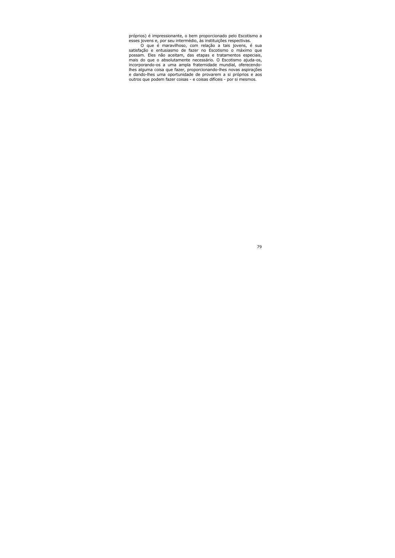próprios) é impressionante, o bem proporcionado pelo Escotismo a esses jovens e, por seu intermédio, às instituições respectivas.

O que é maravilhoso, com relação a tais jovens, é sua satisfação e entusiasmo de fazer no Escotismo o máximo que possam. Eles não aceitam, das etapas e tratamentos especiais, mais do que o absolutamente necessário. O Escotismo ajuda-os, incorporando-os a uma ampla fraternidade mundial, oferecendolhes alguma coisa que fazer, proporcionando-lhes novas aspirações e dando-lhes uma oportunidade de provarem a si próprios e aos outros que podem fazer coisas - e coisas difíceis - por si mesmos.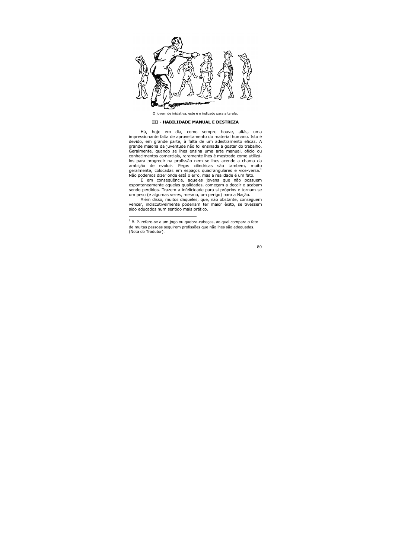

O jovem de iniciativa, este é o indicado para a tarefa.

# **III - HABILIDADE MANUAL E DESTREZA**

Há, hoje em dia, como sempre houve, aliás, uma impressionante falta de aproveitamento do material humano. Isto é devido, em grande parte, à falta de um adestramento eficaz. A grande maioria da juventude não foi ensinada a gostar do trabalho. Geralmente, quando se lhes ensina uma arte manual, ofício ou conhecimentos comerciais, raramente lhes é mostrado como utilizálos para progredir na profissão nem se lhes acende a chama da ambição de evoluir. Peças cilíndricas são também, muito geralmente, colocadas em espaços quadrangulares e vice-versa. $<sup>1</sup>$ </sup> Não podemos dizer onde está o erro, mas a realidade é um fato.

E em conseqüência, aqueles jovens que não possuem espontaneamente aquelas qualidades, começam a decair e acabam sendo perdidos. Trazem a infelicidade para si próprios e tornam-se um peso (e algumas vezes, mesmo, um perigo) para a Nação.

Além disso, muitos daqueles, que, não obstante, consequem vencer, indiscutivelmente poderiam ter maior êxito, se tivessem sido educados num sentido mais prático.

 $1$  B. P. refere-se a um jogo ou quebra-cabeças, ao qual compara o fato de muitas pessoas seguirem profissões que não lhes são adeguadas. (Nota do Tradutor).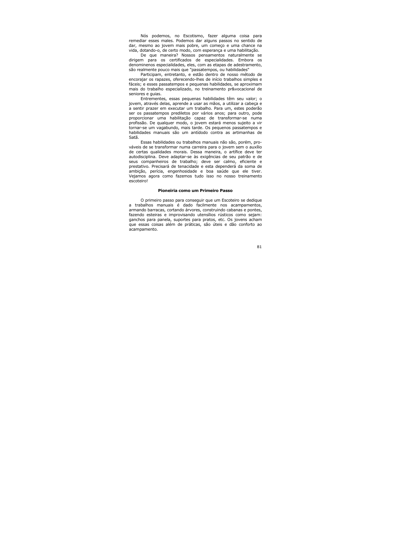Nós podemos, no Escotismo, fazer alguma coisa para remediar esses males. Podemos dar alguns passos no sentido de dar, mesmo ao jovem mais pobre, um começo e uma chance na vida, dotando-o, de certo modo, com esperança e uma habilitação.

De que maneira? Nossos pensamentos naturalmente se dirigem para os certificados de especialidades. Embora os denominenos especialidades, eles, com as etapas de adestramento, são realmente pouco mais que "passatempos, ou habilidades"

Participam, entretanto, e estão dentro de nosso método de encorajar os rapazes, oferecendo-lhes de início trabalhos simples e fáceis; e esses passatempos e pequenas habilidades, se aproximam mais do trabalho especializado, no treinamento pr&vocacional de seniores e quias.

Entrementes, essas pequenas habilidades têm seu valor; o jovem, através delas, aprende a usar as mãos, a utilizar a cabeça e a sentir prazer em executar um trabalho. Para um, estes poderão ser os passatempos prediletos por vários anos; para outro, pode proporcionar uma habilitação capaz de transformar-se numa profissão. De qualquer modo, o jovem estará menos sujeito a vir tornar-se um vagabundo, mais tarde. Os pequenos passatempos e habilidades manuais são um antídodo contra as artimanhas de Satã

Essas habilidades ou trabalhos manuais não são, porém, prováveis de se transformar numa carreira para o jovem sem o auxílio de certas qualidades morais. Dessa maneira, o artífice deve ter autodisciplina. Deve adaptar-se às exigências de seu patrão e de seus companheiros de trabalho; deve ser calmo, eficiente e prestativo. Precisará de tenacidade e esta dependerá da soma de ambição, perícia, engenhosidade e boa saúde que ele tiver. Vejamos agora como fazemos tudo isso no nosso treinamento escoteirol

### Pioneiria como um Primeiro Passo

O primeiro passo para conseguir que um Escoteiro se dedique a trabalhos manuais é dado facilmente nos acampamentos, armando barracas, cortando árvores, construindo cabanas e pontes, fazendo esteiras e improvisando utensílios rústicos como sejam: ganchos para panela, suportes para pratos, etc. Os jovens acham que essas coisas além de práticas, são úteis e dão conforto ao acampamento.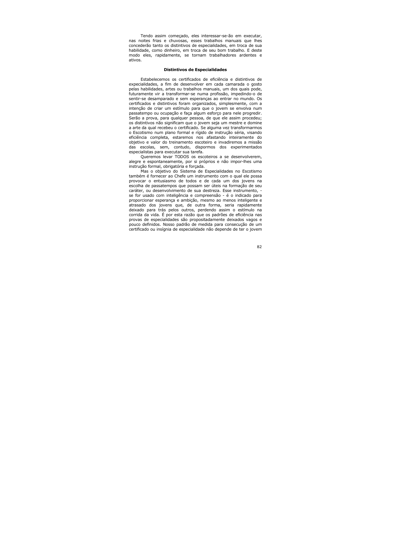Tendo assim começado, eles interessar-se-ão em executar, nas noites frias e chuvosas, esses trabalhos manuais que lhes concederão tanto os distintivos de especialidades, em troca de sua habilidade, como dinheiro, em troca de seu bom trabalho. E deste modo eles, rapidamente, se tornam trabalhadores ardentes e ativos.

### Distintivos de Especialidades

Estabelecemos os certificados de eficiência e distintivos de expecialidades, a fim de desenvolver em cada camarada o gosto pelas habilidades, artes ou trabalhos manuais, um dos quais pode, futuramente vir a transformar-se numa profissão, impedindo-o de sentir-se desamparado e sem esperanças ao entrar no mundo. Os certificados e distintivos foram organizados, simplesmente, com a intenção de criar um estímulo para que o jovem se envolva num passatempo ou ocupação e faça algum esforço para nele progredir. Serão a prova, para qualquer pessoa, de que ele assim procedeu; os distintivos não significam que o jovem seja um mestre e domine a arte da qual recebeu o certificado. Se alguma vez transformarmos o Escotismo num plano formal e rígido de instrução séria, visando eficiência completa, estaremos nos afastando inteiramente do objetivo e valor do treinamento escoteiro e invadiremos a missão das escolas, sem, contudo, dispormos dos experimentados especialistas para executar sua tarefa.

Queremos levar TODOS os escoteiros a se desenvolverem, alegre e espontaneamente, por si próprios e não impor-lhes uma instrução formal, obrigatória e forçada.

Mas o objetivo do Sistema de Especialidades no Escotismo também é fornecer ao Chefe um instrumento com o qual ele possa provocar o entusiasmo de todos e de cada um dos jovens na escolha de passatempos que possam ser úteis na formação de seu caráter, ou desenvolvimento de sua destreza. Esse instrumento, se for usado com inteligência e compreensão - é o indicado para proporcionar esperança e ambição, mesmo ao menos inteligente e atrasado dos jovens que, de outra forma, seria rapidamente deixado para trás pelos outros, perdendo assim o estímulo na corrida da vida. É por esta razão que os padrões de eficiência nas provas de especialidades são propositadamente deixados vagos e pouco definidos. Nosso padrão de medida para consecução de um certificado ou insígnia de especialidade não depende de ter o jovem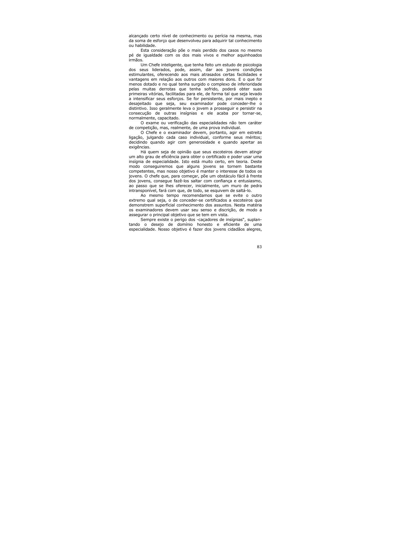alcançado certo nível de conhecimento ou perícia na mesma, mas da soma de esforço que desenvolveu para adquirir tal conhecimento ou habilidade.

Esta consideração põe o mais perdido dos casos no mesmo pé de iqualdade com os dos mais vivos e melhor aquinhoados irmãos.

Um Chefe inteligente, que tenha feito um estudo de psicologia dos seus liderados, pode, assim, dar aos jovens condições estimulantes, oferecendo aos mais atrasados certas facilidades e vantagens em relação aos outros com maiores dons. E o que for menos dotado e no qual tenha surgido o complexo de inferioridade pelas muitas derrotas que tenha sofrido, poderá obter suas primeiras vitórias, facilitadas para ele, de forma tal que seja levado a intensificar seus esforcos. Se for persistente, por mais inepto e desajeitado que seja, seu examinador pode conceder-lhe o distintivo. Isso geralmente leva o jovem a prosseguir e persistir na consecução de outras insígnias e ele acaba por tornar-se, normalmente, capacitado.

O exame ou verificação das especialidades não tem caráter de competição, mas, realmente, de uma prova individual.

O Chefe e o examinador devem, portanto, agir em estreita ligação, julgando cada caso individual, conforme seus méritos; decidindo quando agir com generosidade e quando apertar as exigências.

Há quem seja de opinião que seus escoteiros devem atingir um alto grau de eficiência para obter o certificado e poder usar uma insígnia de especialidade. Isto está muito certo, em teoria. Deste modo consequiremos que alguns jovens se tornem bastante competentes, mas nosso objetivo é manter o interesse de todos os jovens. O chefe que, para começar, põe um obstáculo fácil à frente dos jovens, conseque fazê-los saltar com confiança e entusiasmo, ao passo que se lhes oferecer, inicialmente, um muro de pedra intransponível, fará com que, de todo, se esquivem de saltá-lo.

Ao mesmo tempo recomendamos que se evite o outro extremo qual seja, o de conceder-se certificados a escoteiros que demonstrem superficial conhecimento dos assuntos. Nesta matéria os examinadores devem usar seu senso e discrição, de modo a assegurar o principal objetivo que se tem em vista.

Sempre existe o perigo dos -cacadores de insígnias", suplantando o desejo de domínio honesto e eficiente de uma especialidade. Nosso objetivo é fazer dos jovens cidadãos alegres,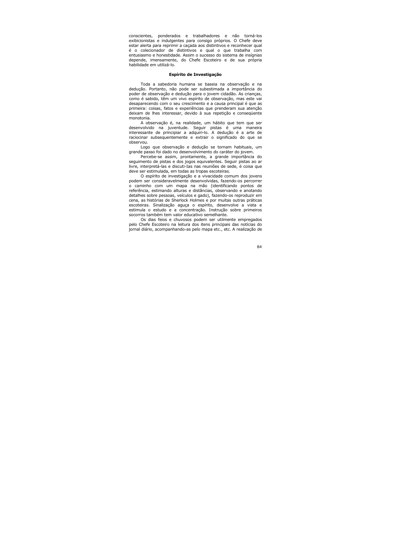conscientes, ponderados e trabalhadores e não torná-los exibicionistas e indulgentes para consigo próprios. O Chefe deve estar alerta para reprimir a cacada aos distintivos e reconhecer qual é o colecionador de distintivos e qual o que trabalha com entusiasmo e honestidade. Assim o sucesso do sistema de insígnias depende, imensamente, do Chefe Escoteiro e de sua própria habilidade em utilizá-lo.

# Espírito de Investigação

Toda a sabedoria humana se baseia na observação e na dedução. Portanto, não pode ser subestimada a importância do poder de observação e dedução para o jovem cidadão. As crianças, como é sabido, têm um vivo espírito de observação, mas este vai desaparecendo com o seu crescimento e a causa principal é que as primeira: coisas, fatos e experiências que prenderam sua atenção deixam de lhes interessar, devido à sua repetição e consequente monotonia.

A observação é, na realidade, um hábito que tem que ser desenvolvido na juventude. Sequir pistas é uma maneira interessante de principiar a adquiri-lo. A dedução é a arte de raciocinar subsequentemente e extrair o significado do que se observou.

Logo que observação e dedução se tornam habituais, um grande passo foi dado no desenvolvimento do caráter do jovem.

Percebe-se assim, prontamente, a grande importância do sequimento de pistas e dos jogos equivalentes. Sequir pistas ao ar livre, interpretá-las e discuti-Ias nas reuniões de sede, é coisa que deve ser estimulada, em todas as tropas escoteiras.

O espírito de investigação e a vivacidade comum dos jovens podem ser consideravelmente desenvolvidas, fazendo-os percorrer o caminho com um mapa na mão (identificando pontos de referência, estimando alturas e distâncias, observando e anotando detalhes sobre pessoas, veículos e gado), fazendo-os reproduzir em cena, as histórias de Sherlock Holmes e por muitas outras práticas escoteiras. Sinalização aguça o espírito, desenvolve a vista e estimula o estudo e a concentração. Instrução sobre primeiros socorros também tem valor educativo semelhante.

Os dias feios e chuvosos podem ser utilmente empregados pelo Chefe Escoteiro na leitura dos itens principais das notícias do jornal diário, acompanhando-as pelo mapa etc., etc. A realização de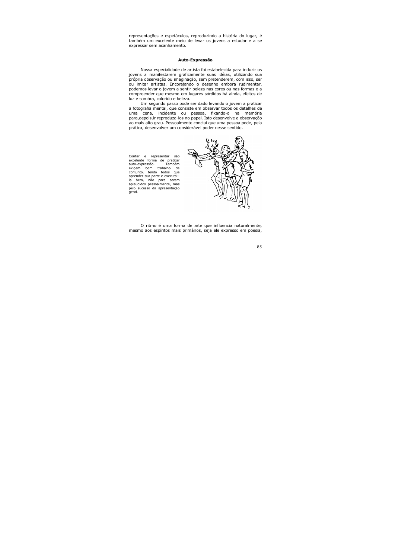representações e espetáculos, reproduzindo a história do lugar, é também um excelente meio de levar os jovens a estudar e a se expressar sem acanhamento.

#### Auto-Expressão

Nossa especialidade de artista foi estabelecida para induzir os jovens a manifestarem graficamente suas idéias, utilizando sua própria observação ou imaginação, sem pretenderem, com isso, ser ou imitar artistas. Encoraiando o desenho embora rudimentar. podemos levar o jovem a sentir beleza nas cores ou nas formas e a compreender que mesmo em lugares sórdidos há ainda, efeitos de luz e sombra, colorido e beleza.

Um segundo passo pode ser dado levando o jovem a praticar a fotografia mental, que consiste em observar todos os detalhes de uma cena, incidente ou pessoa, fixando-o na memória para, depois, ir reproduza-los no papel. Isto desenvolve a observação ao mais alto grau. Pessoalmente concluí que uma pessoa pode, pela prática, desenvolver um considerável poder nesse sentido.

Contar e representar são excelente forma de praticar auto-expressão. Também exigem bom trabalho de conjunto, tendo todos que aprender sua parte e executá-la bem, não para serem aplaudidos pessoalmente, mas pelo sucesso da apresentação geral.



O ritmo é uma forma de arte que influencia naturalmente, mesmo aos espíritos mais primários, seja ele expresso em poesia,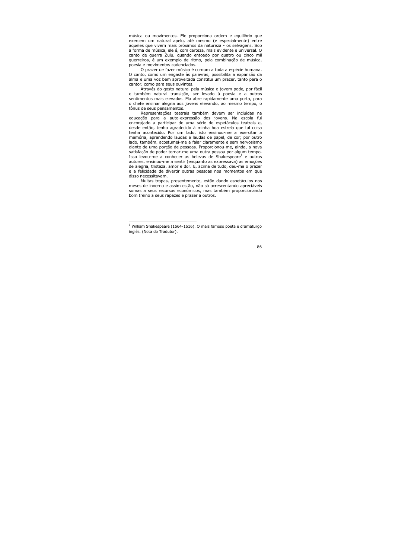música ou movimentos. Ele proporciona ordem e equilíbrio que exercem um natural apelo, até mesmo (e especialmente) entre aqueles que vivem mais próximos da natureza - os selvagens. Sob a forma de música, ele é, com certeza, mais evidente e universal. O canto de querra Zulu, quando entoado por quatro ou cinco mil querreiros, é um exemplo de ritmo, pela combinação de música, poesia e movimentos cadenciados.

O prazer de fazer música é comum a toda a espécie humana. O canto, como um engaste às palavras, possibilita a expansão da alma e uma voz bem aproveitada constitui um prazer, tanto para o cantor, como para seus ouvintes.

Através do gosto natural pela música o jovem pode, por fácil e também natural transição, ser levado à poesia e a outros sentimentos mais elevados. Ela abre rapidamente uma porta, para o chefe ensinar alegria aos jovens elevando, ao mesmo tempo, o tônus de seus pensamentos.

Representações teatrais também devem ser incluídas na educação para a auto-expressão dos jovens. Na escola fui encorajado a participar de uma série de espetáculos teatrais e, desde então, tenho agradecido à minha boa estrela que tal coisa tenha acontecido. Por um lado, isto ensinou-me a exercitar a memória, aprendendo laudas e laudas de papel, de cor; por outro lado, também, acostumei-me a falar claramente e sem nervosismo diante de uma porção de pessoas. Proporcionou-me, ainda, a nova satisfação de poder tornar-me uma outra pessoa por algum tempo. Isso levou-me a conhecer as belezas de Shakespeare<sup>1</sup> e outros autores, ensinou-me a sentir (enguanto as expressava) as emoções de alegria, tristeza, amor e dor. E, acima de tudo, deu-me o prazer e a felicidade de divertir outras pessoas nos momentos em que disso necessitavam.

Muitas tropas, presentemente, estão dando espetáculos nos meses de inverno e assim estão, não só acrescentando apreciáveis somas a seus recursos econômicos, mas também proporcionando bom treino a seus rapazes e prazer a outros.

 $^1$  William Shakespeare (1564-1616). O mais famoso poeta e dramaturgo inglês. (Nota do Tradutor).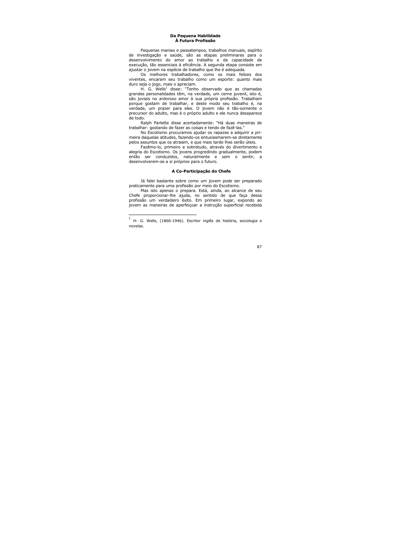# Da Pequena Habilidade À Futura Profissão

Pequenas manias e passatempos, trabalhos manuais, espírito de investigação e saúde, são as etapas preliminares para o desenvolvimento do amor ao trabalho e da capacidade de execução, tão essenciais à eficiência. A segunda etapa consiste em ajustar o jovem na espécie de trabalho que lhe é adequada.

Os melhores trabalhadores, como os mais felizes dos viventes, encaram seu trabalho como um esporte: quanto mais duro seja o jogo, mais o apreciam.

H. G. Wells<sup>1</sup> disse: "Tenho observado que as chamadas grandes personalidades têm, na verdade, um cerne juvenil, isto é, são joviais no ardoroso amor à sua própria profissão. Trabalham porque gostam de trabalhar, e deste modo seu trabalho é, na verdade, um prazer para eles. O jovem não é tão-somente o precursor do adulto, mas é o próprio adulto e ele nunca desaparece de todo.

Ralph Parlette disse acertadamente: "Há duas maneiras de trabalhar: gostando de fazer as coisas e tendo de fazê-las."

No Escotismo procuramos ajudar os rapazes a adquirir a primeira daquelas atitudes, fazendo-os entusiasmarem-se diretamente pelos assuntos que os atraiam, e que mais tarde lhes serão úteis.

Fazêmo-lo, primeiro e sobretudo, através do divertimento e alegria do Escotismo. Os jovens progredindo gradualmente, podem então ser conduzidos, naturalmente e sem o sentir, a desenvolverem-se a si próprios para o futuro.

# A Co-Participação do Chefe

Já falei bastante sobre como um jovem pode ser preparado praticamente para uma profissão por meio do Escotismo.

Mas isto apenas o prepara. Está, ainda, ao alcance de seu Chefe proporcionar-lhe ajuda, no sentido de que faça dessa profissão um verdadeiro êxito. Em primeiro lugar, expondo ao jovem as maneiras de aperfeicoar a instrução superficial recebida

H- G. Wells, (1866-1946). Escritor inglês de história, sociologia e novelas.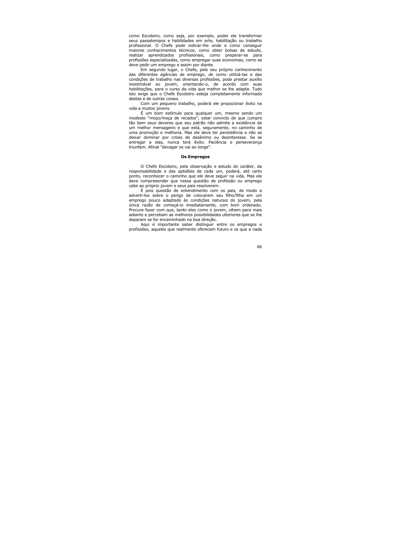como Escoteiro, como seja, por exemplo, poder ele transformar seus passatempos e habilidades em arte, habilitação ou trabalho profissional. O Chefe pode indicar-lhe onde e como conseguir maiores conhecimentos técnicos, como obter bolsas de estudo, aprendizados profissionais, como preparar-se realizar para profissões especializadas, como empregar suas economias, como se deve pedir um emprego e assim por diante.

Em segundo lugar, o Chefe, pelo seu próprio conhecimento das diferentes agências de emprego, de como utilizá-las e das condições de trabalho nas diversas profissões, pode prestar auxílio inestimável ao jovem, orientando-o, de acordo com suas habilitações, para o curso da vida que melhor se lhe adapte. Tudo isto exige que o Chefe Escoteiro esteja completamente informado destas e de outras coisas.

Com um pequeno trabalho, poderá ele propocionar êxito na vida a muitos jovens.

É um bom estímulo para qualquer um, mesmo sendo um modesto "moco/moca de recados", estar convicto de que cumpre tão bem seus deveres que seu patrão não admite a existência de um melhor mensageiro e que está, seguramente, no caminho de uma promoção e melhoria. Mas ele deve ter persistência e não se deixar dominar por crises de desânimo ou desinteresse. Se se entregar a elas, nunca terá êxito. Paciência e perseverança triunfam. Afinal "devagar se vai ao longe".

## **Os Empregos**

O Chefe Escoteiro, pela observação e estudo do caráter, da responsabilidade e das aptidões de cada um, poderá, até certo ponto, reconhecer o caminho que ele deve sequir na vida. Mas ele deve compreeender que nessa questão de profissão ou emprego cabe ao próprio jovem e seus pais resolverem.

É pois questão de entendimento com os pais, de modo a adverti-los sobre o perigo de colocarem seu filho/filha em um emprego pouco adaptado às condições naturais do jovem, pela única razão de começá-lo imediatamente, com bom ordenado. Procure fazer com que, tanto eles como o jovem, olhem para mais adiante e percebam as melhores possibilidades ulteriores que se lhe deparam se for encaminhado na boa direcão.

Aqui é importante saber distinguir entre os empregos e profissões, aqueles que realmente oferecem futuro e os que a nada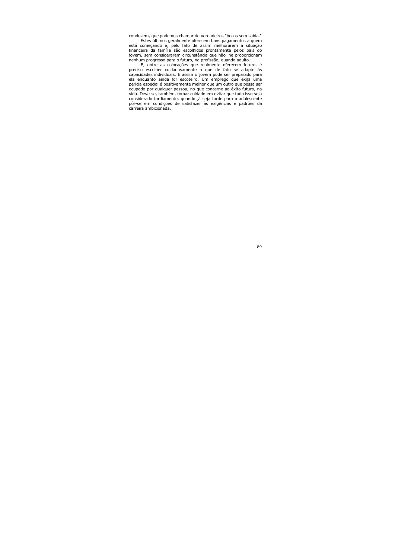conduzem, que podemos chamar de verdadeiros "becos sem saída."

Estes últimos geralmente oferecem bons pagamentos a quem está começando e, pelo fato de assim melhorarem a situação financeira da família são escolhidos prontamente pelos pais do jovem, sem considerarem circunstância que não lhe proporcionam nenhum progresso para o futuro, na profissão, quando adulto.

E, entre as colocações que realmente oferecem futuro, é preciso escolher cuidadosamente a que de fato se adapte às capacidades individuais. E assim o jovem pode ser preparado para ela enquanto ainda for escoteiro. Um emprego que exija uma perícia especial é positivamente melhor que um outro que possa ser ocupado por qualquer pessoa, no que concerne ao êxito futuro, na vida. Deve-se, também, tomar cuidado em evitar que tudo isso seja considerado tardiamente, quando já seja tarde para o adolescente pôr-se em condições de satisfazer às exigências e padrões da carreira ambicionada.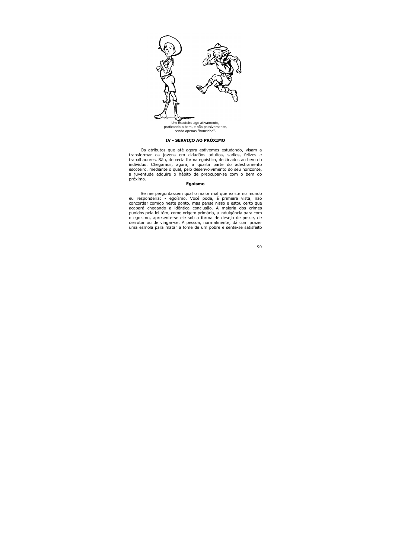

praticando o bem, e não passivamente. sendo apenas "bonzinho".

# IV - SERVIÇO AO PRÓXIMO

Os atributos que até agora estivemos estudando, visam a transformar os jovens em cidadãos adultos, sadios, felizes e trabalhadores. São, de certa forma egoística, destinados ao bem do indivíduo. Chegamos, agora, a quarta parte do adestramento escoteiro, mediante o qual, pelo desenvolvimento do seu horizonte, a juventude adquire o hábito de preocupar-se com o bem do próximo.

# Egoísmo

Se me perguntassem qual o maior mal que existe no mundo eu responderia: - egoísmo. Você pode, ã primeira vista, não concordar comigo neste ponto, mas pense nisso e estou certo que acabará chegando a idêntica conclusão. A maioria dos crimes punidos pela lei têm, como origem primária, a indulgência para com o egoísmo, apresente-se ele sob a forma de desejo de posse, de derrotar ou de vingar-se. A pessoa, normalmente, dá com prazer uma esmola para matar a fome de um pobre e sente-se satisfeito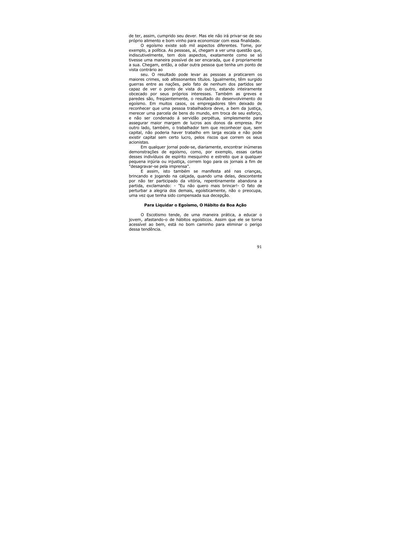de ter, assim, cumprido seu dever. Mas ele não irá privar-se de seu próprio alimento e bom vinho para economizar com essa finalidade.

O egoísmo existe sob mil aspectos diferentes. Tome, por exemplo, a política. As pessoas, aí, chegam a ver uma questão que, indiscutivelmente, tem dois aspectos, exatamente como se só tivesse uma maneira possível de ser encarada, que é propriamente a sua. Chegam, então, a odiar outra pessoa que tenha um ponto de vista contrário ao

seu. O resultado pode levar as pessoas a praticarem os maiores crimes, sob altissonantes títulos. Igualmente, têm surgido querras entre as nações, pelo fato de nenhum dos partidos ser capaz de ver o ponto de vista do outro, estando inteiramente obcecado por seus próprios interesses. Também as greves e paredes são, freqüentemente, o resultado do desenvolvimento do egoísmo. Em muitos casos, os empregadores têm deixado de reconhecer que uma pessoa trabalhadora deve, a bem da justiça, merecer uma parcela de bens do mundo, em troca de seu esforço, e não ser condenado á servidão perpétua, simplesmente para assegurar major margem de lucros aos donos da empresa. Por outro lado, também, o trabalhador tem que reconhecer que, sem capital, não poderia haver trabalho em larga escala e não pode existir capital sem certo lucro, pelos riscos que correm os seus acionistas.

Em qualquer jornal pode-se, diariamente, encontrar inúmeras demonstrações de egoísmo, como, por exemplo, essas cartas desses indivíduos de espírito mesquinho e estreito que a qualquer pequena injúria ou injustica, correm logo para os jornais a fim de "desagravar-se pela imprensa".

E assim, isto também se manifesta até nas criancas, brincando e jogando na calçada, quando uma delas, descontente por não ter participado da vitória, repentinamente abandona a partida, exclamando: - "Eu não quero mais brincar!- O fato de perturbar a alegria dos demais, egoísticamente, não o preocupa, uma vez que tenha sido compensada sua decepção.

## Para Liguidar o Egoísmo, O Hábito da Boa Ação

O Escotismo tende, de uma maneira prática, a educar o jovem, afastando-o de hábitos egoísticos. Assim que ele se torna acessível ao bem, está no bom caminho para eliminar o perigo dessa tendência.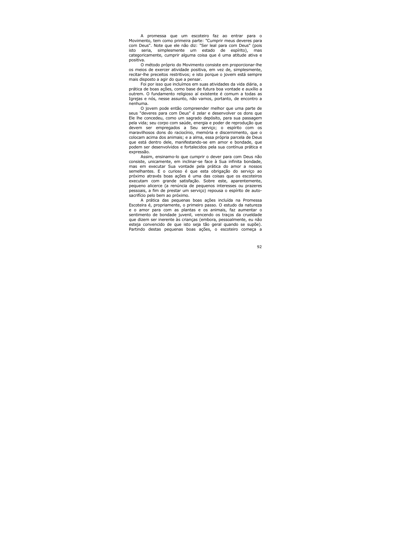A promessa que um escoteiro faz ao entrar para o Movimento, tem como primeira parte: "Cumprir meus deveres para com Deus". Note que ele não diz: "Ser leal para com Deus" (pois isto seria. simplesmente um estado de espírito),  $mas$ categoricamente, cumprir alguma coisa que é uma atitude ativa e positiva.

O método próprio do Movimento consiste em proporcionar-lhe os meios de exercer atividade positiva, em vez de, simplesmente, recitar-lhe preceitos restritivos; e isto porque o jovem está sempre mais disposto a agir do que a pensar.

Foi por isso que incluímos em suas atividades da vida diária, a prática de boas ações, como base de futura boa vontade e auxílio a outrem. O fundamento religioso aí existente é comum a todas as Igrejas e nós, nesse assunto, não vamos, portanto, de encontro a nenhuma.

O jovem pode então compreender melhor que uma parte de seus "deveres para com Deus" é zelar e desenvolver os dons que Ele lhe concedeu, como um sagrado depósito, para sua passagem pela vida; seu corpo com saúde, energia e poder de reprodução que devem ser empregados a Seu serviço; o espírito com os maravilhosos dons do raciocínio, memória e discernimento, que o colocam acima dos animais; e a alma, essa própria parcela de Deus que está dentro dele, manifestando-se em amor e bondade, que podem ser desenvolvidos e fortalecidos pela sua contínua prática e expressão.

Assim, ensinamo-lo que cumprir o dever para com Deus não consiste, unicamente, em inclinar-se face à Sua infinita bondade. mas em executar Sua vontade pela prática do amor a nossos semelhantes. E o curioso é que esta obrigação do serviço ao próximo através boas ações é uma das coisas que os escoteiros executam com grande satisfação. Sobre este, aparentemente, pequeno alicerce (a renúncia de pequenos interesses ou prazeres pessoais, a fim de prestar um servico) repousa o espírito de autosacrifício pelo bem ao próximo.

A prática das pequenas boas ações incluída na Promessa Escoteira é, propriamente, o primeiro passo. O estudo da natureza e o amor para com as plantas e os animais, faz aumentar o sentimento de bondade juvenil, vencendo os traços da crueldade que dizem ser inerente às criancas (embora, pessoalmente, eu não esteja convencido de que isto seja tão geral quando se supõe). Partindo destas pequenas boas ações, o escoteiro começa a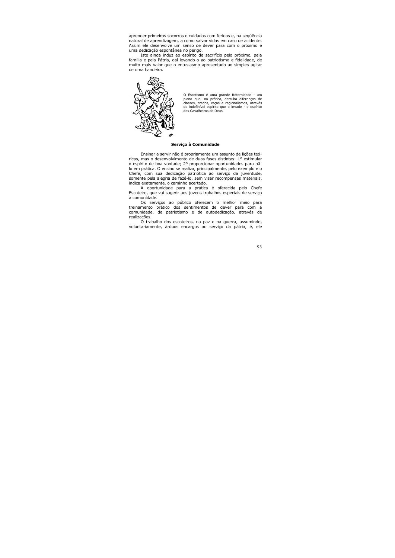aprender primeiros socorros e cuidados com feridos e, na sequência natural de aprendizagem, a como salvar vidas em caso de acidente. Assim ele desenvolve um senso de dever para com o próximo e uma dedicação espontânea no perigo.

Isto ainda induz ao espírito de sacrifício pelo próximo, pela família e pela Pátria, daí levando-o ao patriotismo e fidelidade, de muito mais valor que o entusiasmo apresentado ao simples agitar de uma bandeira.



O Escotismo é uma grande fraternidade - um plano que, na prática, derruba diferenças de classes, credos, raças e regionalismos, através do indefinível espírito que o invade - o espírito dos Cavalheiros de Deus.

### Servico à Comunidade

Ensinar a servir não é propriamente um assunto de lições teóricas, mas o desenvolvimento de duas fases distintas: 1º estimular o espírito de boa vontade; 2º proporcionar oportunidades para pãlo em prática. O ensino se realiza, principalmente, pelo exemplo e o Chefe, com sua dedicação patriótica ao serviço da juventude, somente pela alegria de fazê-lo, sem visar recompensas materiais, indica exatamente, o caminho acertado.

A oportunidade para a prática é oferecida pelo Chefe Escoteiro, que vai sugerir aos jovens trabalhos especiais de serviço à comunidade.

Os servicos ao público oferecem o melhor meio para treinamento prático dos sentimentos de dever para com a comunidade, de patriotismo e de autodedicação, através de realizações.

O trabalho dos escoteiros, na paz e na querra, assumindo, voluntariamente, árduos encargos ao serviço da pátria, é, ele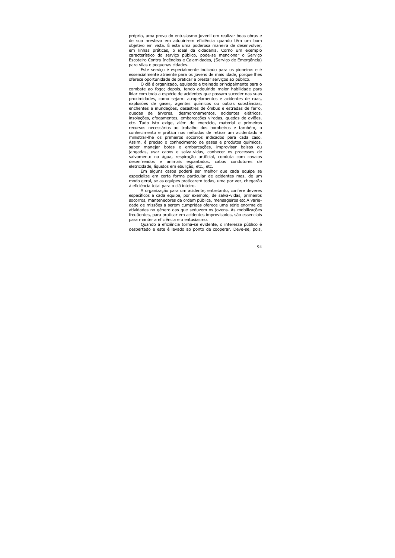próprio, uma prova do entusiasmo juvenil em realizar boas obras e de sua presteza em adquirirem eficiência quando têm um bom objetivo em vista. É esta uma poderosa maneira de desenvolver, em linhas práticas, o ideal da cidadania. Corno um exemplo característico do serviço público, pode-se mencionar o Serviço Escoteiro Contra Incêndios e Calamidades, (Servico de Emergência) para vilas e pequenas cidades.

Este serviço é especialmente indicado para os pioneiros e é essencialmente atraente para os jovens de mais idade, porque lhes oferece oportunidade de praticar e prestar serviços ao público.

O clã é organizado, equipado e treinado principalmente para o combate ao fogo; depois, tendo adquirido maior habilidade para lidar com toda a espécie de acidentes que possam suceder nas suas proximidades, como sejam: atropelamentos e acidentes de ruas. explosões de gases, agentes químicos ou outras substâncias, enchentes e inundações, desastres de ônibus e estradas de ferro, quedas de árvores, desmoronamentos, acidentes elétricos, insolações, afogamentos, embarcações viradas, quedas de aviões, etc. Tudo isto exige, além de exercício, material e primeiros recursos necessários ao trabalho dos bombeiros e também, o conhecimento e prática nos métodos de retirar um acidentado e ministrar-lhe os primeiros socorros indicados para cada caso. Assim, é preciso o conhecimento de gases e produtos químicos, saber manejar botes e embarcações, improvisar balsas ou jangadas, usar cabos e salva-vidas, conhecer os processos de salvamento na água, respiração artificial, conduta com cavalos desenfreados e animais espantados, cabos condutores de eletricidade, líquidos em ebulição, etc., etc.

Em alguns casos poderá ser melhor que cada equipe se especialize em certa forma particular de acidentes mas, de um modo geral, se as equipes praticarem todas, uma por vez, chegarão á eficiência total para o clã inteiro.

A organização para um acidente, entretanto, confere deveres específicos a cada equipe, por exemplo, de salva-vidas, primeiros socorros, mantenedores da ordem pública, mensageiros etc.A variedade de missões a serem cumpridas oferece uma série enorme de atividades no gênero das que seduzem os jovens. As mobilizações fregüentes, para praticar em acidentes improvisados, são essenciais para manter a eficiência e o entusiasmo.

Quando a eficiência torna-se evidente, o interesse público é despertado e este é levado ao ponto de cooperar. Deve-se, pois,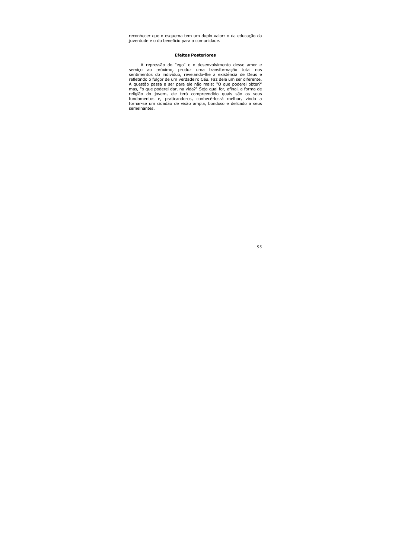reconhecer que o esquema tem um duplo valor: o da educação da juventude e o do benefício para a comunidade.

### **Efeitos Posteriores**

A repressão do "ego" e o desenvolvimento desse amor e serviço ao próximo, produz uma transformação total nos sentimentos do indivíduo, revelando-lhe a existência de Deus e refletindo o fulgor de um verdadeiro Céu. Faz dele um ser diferente. A questão passa a ser para ele não mais: "O que poderei obter?' mas, "o que poderei dar, na vida?" Seja qual for, afinal, a forma de religião do jovem, ele terá compreendido quais são os seus fundamentos e, praticando-os, conhecê-los-á melhor, vindo a tornar-se um cidadão de visão ampla, bondoso e delicado a seus semelhantes.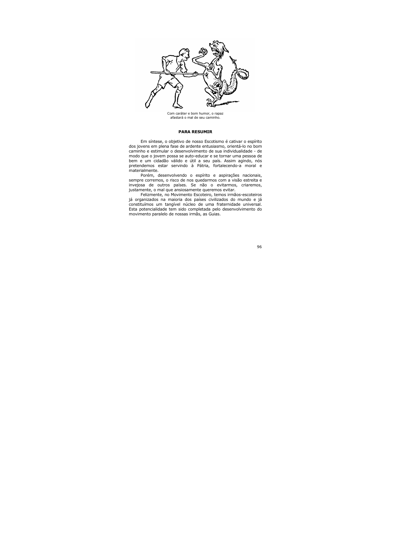

Com caráter e bom humor, o rapaz afastará o mal de seu caminho.

## **PARA RESUMIR**

Em síntese, o objetivo de nosso Escotismo é cativar o espírito dos jovens em plena fase de ardente entusiasmo, orientá-lo no bom caminho e estimular o desenvolvimento de sua individualidade - de modo que o jovem possa se auto-educar e se tornar uma pessoa de bem e um cidadão válido e útil a seu país. Assim agindo, nós pretendemos estar servindo à Pátria, fortalecendo-a moral e materialmente.

Porém, desenvolvendo o espírito e aspirações nacionais, sempre corremos, o risco de nos quedarmos com a visão estreita e invejosa de outros países. Se não o evitarmos, criaremos, justamente, o mal que ansiosamente queremos evitar.

Felizmente, no Movimento Escoteiro, temos irmãos-escoteiros já organizados na maioria dos países civilizados do mundo e já constituímos um tangível núcleo de uma fraternidade universal. Esta potencialidade tem sido completada pelo desenvolvimento do movimento paralelo de nossas irmãs, as Guias.